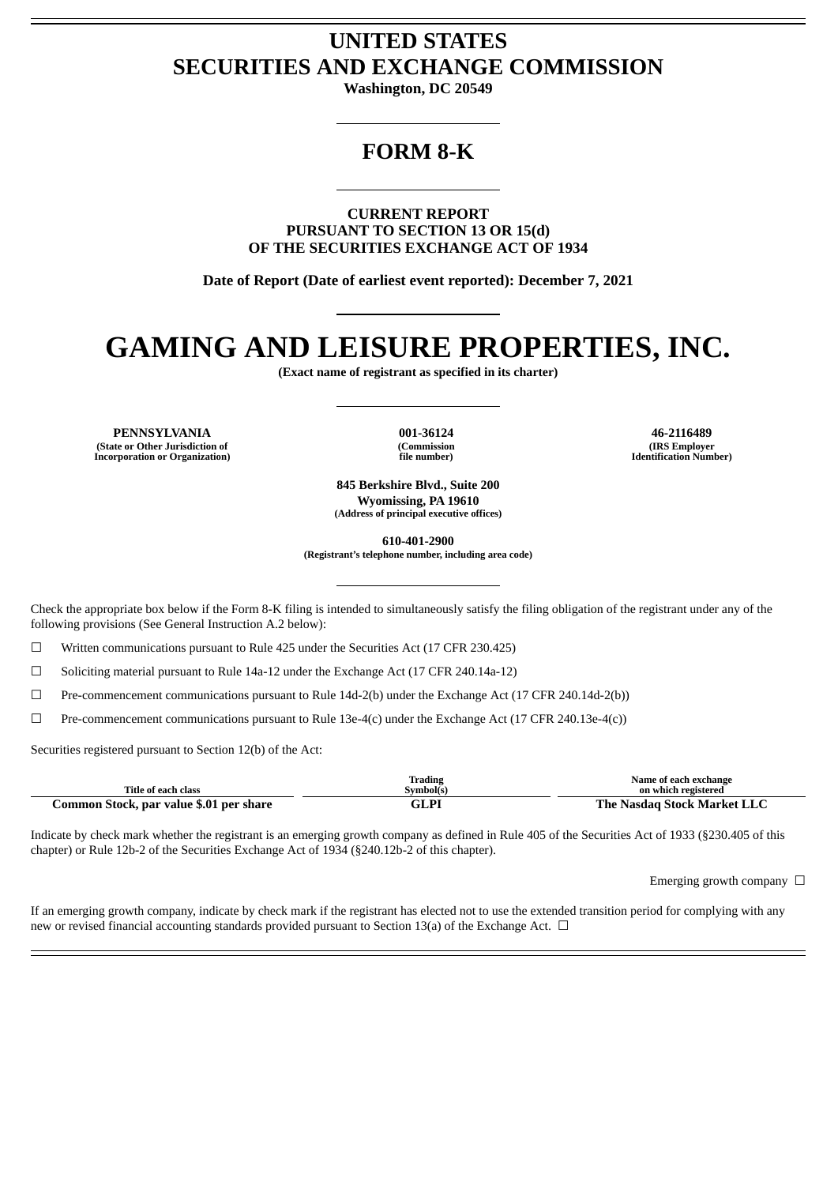# **UNITED STATES SECURITIES AND EXCHANGE COMMISSION**

**Washington, DC 20549**

# **FORM 8-K**

**CURRENT REPORT PURSUANT TO SECTION 13 OR 15(d) OF THE SECURITIES EXCHANGE ACT OF 1934**

**Date of Report (Date of earliest event reported): December 7, 2021**

# **GAMING AND LEISURE PROPERTIES, INC.**

**(Exact name of registrant as specified in its charter)**

**PENNSYLVANIA 001-36124 46-2116489 (State or Other Jurisdiction of Incorporation or Organization)**

**(Commission file number)**

**(IRS Employer Identification Number)**

**845 Berkshire Blvd., Suite 200 Wyomissing, PA 19610 (Address of principal executive offices)**

**610-401-2900**

**(Registrant's telephone number, including area code)**

Check the appropriate box below if the Form 8-K filing is intended to simultaneously satisfy the filing obligation of the registrant under any of the following provisions (See General Instruction A.2 below):

 $\Box$  Written communications pursuant to Rule 425 under the Securities Act (17 CFR 230.425)

 $\Box$  Soliciting material pursuant to Rule 14a-12 under the Exchange Act (17 CFR 240.14a-12)

☐ Pre-commencement communications pursuant to Rule 14d-2(b) under the Exchange Act (17 CFR 240.14d-2(b))

 $\Box$  Pre-commencement communications pursuant to Rule 13e-4(c) under the Exchange Act (17 CFR 240.13e-4(c))

Securities registered pursuant to Section 12(b) of the Act:

| Title of each class                     | Trading<br>Symbol(s) | Name of each exchange<br>on which registered |
|-----------------------------------------|----------------------|----------------------------------------------|
| Common Stock, par value \$.01 per share | GLPI                 | The Nasdag Stock Market LLC                  |

Indicate by check mark whether the registrant is an emerging growth company as defined in Rule 405 of the Securities Act of 1933 (§230.405 of this chapter) or Rule 12b-2 of the Securities Exchange Act of 1934 (§240.12b-2 of this chapter).

Emerging growth company  $\Box$ 

If an emerging growth company, indicate by check mark if the registrant has elected not to use the extended transition period for complying with any new or revised financial accounting standards provided pursuant to Section 13(a) of the Exchange Act.  $\Box$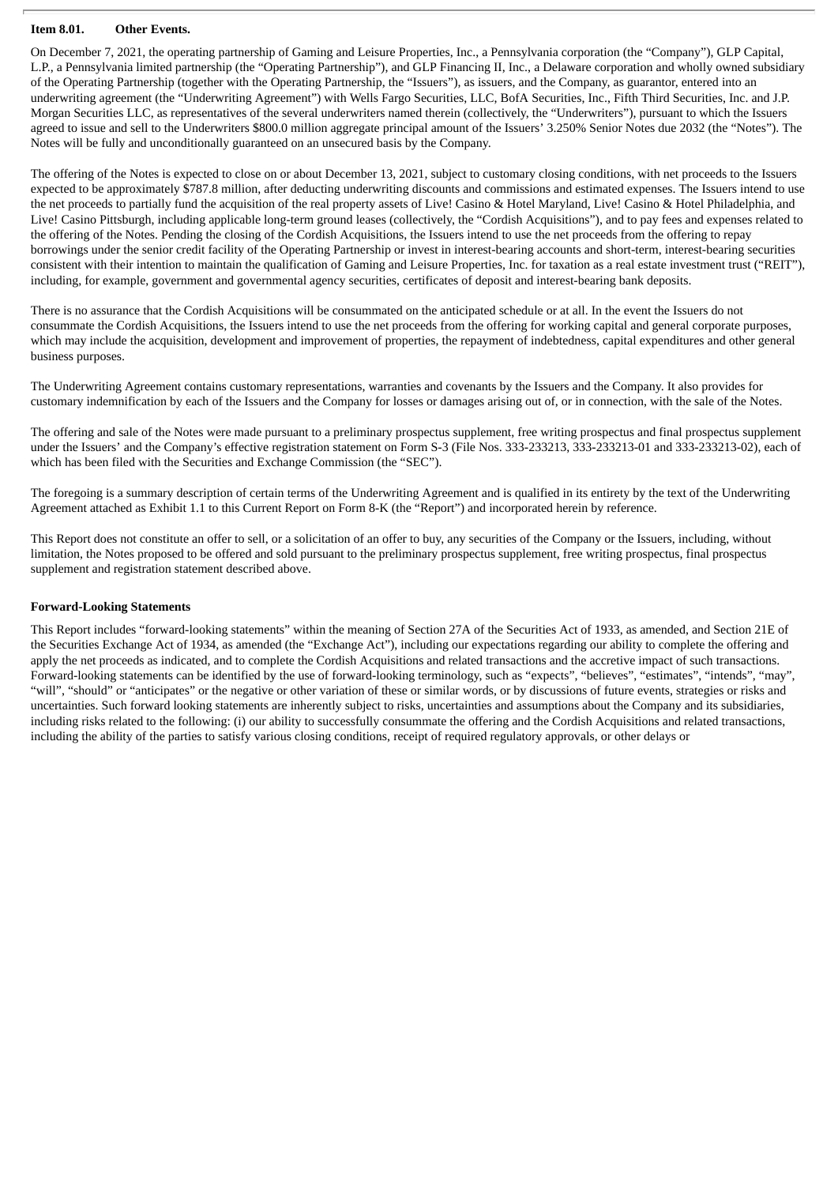# **Item 8.01. Other Events.**

On December 7, 2021, the operating partnership of Gaming and Leisure Properties, Inc., a Pennsylvania corporation (the "Company"), GLP Capital, L.P., a Pennsylvania limited partnership (the "Operating Partnership"), and GLP Financing II, Inc., a Delaware corporation and wholly owned subsidiary of the Operating Partnership (together with the Operating Partnership, the "Issuers"), as issuers, and the Company, as guarantor, entered into an underwriting agreement (the "Underwriting Agreement") with Wells Fargo Securities, LLC, BofA Securities, Inc., Fifth Third Securities, Inc. and J.P. Morgan Securities LLC, as representatives of the several underwriters named therein (collectively, the "Underwriters"), pursuant to which the Issuers agreed to issue and sell to the Underwriters \$800.0 million aggregate principal amount of the Issuers' 3.250% Senior Notes due 2032 (the "Notes"). The Notes will be fully and unconditionally guaranteed on an unsecured basis by the Company.

The offering of the Notes is expected to close on or about December 13, 2021, subject to customary closing conditions, with net proceeds to the Issuers expected to be approximately \$787.8 million, after deducting underwriting discounts and commissions and estimated expenses. The Issuers intend to use the net proceeds to partially fund the acquisition of the real property assets of Live! Casino & Hotel Maryland, Live! Casino & Hotel Philadelphia, and Live! Casino Pittsburgh, including applicable long-term ground leases (collectively, the "Cordish Acquisitions"), and to pay fees and expenses related to the offering of the Notes. Pending the closing of the Cordish Acquisitions, the Issuers intend to use the net proceeds from the offering to repay borrowings under the senior credit facility of the Operating Partnership or invest in interest-bearing accounts and short-term, interest-bearing securities consistent with their intention to maintain the qualification of Gaming and Leisure Properties, Inc. for taxation as a real estate investment trust ("REIT"), including, for example, government and governmental agency securities, certificates of deposit and interest-bearing bank deposits.

There is no assurance that the Cordish Acquisitions will be consummated on the anticipated schedule or at all. In the event the Issuers do not consummate the Cordish Acquisitions, the Issuers intend to use the net proceeds from the offering for working capital and general corporate purposes, which may include the acquisition, development and improvement of properties, the repayment of indebtedness, capital expenditures and other general business purposes.

The Underwriting Agreement contains customary representations, warranties and covenants by the Issuers and the Company. It also provides for customary indemnification by each of the Issuers and the Company for losses or damages arising out of, or in connection, with the sale of the Notes.

The offering and sale of the Notes were made pursuant to a preliminary prospectus supplement, free writing prospectus and final prospectus supplement under the Issuers' and the Company's effective registration statement on Form S-3 (File Nos. 333-233213, 333-233213-01 and 333-233213-02), each of which has been filed with the Securities and Exchange Commission (the "SEC").

The foregoing is a summary description of certain terms of the Underwriting Agreement and is qualified in its entirety by the text of the Underwriting Agreement attached as Exhibit 1.1 to this Current Report on Form 8-K (the "Report") and incorporated herein by reference.

This Report does not constitute an offer to sell, or a solicitation of an offer to buy, any securities of the Company or the Issuers, including, without limitation, the Notes proposed to be offered and sold pursuant to the preliminary prospectus supplement, free writing prospectus, final prospectus supplement and registration statement described above.

## **Forward-Looking Statements**

This Report includes "forward-looking statements" within the meaning of Section 27A of the Securities Act of 1933, as amended, and Section 21E of the Securities Exchange Act of 1934, as amended (the "Exchange Act"), including our expectations regarding our ability to complete the offering and apply the net proceeds as indicated, and to complete the Cordish Acquisitions and related transactions and the accretive impact of such transactions. Forward-looking statements can be identified by the use of forward-looking terminology, such as "expects", "believes", "estimates", "intends", "may", "will", "should" or "anticipates" or the negative or other variation of these or similar words, or by discussions of future events, strategies or risks and uncertainties. Such forward looking statements are inherently subject to risks, uncertainties and assumptions about the Company and its subsidiaries, including risks related to the following: (i) our ability to successfully consummate the offering and the Cordish Acquisitions and related transactions, including the ability of the parties to satisfy various closing conditions, receipt of required regulatory approvals, or other delays or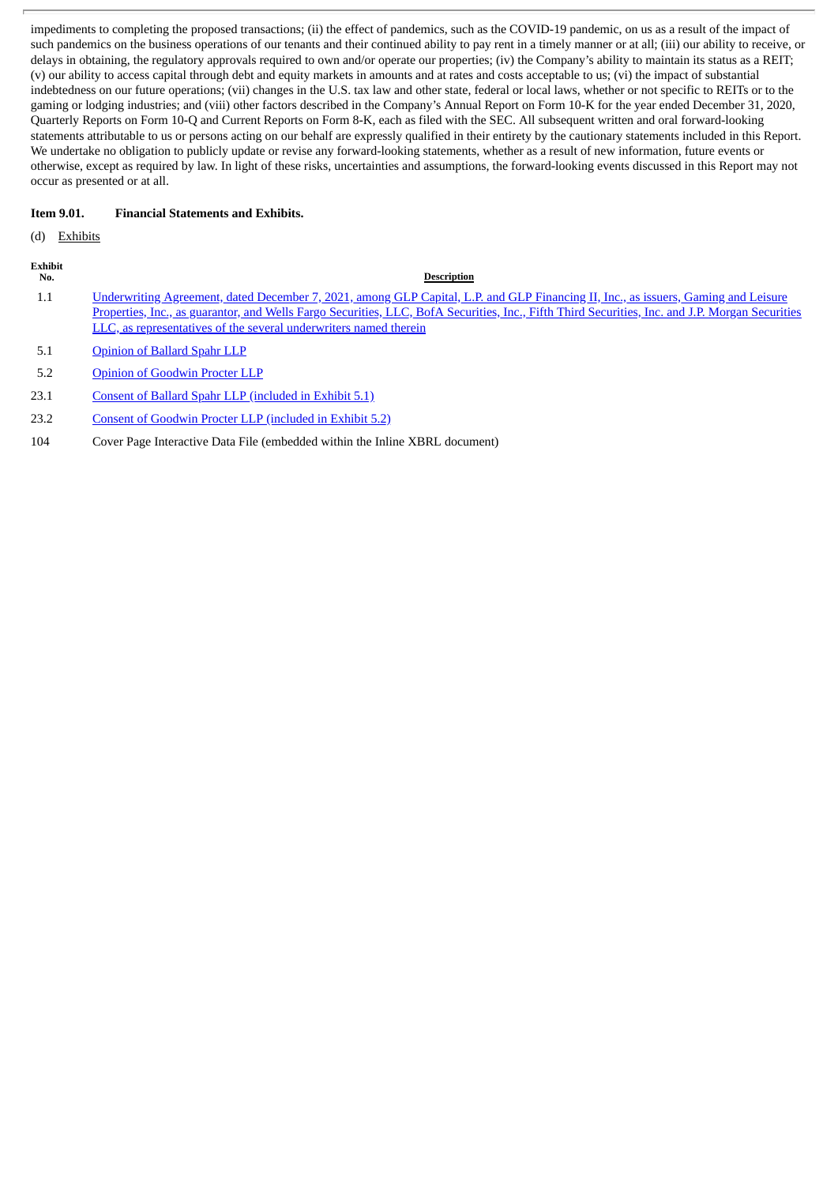impediments to completing the proposed transactions; (ii) the effect of pandemics, such as the COVID-19 pandemic, on us as a result of the impact of such pandemics on the business operations of our tenants and their continued ability to pay rent in a timely manner or at all; (iii) our ability to receive, or delays in obtaining, the regulatory approvals required to own and/or operate our properties; (iv) the Company's ability to maintain its status as a REIT; (v) our ability to access capital through debt and equity markets in amounts and at rates and costs acceptable to us; (vi) the impact of substantial indebtedness on our future operations; (vii) changes in the U.S. tax law and other state, federal or local laws, whether or not specific to REITs or to the gaming or lodging industries; and (viii) other factors described in the Company's Annual Report on Form 10-K for the year ended December 31, 2020, Quarterly Reports on Form 10-Q and Current Reports on Form 8-K, each as filed with the SEC. All subsequent written and oral forward-looking statements attributable to us or persons acting on our behalf are expressly qualified in their entirety by the cautionary statements included in this Report. We undertake no obligation to publicly update or revise any forward-looking statements, whether as a result of new information, future events or otherwise, except as required by law. In light of these risks, uncertainties and assumptions, the forward-looking events discussed in this Report may not occur as presented or at all.

# **Item 9.01. Financial Statements and Exhibits.**

(d) Exhibits

| <b>Exhibit</b><br>No. | <b>Description</b>                                                                                                                                                                                                                                                                                                                                         |
|-----------------------|------------------------------------------------------------------------------------------------------------------------------------------------------------------------------------------------------------------------------------------------------------------------------------------------------------------------------------------------------------|
| $1.1\,$               | Underwriting Agreement, dated December 7, 2021, among GLP Capital, L.P. and GLP Financing II, Inc., as issuers, Gaming and Leisure<br>Properties, Inc., as guarantor, and Wells Fargo Securities, LLC, BofA Securities, Inc., Fifth Third Securities, Inc. and J.P. Morgan Securities<br>LLC, as representatives of the several underwriters named therein |
| 5.1                   | <b>Opinion of Ballard Spahr LLP</b>                                                                                                                                                                                                                                                                                                                        |
| 5.2                   | <b>Opinion of Goodwin Procter LLP</b>                                                                                                                                                                                                                                                                                                                      |

- 23.1 Consent of Ballard Spahr LLP [\(included](#page-39-0) in Exhibit 5.1)
- 23.2 Consent of Goodwin Procter LLP [\(included](#page-44-0) in Exhibit 5.2)
- 104 Cover Page Interactive Data File (embedded within the Inline XBRL document)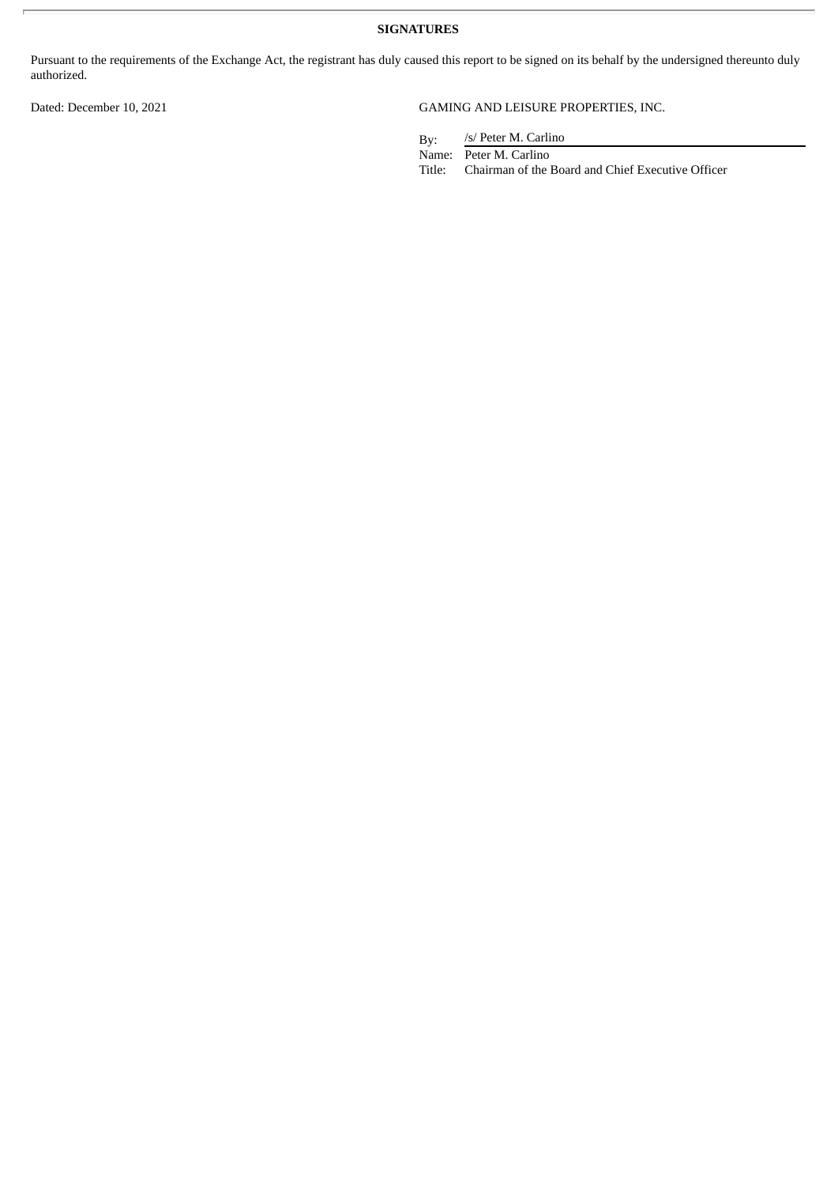**SIGNATURES**

Pursuant to the requirements of the Exchange Act, the registrant has duly caused this report to be signed on its behalf by the undersigned thereunto duly authorized.

# Dated: December 10, 2021 GAMING AND LEISURE PROPERTIES, INC.

By: /s/ Peter M. Carlino

Name: Peter M. Carlino<br>Title: Chairman of the l

Chairman of the Board and Chief Executive Officer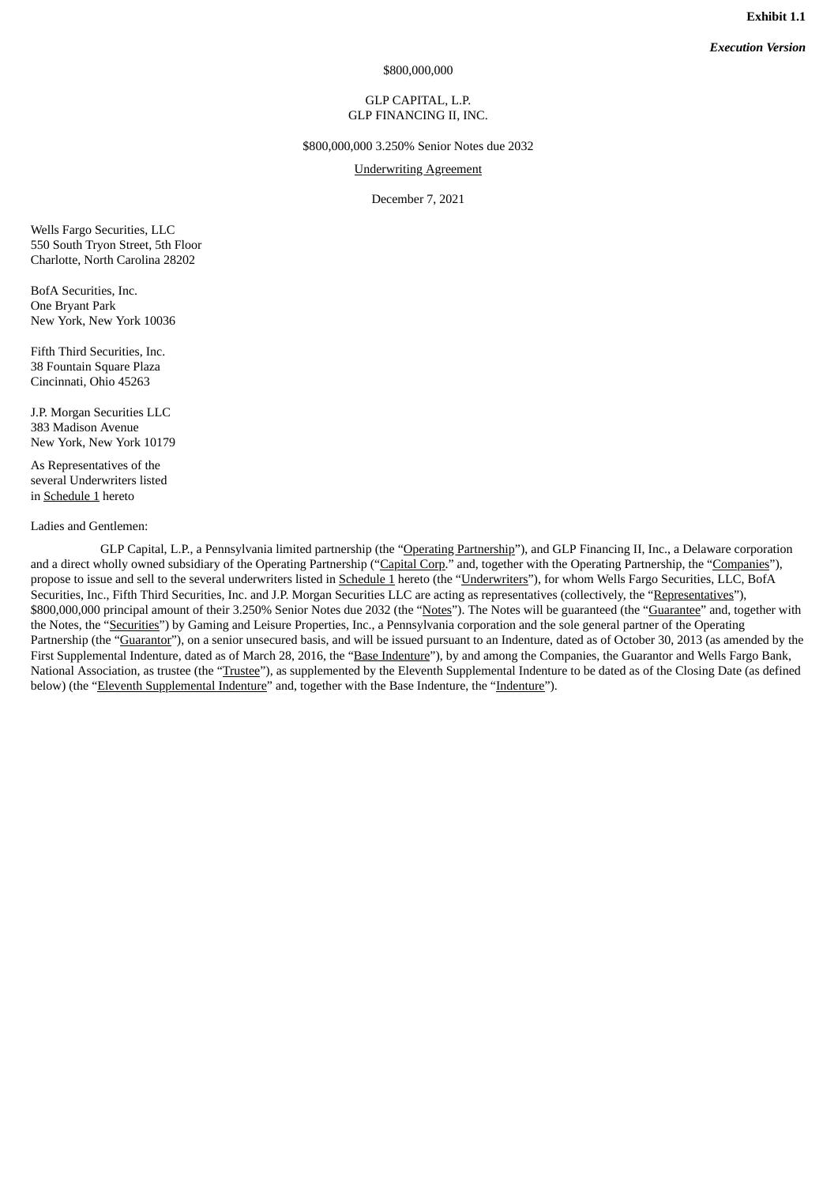*Execution Version*

\$800,000,000

# GLP CAPITAL, L.P. GLP FINANCING II, INC.

\$800,000,000 3.250% Senior Notes due 2032

Underwriting Agreement

December 7, 2021

<span id="page-4-0"></span>Wells Fargo Securities, LLC 550 South Tryon Street, 5th Floor Charlotte, North Carolina 28202

BofA Securities, Inc. One Bryant Park New York, New York 10036

Fifth Third Securities, Inc. 38 Fountain Square Plaza Cincinnati, Ohio 45263

J.P. Morgan Securities LLC 383 Madison Avenue New York, New York 10179

As Representatives of the several Underwriters listed in Schedule 1 hereto

#### Ladies and Gentlemen:

GLP Capital, L.P., a Pennsylvania limited partnership (the "Operating Partnership"), and GLP Financing II, Inc., a Delaware corporation and a direct wholly owned subsidiary of the Operating Partnership ("Capital Corp." and, together with the Operating Partnership, the "Companies"), propose to issue and sell to the several underwriters listed in Schedule 1 hereto (the "Underwriters"), for whom Wells Fargo Securities, LLC, BofA Securities, Inc., Fifth Third Securities, Inc. and J.P. Morgan Securities LLC are acting as representatives (collectively, the "Representatives"), \$800,000,000 principal amount of their 3.250% Senior Notes due 2032 (the "Notes"). The Notes will be guaranteed (the "Guarantee" and, together with the Notes, the "Securities") by Gaming and Leisure Properties, Inc., a Pennsylvania corporation and the sole general partner of the Operating Partnership (the "Guarantor"), on a senior unsecured basis, and will be issued pursuant to an Indenture, dated as of October 30, 2013 (as amended by the First Supplemental Indenture, dated as of March 28, 2016, the "Base Indenture"), by and among the Companies, the Guarantor and Wells Fargo Bank, National Association, as trustee (the "Trustee"), as supplemented by the Eleventh Supplemental Indenture to be dated as of the Closing Date (as defined below) (the "Eleventh Supplemental Indenture" and, together with the Base Indenture, the "Indenture").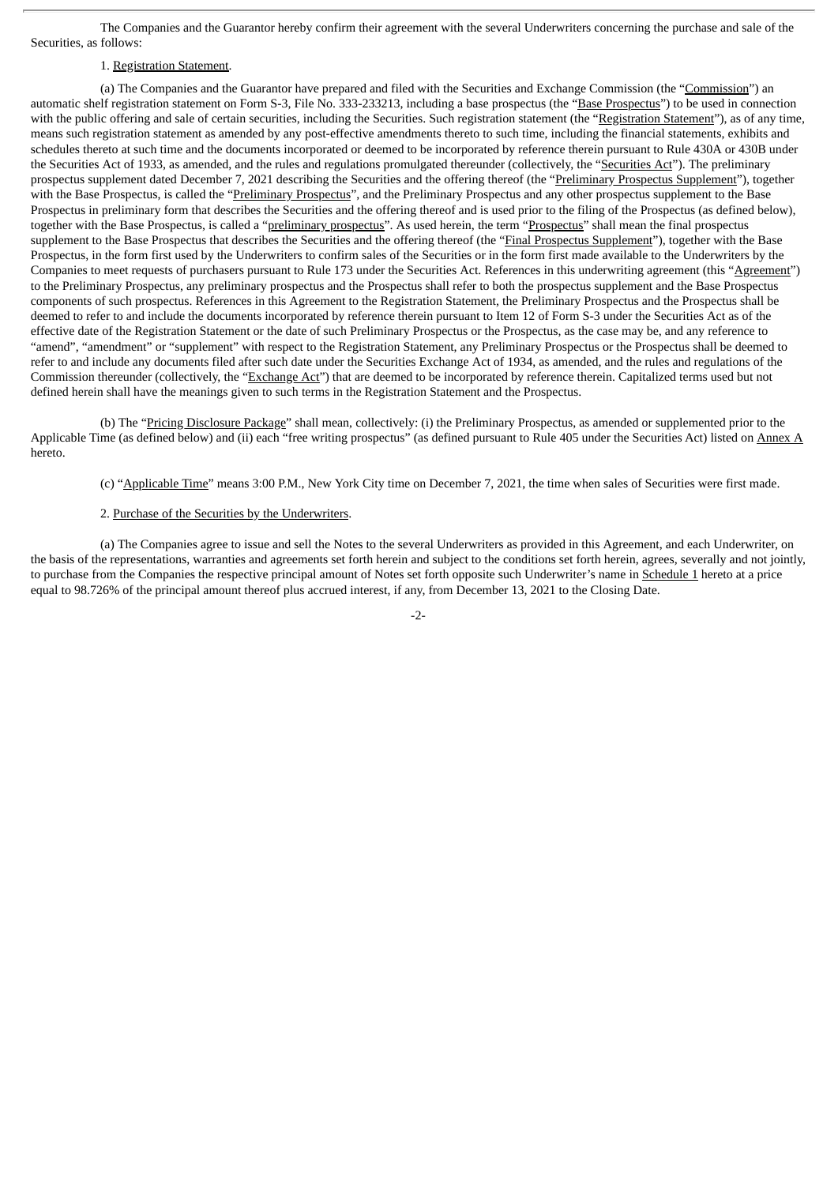The Companies and the Guarantor hereby confirm their agreement with the several Underwriters concerning the purchase and sale of the Securities, as follows:

## 1. Registration Statement.

(a) The Companies and the Guarantor have prepared and filed with the Securities and Exchange Commission (the "Commission") an automatic shelf registration statement on Form S-3, File No. 333-233213, including a base prospectus (the "Base Prospectus") to be used in connection with the public offering and sale of certain securities, including the Securities. Such registration statement (the "Registration Statement"), as of any time, means such registration statement as amended by any post-effective amendments thereto to such time, including the financial statements, exhibits and schedules thereto at such time and the documents incorporated or deemed to be incorporated by reference therein pursuant to Rule 430A or 430B under the Securities Act of 1933, as amended, and the rules and regulations promulgated thereunder (collectively, the "Securities Act"). The preliminary prospectus supplement dated December 7, 2021 describing the Securities and the offering thereof (the "Preliminary Prospectus Supplement"), together with the Base Prospectus, is called the "Preliminary Prospectus", and the Preliminary Prospectus and any other prospectus supplement to the Base Prospectus in preliminary form that describes the Securities and the offering thereof and is used prior to the filing of the Prospectus (as defined below), together with the Base Prospectus, is called a "preliminary prospectus". As used herein, the term "Prospectus" shall mean the final prospectus supplement to the Base Prospectus that describes the Securities and the offering thereof (the "Final Prospectus Supplement"), together with the Base Prospectus, in the form first used by the Underwriters to confirm sales of the Securities or in the form first made available to the Underwriters by the Companies to meet requests of purchasers pursuant to Rule 173 under the Securities Act. References in this underwriting agreement (this "Agreement") to the Preliminary Prospectus, any preliminary prospectus and the Prospectus shall refer to both the prospectus supplement and the Base Prospectus components of such prospectus. References in this Agreement to the Registration Statement, the Preliminary Prospectus and the Prospectus shall be deemed to refer to and include the documents incorporated by reference therein pursuant to Item 12 of Form S-3 under the Securities Act as of the effective date of the Registration Statement or the date of such Preliminary Prospectus or the Prospectus, as the case may be, and any reference to "amend", "amendment" or "supplement" with respect to the Registration Statement, any Preliminary Prospectus or the Prospectus shall be deemed to refer to and include any documents filed after such date under the Securities Exchange Act of 1934, as amended, and the rules and regulations of the Commission thereunder (collectively, the "Exchange Act") that are deemed to be incorporated by reference therein. Capitalized terms used but not defined herein shall have the meanings given to such terms in the Registration Statement and the Prospectus.

(b) The "Pricing Disclosure Package" shall mean, collectively: (i) the Preliminary Prospectus, as amended or supplemented prior to the Applicable Time (as defined below) and (ii) each "free writing prospectus" (as defined pursuant to Rule 405 under the Securities Act) listed on Annex A hereto.

(c) "Applicable Time" means 3:00 P.M., New York City time on December 7, 2021, the time when sales of Securities were first made.

### 2. Purchase of the Securities by the Underwriters.

(a) The Companies agree to issue and sell the Notes to the several Underwriters as provided in this Agreement, and each Underwriter, on the basis of the representations, warranties and agreements set forth herein and subject to the conditions set forth herein, agrees, severally and not jointly, to purchase from the Companies the respective principal amount of Notes set forth opposite such Underwriter's name in Schedule 1 hereto at a price equal to 98.726% of the principal amount thereof plus accrued interest, if any, from December 13, 2021 to the Closing Date.

 $-2$ -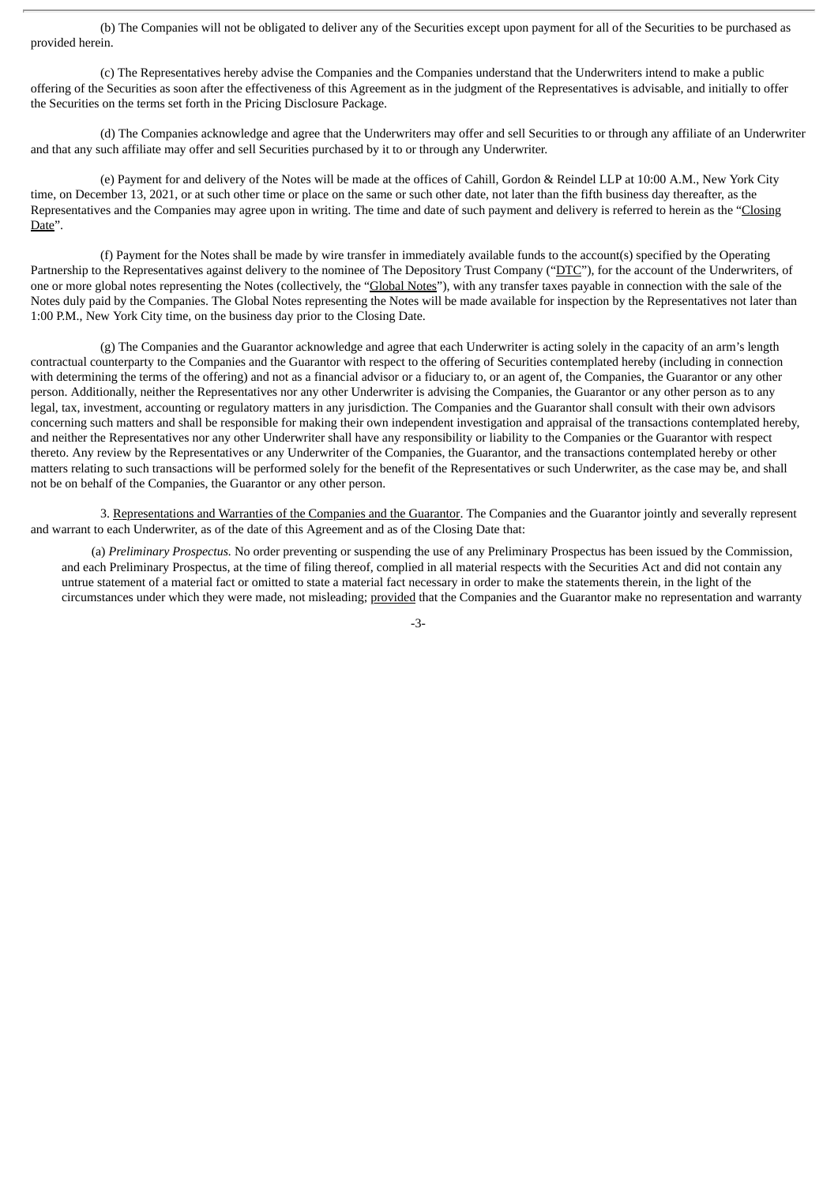(b) The Companies will not be obligated to deliver any of the Securities except upon payment for all of the Securities to be purchased as provided herein.

(c) The Representatives hereby advise the Companies and the Companies understand that the Underwriters intend to make a public offering of the Securities as soon after the effectiveness of this Agreement as in the judgment of the Representatives is advisable, and initially to offer the Securities on the terms set forth in the Pricing Disclosure Package.

(d) The Companies acknowledge and agree that the Underwriters may offer and sell Securities to or through any affiliate of an Underwriter and that any such affiliate may offer and sell Securities purchased by it to or through any Underwriter.

(e) Payment for and delivery of the Notes will be made at the offices of Cahill, Gordon & Reindel LLP at 10:00 A.M., New York City time, on December 13, 2021, or at such other time or place on the same or such other date, not later than the fifth business day thereafter, as the Representatives and the Companies may agree upon in writing. The time and date of such payment and delivery is referred to herein as the "Closing Date".

(f) Payment for the Notes shall be made by wire transfer in immediately available funds to the account(s) specified by the Operating Partnership to the Representatives against delivery to the nominee of The Depository Trust Company ("DTC"), for the account of the Underwriters, of one or more global notes representing the Notes (collectively, the "Global Notes"), with any transfer taxes payable in connection with the sale of the Notes duly paid by the Companies. The Global Notes representing the Notes will be made available for inspection by the Representatives not later than 1:00 P.M., New York City time, on the business day prior to the Closing Date.

(g) The Companies and the Guarantor acknowledge and agree that each Underwriter is acting solely in the capacity of an arm's length contractual counterparty to the Companies and the Guarantor with respect to the offering of Securities contemplated hereby (including in connection with determining the terms of the offering) and not as a financial advisor or a fiduciary to, or an agent of, the Companies, the Guarantor or any other person. Additionally, neither the Representatives nor any other Underwriter is advising the Companies, the Guarantor or any other person as to any legal, tax, investment, accounting or regulatory matters in any jurisdiction. The Companies and the Guarantor shall consult with their own advisors concerning such matters and shall be responsible for making their own independent investigation and appraisal of the transactions contemplated hereby, and neither the Representatives nor any other Underwriter shall have any responsibility or liability to the Companies or the Guarantor with respect thereto. Any review by the Representatives or any Underwriter of the Companies, the Guarantor, and the transactions contemplated hereby or other matters relating to such transactions will be performed solely for the benefit of the Representatives or such Underwriter, as the case may be, and shall not be on behalf of the Companies, the Guarantor or any other person.

3. Representations and Warranties of the Companies and the Guarantor. The Companies and the Guarantor jointly and severally represent and warrant to each Underwriter, as of the date of this Agreement and as of the Closing Date that:

(a) *Preliminary Prospectus.* No order preventing or suspending the use of any Preliminary Prospectus has been issued by the Commission, and each Preliminary Prospectus, at the time of filing thereof, complied in all material respects with the Securities Act and did not contain any untrue statement of a material fact or omitted to state a material fact necessary in order to make the statements therein, in the light of the circumstances under which they were made, not misleading; provided that the Companies and the Guarantor make no representation and warranty

-3-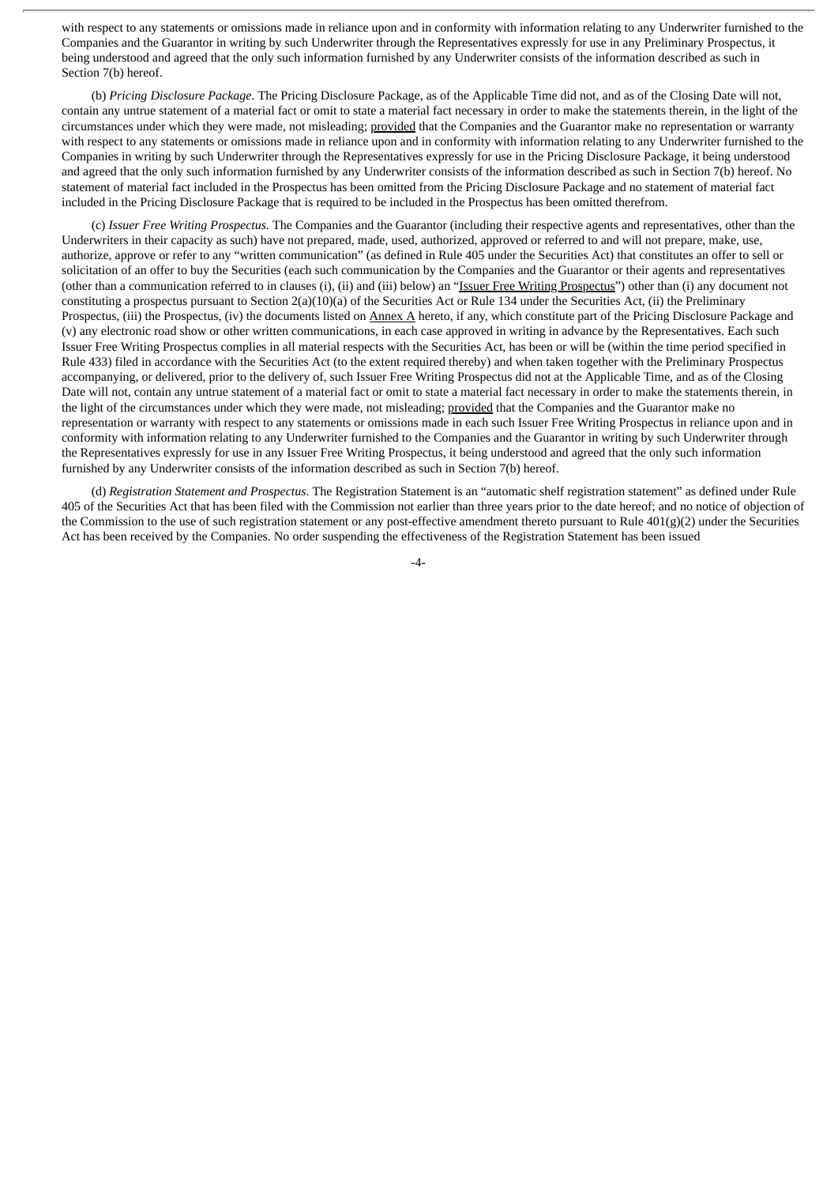with respect to any statements or omissions made in reliance upon and in conformity with information relating to any Underwriter furnished to the Companies and the Guarantor in writing by such Underwriter through the Representatives expressly for use in any Preliminary Prospectus, it being understood and agreed that the only such information furnished by any Underwriter consists of the information described as such in Section 7(b) hereof.

(b) *Pricing Disclosure Package.* The Pricing Disclosure Package, as of the Applicable Time did not, and as of the Closing Date will not, contain any untrue statement of a material fact or omit to state a material fact necessary in order to make the statements therein, in the light of the circumstances under which they were made, not misleading; provided that the Companies and the Guarantor make no representation or warranty with respect to any statements or omissions made in reliance upon and in conformity with information relating to any Underwriter furnished to the Companies in writing by such Underwriter through the Representatives expressly for use in the Pricing Disclosure Package, it being understood and agreed that the only such information furnished by any Underwriter consists of the information described as such in Section 7(b) hereof. No statement of material fact included in the Prospectus has been omitted from the Pricing Disclosure Package and no statement of material fact included in the Pricing Disclosure Package that is required to be included in the Prospectus has been omitted therefrom.

(c) *Issuer Free Writing Prospectus.* The Companies and the Guarantor (including their respective agents and representatives, other than the Underwriters in their capacity as such) have not prepared, made, used, authorized, approved or referred to and will not prepare, make, use, authorize, approve or refer to any "written communication" (as defined in Rule 405 under the Securities Act) that constitutes an offer to sell or solicitation of an offer to buy the Securities (each such communication by the Companies and the Guarantor or their agents and representatives (other than a communication referred to in clauses (i), (ii) and (iii) below) an "Issuer Free Writing Prospectus") other than (i) any document not constituting a prospectus pursuant to Section 2(a)(10)(a) of the Securities Act or Rule 134 under the Securities Act, (ii) the Preliminary Prospectus, (iii) the Prospectus, (iv) the documents listed on Annex A hereto, if any, which constitute part of the Pricing Disclosure Package and (v) any electronic road show or other written communications, in each case approved in writing in advance by the Representatives. Each such Issuer Free Writing Prospectus complies in all material respects with the Securities Act, has been or will be (within the time period specified in Rule 433) filed in accordance with the Securities Act (to the extent required thereby) and when taken together with the Preliminary Prospectus accompanying, or delivered, prior to the delivery of, such Issuer Free Writing Prospectus did not at the Applicable Time, and as of the Closing Date will not, contain any untrue statement of a material fact or omit to state a material fact necessary in order to make the statements therein, in the light of the circumstances under which they were made, not misleading; provided that the Companies and the Guarantor make no representation or warranty with respect to any statements or omissions made in each such Issuer Free Writing Prospectus in reliance upon and in conformity with information relating to any Underwriter furnished to the Companies and the Guarantor in writing by such Underwriter through the Representatives expressly for use in any Issuer Free Writing Prospectus, it being understood and agreed that the only such information furnished by any Underwriter consists of the information described as such in Section 7(b) hereof.

(d) *Registration Statement and Prospectus*. The Registration Statement is an "automatic shelf registration statement" as defined under Rule 405 of the Securities Act that has been filed with the Commission not earlier than three years prior to the date hereof; and no notice of objection of the Commission to the use of such registration statement or any post-effective amendment thereto pursuant to Rule  $401(g)(2)$  under the Securities Act has been received by the Companies. No order suspending the effectiveness of the Registration Statement has been issued

 $-4-$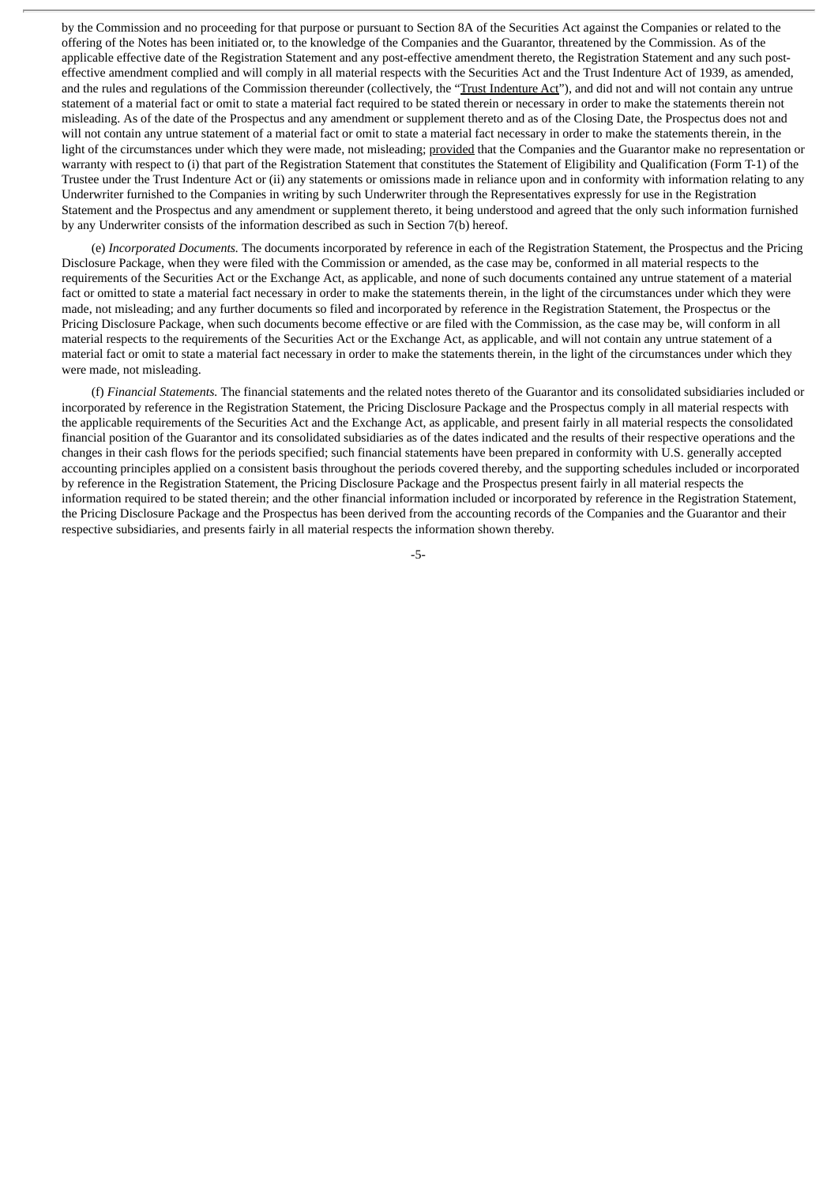by the Commission and no proceeding for that purpose or pursuant to Section 8A of the Securities Act against the Companies or related to the offering of the Notes has been initiated or, to the knowledge of the Companies and the Guarantor, threatened by the Commission. As of the applicable effective date of the Registration Statement and any post-effective amendment thereto, the Registration Statement and any such posteffective amendment complied and will comply in all material respects with the Securities Act and the Trust Indenture Act of 1939, as amended, and the rules and regulations of the Commission thereunder (collectively, the "Trust Indenture Act"), and did not and will not contain any untrue statement of a material fact or omit to state a material fact required to be stated therein or necessary in order to make the statements therein not misleading. As of the date of the Prospectus and any amendment or supplement thereto and as of the Closing Date, the Prospectus does not and will not contain any untrue statement of a material fact or omit to state a material fact necessary in order to make the statements therein, in the light of the circumstances under which they were made, not misleading; provided that the Companies and the Guarantor make no representation or warranty with respect to (i) that part of the Registration Statement that constitutes the Statement of Eligibility and Qualification (Form T-1) of the Trustee under the Trust Indenture Act or (ii) any statements or omissions made in reliance upon and in conformity with information relating to any Underwriter furnished to the Companies in writing by such Underwriter through the Representatives expressly for use in the Registration Statement and the Prospectus and any amendment or supplement thereto, it being understood and agreed that the only such information furnished by any Underwriter consists of the information described as such in Section 7(b) hereof.

(e) *Incorporated Documents.* The documents incorporated by reference in each of the Registration Statement, the Prospectus and the Pricing Disclosure Package, when they were filed with the Commission or amended, as the case may be, conformed in all material respects to the requirements of the Securities Act or the Exchange Act, as applicable, and none of such documents contained any untrue statement of a material fact or omitted to state a material fact necessary in order to make the statements therein, in the light of the circumstances under which they were made, not misleading; and any further documents so filed and incorporated by reference in the Registration Statement, the Prospectus or the Pricing Disclosure Package, when such documents become effective or are filed with the Commission, as the case may be, will conform in all material respects to the requirements of the Securities Act or the Exchange Act, as applicable, and will not contain any untrue statement of a material fact or omit to state a material fact necessary in order to make the statements therein, in the light of the circumstances under which they were made, not misleading.

(f) *Financial Statements.* The financial statements and the related notes thereto of the Guarantor and its consolidated subsidiaries included or incorporated by reference in the Registration Statement, the Pricing Disclosure Package and the Prospectus comply in all material respects with the applicable requirements of the Securities Act and the Exchange Act, as applicable, and present fairly in all material respects the consolidated financial position of the Guarantor and its consolidated subsidiaries as of the dates indicated and the results of their respective operations and the changes in their cash flows for the periods specified; such financial statements have been prepared in conformity with U.S. generally accepted accounting principles applied on a consistent basis throughout the periods covered thereby, and the supporting schedules included or incorporated by reference in the Registration Statement, the Pricing Disclosure Package and the Prospectus present fairly in all material respects the information required to be stated therein; and the other financial information included or incorporated by reference in the Registration Statement, the Pricing Disclosure Package and the Prospectus has been derived from the accounting records of the Companies and the Guarantor and their respective subsidiaries, and presents fairly in all material respects the information shown thereby.

-5-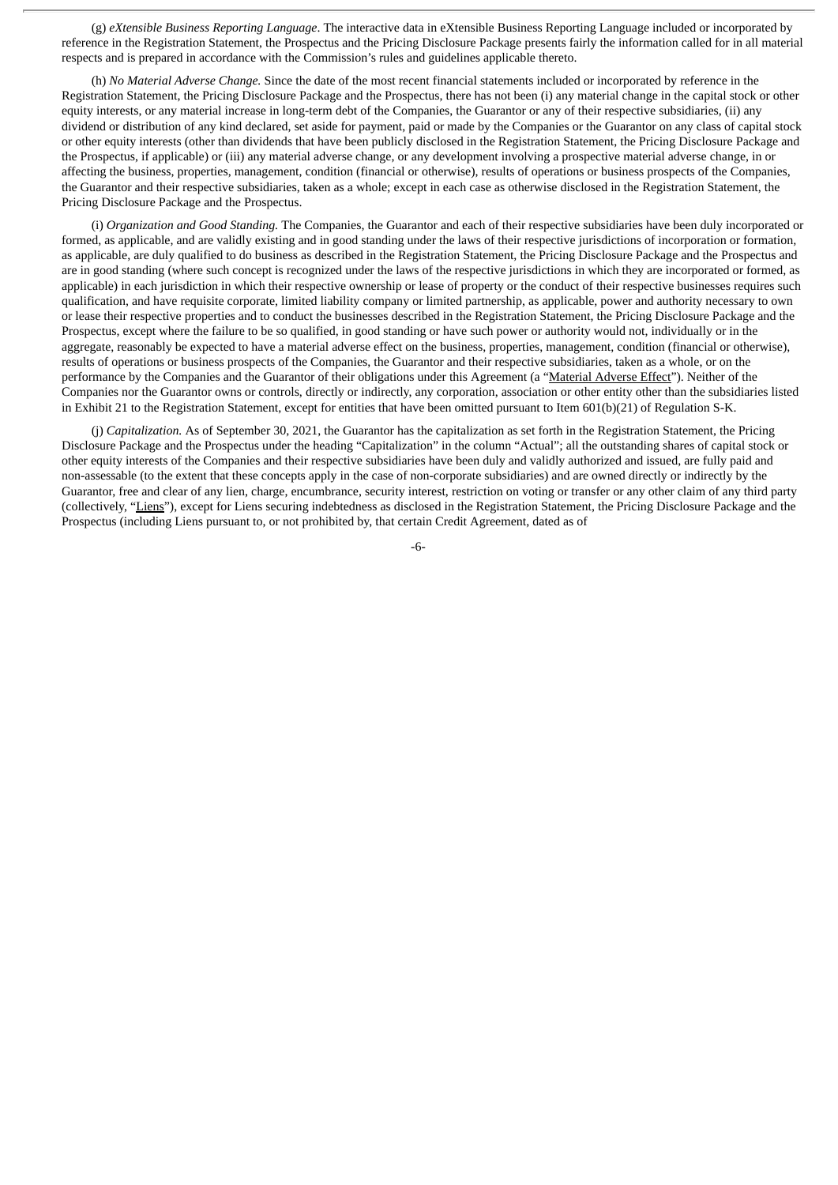(g) *eXtensible Business Reporting Language*. The interactive data in eXtensible Business Reporting Language included or incorporated by reference in the Registration Statement, the Prospectus and the Pricing Disclosure Package presents fairly the information called for in all material respects and is prepared in accordance with the Commission's rules and guidelines applicable thereto.

(h) *No Material Adverse Change.* Since the date of the most recent financial statements included or incorporated by reference in the Registration Statement, the Pricing Disclosure Package and the Prospectus, there has not been (i) any material change in the capital stock or other equity interests, or any material increase in long-term debt of the Companies, the Guarantor or any of their respective subsidiaries, (ii) any dividend or distribution of any kind declared, set aside for payment, paid or made by the Companies or the Guarantor on any class of capital stock or other equity interests (other than dividends that have been publicly disclosed in the Registration Statement, the Pricing Disclosure Package and the Prospectus, if applicable) or (iii) any material adverse change, or any development involving a prospective material adverse change, in or affecting the business, properties, management, condition (financial or otherwise), results of operations or business prospects of the Companies, the Guarantor and their respective subsidiaries, taken as a whole; except in each case as otherwise disclosed in the Registration Statement, the Pricing Disclosure Package and the Prospectus.

(i) *Organization and Good Standing.* The Companies, the Guarantor and each of their respective subsidiaries have been duly incorporated or formed, as applicable, and are validly existing and in good standing under the laws of their respective jurisdictions of incorporation or formation, as applicable, are duly qualified to do business as described in the Registration Statement, the Pricing Disclosure Package and the Prospectus and are in good standing (where such concept is recognized under the laws of the respective jurisdictions in which they are incorporated or formed, as applicable) in each jurisdiction in which their respective ownership or lease of property or the conduct of their respective businesses requires such qualification, and have requisite corporate, limited liability company or limited partnership, as applicable, power and authority necessary to own or lease their respective properties and to conduct the businesses described in the Registration Statement, the Pricing Disclosure Package and the Prospectus, except where the failure to be so qualified, in good standing or have such power or authority would not, individually or in the aggregate, reasonably be expected to have a material adverse effect on the business, properties, management, condition (financial or otherwise), results of operations or business prospects of the Companies, the Guarantor and their respective subsidiaries, taken as a whole, or on the performance by the Companies and the Guarantor of their obligations under this Agreement (a "Material Adverse Effect"). Neither of the Companies nor the Guarantor owns or controls, directly or indirectly, any corporation, association or other entity other than the subsidiaries listed in Exhibit 21 to the Registration Statement, except for entities that have been omitted pursuant to Item 601(b)(21) of Regulation S-K.

(j) *Capitalization.* As of September 30, 2021, the Guarantor has the capitalization as set forth in the Registration Statement, the Pricing Disclosure Package and the Prospectus under the heading "Capitalization" in the column "Actual"; all the outstanding shares of capital stock or other equity interests of the Companies and their respective subsidiaries have been duly and validly authorized and issued, are fully paid and non-assessable (to the extent that these concepts apply in the case of non-corporate subsidiaries) and are owned directly or indirectly by the Guarantor, free and clear of any lien, charge, encumbrance, security interest, restriction on voting or transfer or any other claim of any third party (collectively, "Liens"), except for Liens securing indebtedness as disclosed in the Registration Statement, the Pricing Disclosure Package and the Prospectus (including Liens pursuant to, or not prohibited by, that certain Credit Agreement, dated as of

-6-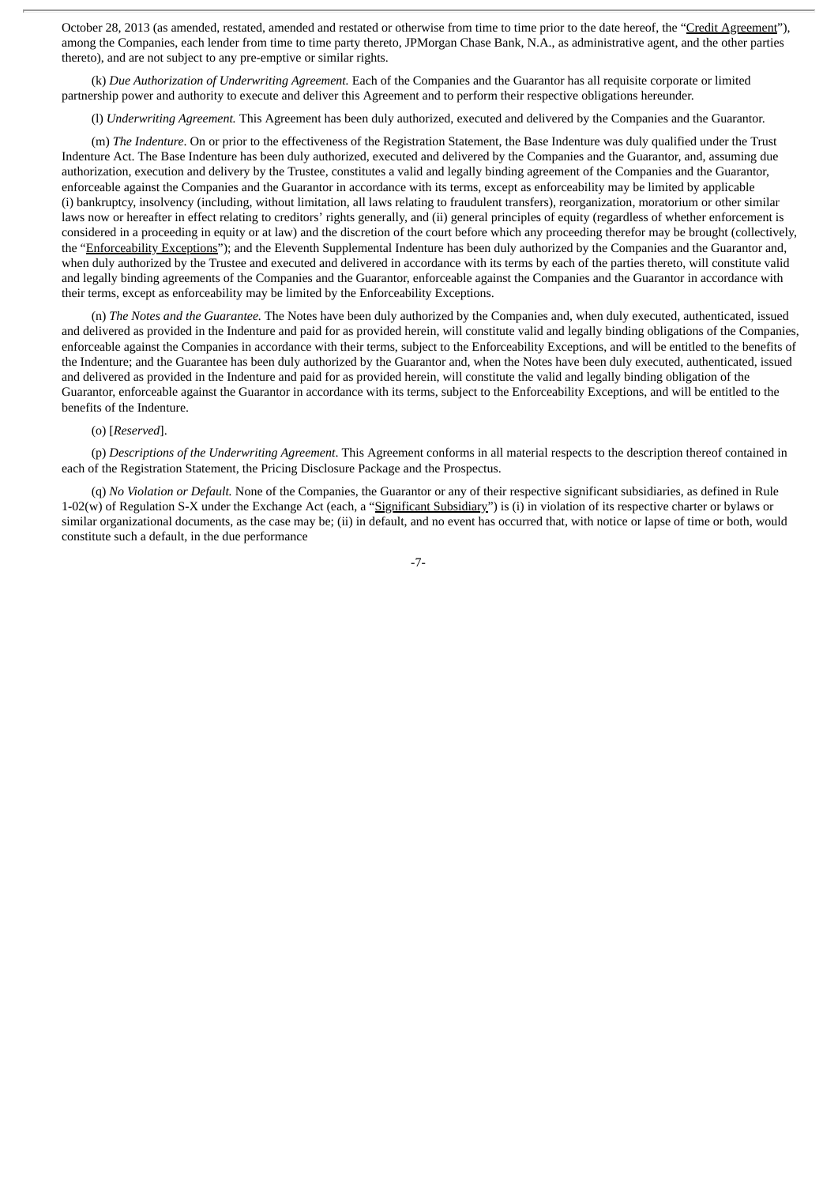October 28, 2013 (as amended, restated, amended and restated or otherwise from time to time prior to the date hereof, the "Credit Agreement"), among the Companies, each lender from time to time party thereto, JPMorgan Chase Bank, N.A., as administrative agent, and the other parties thereto), and are not subject to any pre-emptive or similar rights.

(k) *Due Authorization of Underwriting Agreement.* Each of the Companies and the Guarantor has all requisite corporate or limited partnership power and authority to execute and deliver this Agreement and to perform their respective obligations hereunder.

(l) *Underwriting Agreement.* This Agreement has been duly authorized, executed and delivered by the Companies and the Guarantor.

(m) *The Indenture*. On or prior to the effectiveness of the Registration Statement, the Base Indenture was duly qualified under the Trust Indenture Act. The Base Indenture has been duly authorized, executed and delivered by the Companies and the Guarantor, and, assuming due authorization, execution and delivery by the Trustee, constitutes a valid and legally binding agreement of the Companies and the Guarantor, enforceable against the Companies and the Guarantor in accordance with its terms, except as enforceability may be limited by applicable (i) bankruptcy, insolvency (including, without limitation, all laws relating to fraudulent transfers), reorganization, moratorium or other similar laws now or hereafter in effect relating to creditors' rights generally, and (ii) general principles of equity (regardless of whether enforcement is considered in a proceeding in equity or at law) and the discretion of the court before which any proceeding therefor may be brought (collectively, the "Enforceability Exceptions"); and the Eleventh Supplemental Indenture has been duly authorized by the Companies and the Guarantor and, when duly authorized by the Trustee and executed and delivered in accordance with its terms by each of the parties thereto, will constitute valid and legally binding agreements of the Companies and the Guarantor, enforceable against the Companies and the Guarantor in accordance with their terms, except as enforceability may be limited by the Enforceability Exceptions.

(n) *The Notes and the Guarantee.* The Notes have been duly authorized by the Companies and, when duly executed, authenticated, issued and delivered as provided in the Indenture and paid for as provided herein, will constitute valid and legally binding obligations of the Companies, enforceable against the Companies in accordance with their terms, subject to the Enforceability Exceptions, and will be entitled to the benefits of the Indenture; and the Guarantee has been duly authorized by the Guarantor and, when the Notes have been duly executed, authenticated, issued and delivered as provided in the Indenture and paid for as provided herein, will constitute the valid and legally binding obligation of the Guarantor, enforceable against the Guarantor in accordance with its terms, subject to the Enforceability Exceptions, and will be entitled to the benefits of the Indenture.

# (o) [*Reserved*].

(p) *Descriptions of the Underwriting Agreement*. This Agreement conforms in all material respects to the description thereof contained in each of the Registration Statement, the Pricing Disclosure Package and the Prospectus.

(q) *No Violation or Default.* None of the Companies, the Guarantor or any of their respective significant subsidiaries, as defined in Rule 1-02(w) of Regulation S-X under the Exchange Act (each, a "Significant Subsidiary") is (i) in violation of its respective charter or bylaws or similar organizational documents, as the case may be; (ii) in default, and no event has occurred that, with notice or lapse of time or both, would constitute such a default, in the due performance

-7-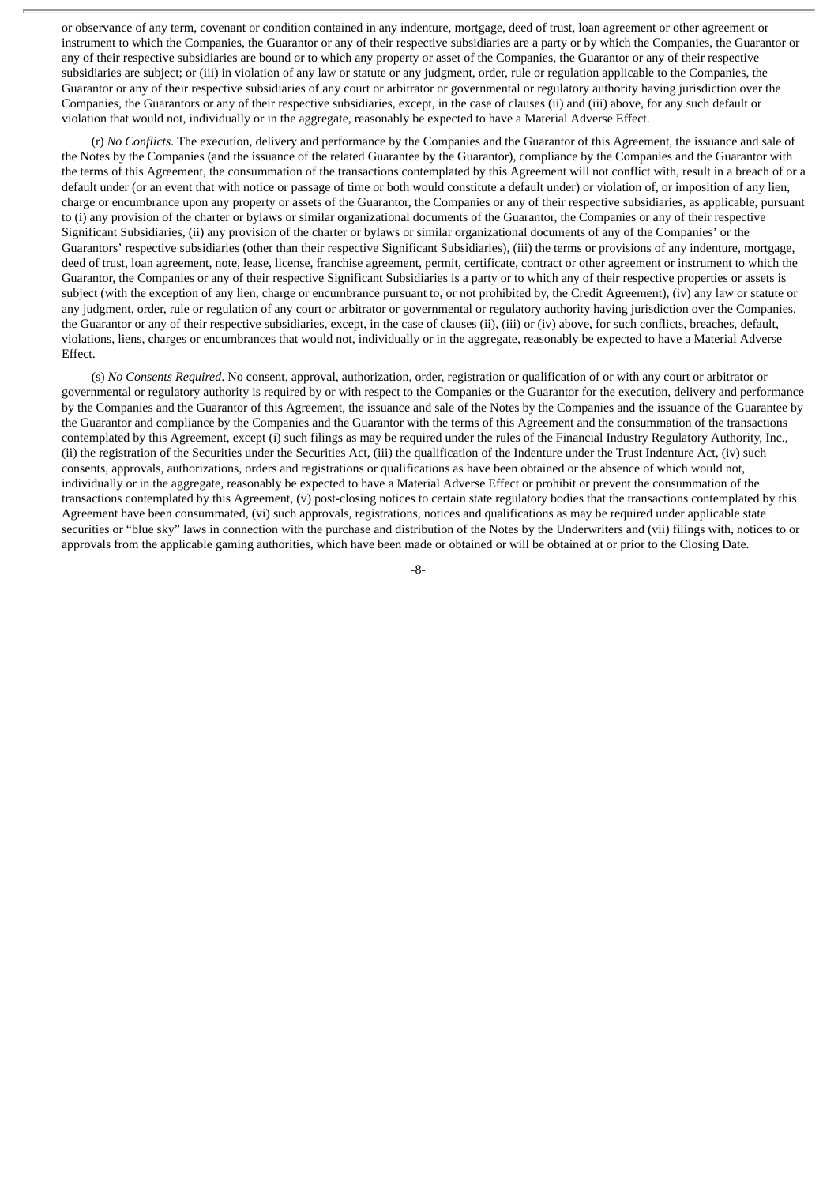or observance of any term, covenant or condition contained in any indenture, mortgage, deed of trust, loan agreement or other agreement or instrument to which the Companies, the Guarantor or any of their respective subsidiaries are a party or by which the Companies, the Guarantor or any of their respective subsidiaries are bound or to which any property or asset of the Companies, the Guarantor or any of their respective subsidiaries are subject; or (iii) in violation of any law or statute or any judgment, order, rule or regulation applicable to the Companies, the Guarantor or any of their respective subsidiaries of any court or arbitrator or governmental or regulatory authority having jurisdiction over the Companies, the Guarantors or any of their respective subsidiaries, except, in the case of clauses (ii) and (iii) above, for any such default or violation that would not, individually or in the aggregate, reasonably be expected to have a Material Adverse Effect.

(r) *No Conflicts*. The execution, delivery and performance by the Companies and the Guarantor of this Agreement, the issuance and sale of the Notes by the Companies (and the issuance of the related Guarantee by the Guarantor), compliance by the Companies and the Guarantor with the terms of this Agreement, the consummation of the transactions contemplated by this Agreement will not conflict with, result in a breach of or a default under (or an event that with notice or passage of time or both would constitute a default under) or violation of, or imposition of any lien, charge or encumbrance upon any property or assets of the Guarantor, the Companies or any of their respective subsidiaries, as applicable, pursuant to (i) any provision of the charter or bylaws or similar organizational documents of the Guarantor, the Companies or any of their respective Significant Subsidiaries, (ii) any provision of the charter or bylaws or similar organizational documents of any of the Companies' or the Guarantors' respective subsidiaries (other than their respective Significant Subsidiaries), (iii) the terms or provisions of any indenture, mortgage, deed of trust, loan agreement, note, lease, license, franchise agreement, permit, certificate, contract or other agreement or instrument to which the Guarantor, the Companies or any of their respective Significant Subsidiaries is a party or to which any of their respective properties or assets is subject (with the exception of any lien, charge or encumbrance pursuant to, or not prohibited by, the Credit Agreement), (iv) any law or statute or any judgment, order, rule or regulation of any court or arbitrator or governmental or regulatory authority having jurisdiction over the Companies, the Guarantor or any of their respective subsidiaries, except, in the case of clauses (ii), (iii) or (iv) above, for such conflicts, breaches, default, violations, liens, charges or encumbrances that would not, individually or in the aggregate, reasonably be expected to have a Material Adverse Effect.

(s) *No Consents Required*. No consent, approval, authorization, order, registration or qualification of or with any court or arbitrator or governmental or regulatory authority is required by or with respect to the Companies or the Guarantor for the execution, delivery and performance by the Companies and the Guarantor of this Agreement, the issuance and sale of the Notes by the Companies and the issuance of the Guarantee by the Guarantor and compliance by the Companies and the Guarantor with the terms of this Agreement and the consummation of the transactions contemplated by this Agreement, except (i) such filings as may be required under the rules of the Financial Industry Regulatory Authority, Inc., (ii) the registration of the Securities under the Securities Act, (iii) the qualification of the Indenture under the Trust Indenture Act, (iv) such consents, approvals, authorizations, orders and registrations or qualifications as have been obtained or the absence of which would not, individually or in the aggregate, reasonably be expected to have a Material Adverse Effect or prohibit or prevent the consummation of the transactions contemplated by this Agreement, (v) post-closing notices to certain state regulatory bodies that the transactions contemplated by this Agreement have been consummated, (vi) such approvals, registrations, notices and qualifications as may be required under applicable state securities or "blue sky" laws in connection with the purchase and distribution of the Notes by the Underwriters and (vii) filings with, notices to or approvals from the applicable gaming authorities, which have been made or obtained or will be obtained at or prior to the Closing Date.

-8-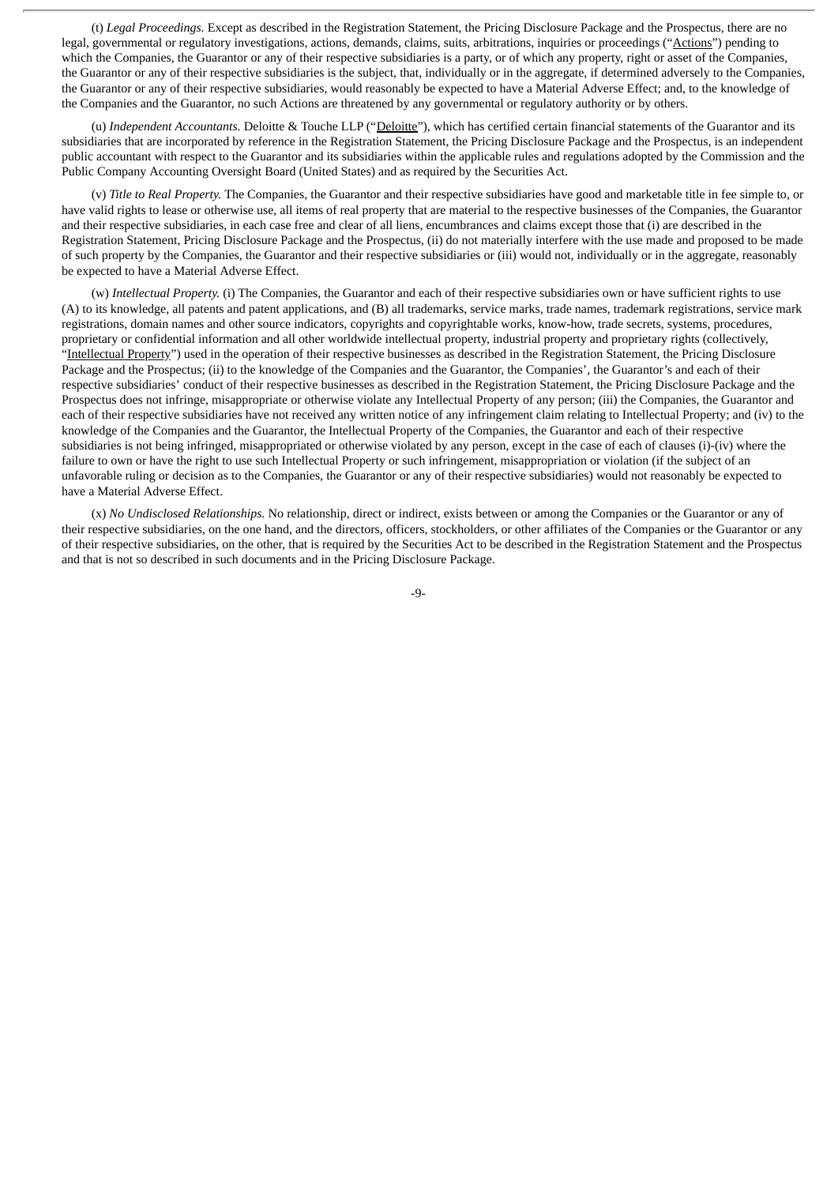(t) *Legal Proceedings.* Except as described in the Registration Statement, the Pricing Disclosure Package and the Prospectus, there are no legal, governmental or regulatory investigations, actions, demands, claims, suits, arbitrations, inquiries or proceedings ("Actions") pending to which the Companies, the Guarantor or any of their respective subsidiaries is a party, or of which any property, right or asset of the Companies, the Guarantor or any of their respective subsidiaries is the subject, that, individually or in the aggregate, if determined adversely to the Companies, the Guarantor or any of their respective subsidiaries, would reasonably be expected to have a Material Adverse Effect; and, to the knowledge of the Companies and the Guarantor, no such Actions are threatened by any governmental or regulatory authority or by others.

(u) *Independent Accountants.* Deloitte & Touche LLP ("Deloitte"), which has certified certain financial statements of the Guarantor and its subsidiaries that are incorporated by reference in the Registration Statement, the Pricing Disclosure Package and the Prospectus, is an independent public accountant with respect to the Guarantor and its subsidiaries within the applicable rules and regulations adopted by the Commission and the Public Company Accounting Oversight Board (United States) and as required by the Securities Act.

(v) *Title to Real Property.* The Companies, the Guarantor and their respective subsidiaries have good and marketable title in fee simple to, or have valid rights to lease or otherwise use, all items of real property that are material to the respective businesses of the Companies, the Guarantor and their respective subsidiaries, in each case free and clear of all liens, encumbrances and claims except those that (i) are described in the Registration Statement, Pricing Disclosure Package and the Prospectus, (ii) do not materially interfere with the use made and proposed to be made of such property by the Companies, the Guarantor and their respective subsidiaries or (iii) would not, individually or in the aggregate, reasonably be expected to have a Material Adverse Effect.

(w) *Intellectual Property.* (i) The Companies, the Guarantor and each of their respective subsidiaries own or have sufficient rights to use (A) to its knowledge, all patents and patent applications, and (B) all trademarks, service marks, trade names, trademark registrations, service mark registrations, domain names and other source indicators, copyrights and copyrightable works, know-how, trade secrets, systems, procedures, proprietary or confidential information and all other worldwide intellectual property, industrial property and proprietary rights (collectively, "Intellectual Property") used in the operation of their respective businesses as described in the Registration Statement, the Pricing Disclosure Package and the Prospectus; (ii) to the knowledge of the Companies and the Guarantor, the Companies', the Guarantor's and each of their respective subsidiaries' conduct of their respective businesses as described in the Registration Statement, the Pricing Disclosure Package and the Prospectus does not infringe, misappropriate or otherwise violate any Intellectual Property of any person; (iii) the Companies, the Guarantor and each of their respective subsidiaries have not received any written notice of any infringement claim relating to Intellectual Property; and (iv) to the knowledge of the Companies and the Guarantor, the Intellectual Property of the Companies, the Guarantor and each of their respective subsidiaries is not being infringed, misappropriated or otherwise violated by any person, except in the case of each of clauses (i)-(iv) where the failure to own or have the right to use such Intellectual Property or such infringement, misappropriation or violation (if the subject of an unfavorable ruling or decision as to the Companies, the Guarantor or any of their respective subsidiaries) would not reasonably be expected to have a Material Adverse Effect.

(x) *No Undisclosed Relationships.* No relationship, direct or indirect, exists between or among the Companies or the Guarantor or any of their respective subsidiaries, on the one hand, and the directors, officers, stockholders, or other affiliates of the Companies or the Guarantor or any of their respective subsidiaries, on the other, that is required by the Securities Act to be described in the Registration Statement and the Prospectus and that is not so described in such documents and in the Pricing Disclosure Package.

-9-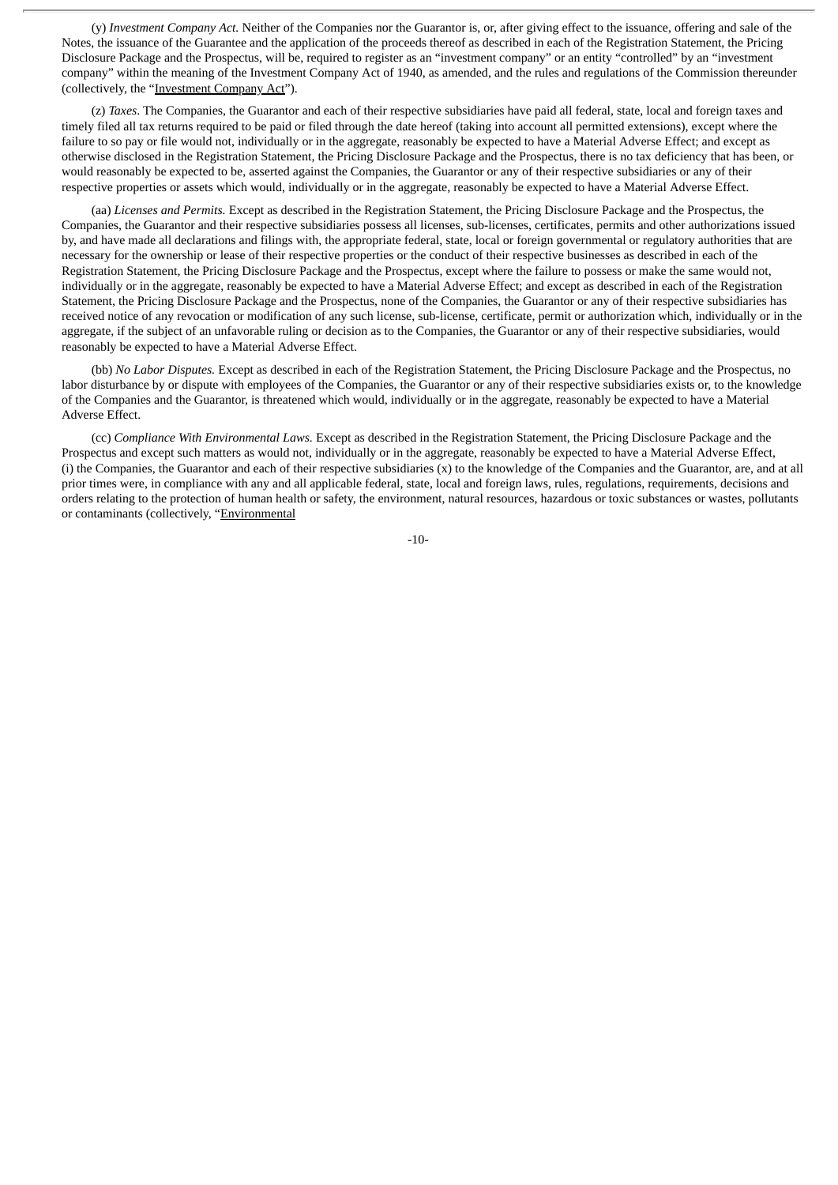(y) *Investment Company Act.* Neither of the Companies nor the Guarantor is, or, after giving effect to the issuance, offering and sale of the Notes, the issuance of the Guarantee and the application of the proceeds thereof as described in each of the Registration Statement, the Pricing Disclosure Package and the Prospectus, will be, required to register as an "investment company" or an entity "controlled" by an "investment company" within the meaning of the Investment Company Act of 1940, as amended, and the rules and regulations of the Commission thereunder (collectively, the "Investment Company Act").

(z) *Taxes*. The Companies, the Guarantor and each of their respective subsidiaries have paid all federal, state, local and foreign taxes and timely filed all tax returns required to be paid or filed through the date hereof (taking into account all permitted extensions), except where the failure to so pay or file would not, individually or in the aggregate, reasonably be expected to have a Material Adverse Effect; and except as otherwise disclosed in the Registration Statement, the Pricing Disclosure Package and the Prospectus, there is no tax deficiency that has been, or would reasonably be expected to be, asserted against the Companies, the Guarantor or any of their respective subsidiaries or any of their respective properties or assets which would, individually or in the aggregate, reasonably be expected to have a Material Adverse Effect.

(aa) *Licenses and Permits.* Except as described in the Registration Statement, the Pricing Disclosure Package and the Prospectus, the Companies, the Guarantor and their respective subsidiaries possess all licenses, sub-licenses, certificates, permits and other authorizations issued by, and have made all declarations and filings with, the appropriate federal, state, local or foreign governmental or regulatory authorities that are necessary for the ownership or lease of their respective properties or the conduct of their respective businesses as described in each of the Registration Statement, the Pricing Disclosure Package and the Prospectus, except where the failure to possess or make the same would not, individually or in the aggregate, reasonably be expected to have a Material Adverse Effect; and except as described in each of the Registration Statement, the Pricing Disclosure Package and the Prospectus, none of the Companies, the Guarantor or any of their respective subsidiaries has received notice of any revocation or modification of any such license, sub-license, certificate, permit or authorization which, individually or in the aggregate, if the subject of an unfavorable ruling or decision as to the Companies, the Guarantor or any of their respective subsidiaries, would reasonably be expected to have a Material Adverse Effect.

(bb) *No Labor Disputes.* Except as described in each of the Registration Statement, the Pricing Disclosure Package and the Prospectus, no labor disturbance by or dispute with employees of the Companies, the Guarantor or any of their respective subsidiaries exists or, to the knowledge of the Companies and the Guarantor, is threatened which would, individually or in the aggregate, reasonably be expected to have a Material Adverse Effect.

(cc) *Compliance With Environmental Laws.* Except as described in the Registration Statement, the Pricing Disclosure Package and the Prospectus and except such matters as would not, individually or in the aggregate, reasonably be expected to have a Material Adverse Effect, (i) the Companies, the Guarantor and each of their respective subsidiaries (x) to the knowledge of the Companies and the Guarantor, are, and at all prior times were, in compliance with any and all applicable federal, state, local and foreign laws, rules, regulations, requirements, decisions and orders relating to the protection of human health or safety, the environment, natural resources, hazardous or toxic substances or wastes, pollutants or contaminants (collectively, "Environmental

-10-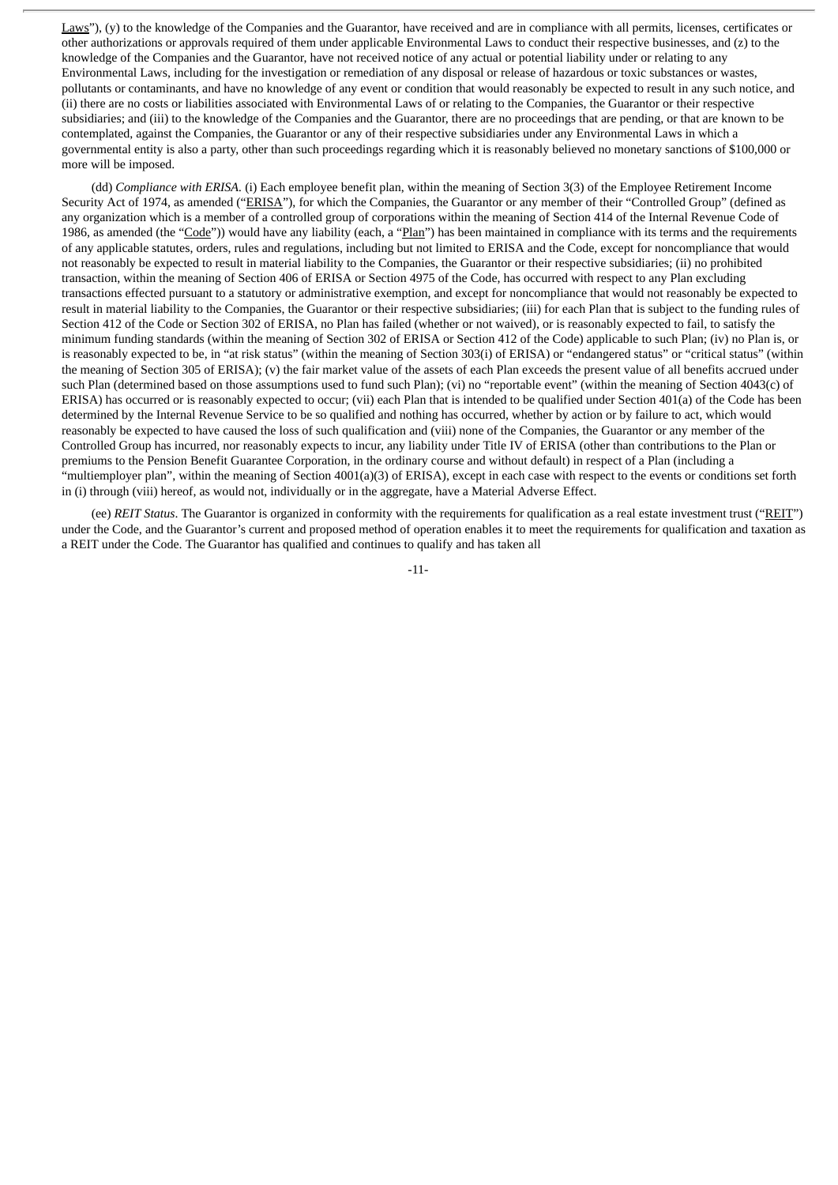Laws"), (y) to the knowledge of the Companies and the Guarantor, have received and are in compliance with all permits, licenses, certificates or other authorizations or approvals required of them under applicable Environmental Laws to conduct their respective businesses, and (z) to the knowledge of the Companies and the Guarantor, have not received notice of any actual or potential liability under or relating to any Environmental Laws, including for the investigation or remediation of any disposal or release of hazardous or toxic substances or wastes, pollutants or contaminants, and have no knowledge of any event or condition that would reasonably be expected to result in any such notice, and (ii) there are no costs or liabilities associated with Environmental Laws of or relating to the Companies, the Guarantor or their respective subsidiaries; and (iii) to the knowledge of the Companies and the Guarantor, there are no proceedings that are pending, or that are known to be contemplated, against the Companies, the Guarantor or any of their respective subsidiaries under any Environmental Laws in which a governmental entity is also a party, other than such proceedings regarding which it is reasonably believed no monetary sanctions of \$100,000 or more will be imposed.

(dd) *Compliance with ERISA.* (i) Each employee benefit plan, within the meaning of Section 3(3) of the Employee Retirement Income Security Act of 1974, as amended ("ERISA"), for which the Companies, the Guarantor or any member of their "Controlled Group" (defined as any organization which is a member of a controlled group of corporations within the meaning of Section 414 of the Internal Revenue Code of 1986, as amended (the "Code")) would have any liability (each, a "Plan") has been maintained in compliance with its terms and the requirements of any applicable statutes, orders, rules and regulations, including but not limited to ERISA and the Code, except for noncompliance that would not reasonably be expected to result in material liability to the Companies, the Guarantor or their respective subsidiaries; (ii) no prohibited transaction, within the meaning of Section 406 of ERISA or Section 4975 of the Code, has occurred with respect to any Plan excluding transactions effected pursuant to a statutory or administrative exemption, and except for noncompliance that would not reasonably be expected to result in material liability to the Companies, the Guarantor or their respective subsidiaries; (iii) for each Plan that is subject to the funding rules of Section 412 of the Code or Section 302 of ERISA, no Plan has failed (whether or not waived), or is reasonably expected to fail, to satisfy the minimum funding standards (within the meaning of Section 302 of ERISA or Section 412 of the Code) applicable to such Plan; (iv) no Plan is, or is reasonably expected to be, in "at risk status" (within the meaning of Section 303(i) of ERISA) or "endangered status" or "critical status" (within the meaning of Section 305 of ERISA); (v) the fair market value of the assets of each Plan exceeds the present value of all benefits accrued under such Plan (determined based on those assumptions used to fund such Plan); (vi) no "reportable event" (within the meaning of Section 4043(c) of ERISA) has occurred or is reasonably expected to occur; (vii) each Plan that is intended to be qualified under Section 401(a) of the Code has been determined by the Internal Revenue Service to be so qualified and nothing has occurred, whether by action or by failure to act, which would reasonably be expected to have caused the loss of such qualification and (viii) none of the Companies, the Guarantor or any member of the Controlled Group has incurred, nor reasonably expects to incur, any liability under Title IV of ERISA (other than contributions to the Plan or premiums to the Pension Benefit Guarantee Corporation, in the ordinary course and without default) in respect of a Plan (including a "multiemployer plan", within the meaning of Section 4001(a)(3) of ERISA), except in each case with respect to the events or conditions set forth in (i) through (viii) hereof, as would not, individually or in the aggregate, have a Material Adverse Effect.

(ee) *REIT Status*. The Guarantor is organized in conformity with the requirements for qualification as a real estate investment trust ("REIT") under the Code, and the Guarantor's current and proposed method of operation enables it to meet the requirements for qualification and taxation as a REIT under the Code. The Guarantor has qualified and continues to qualify and has taken all

-11-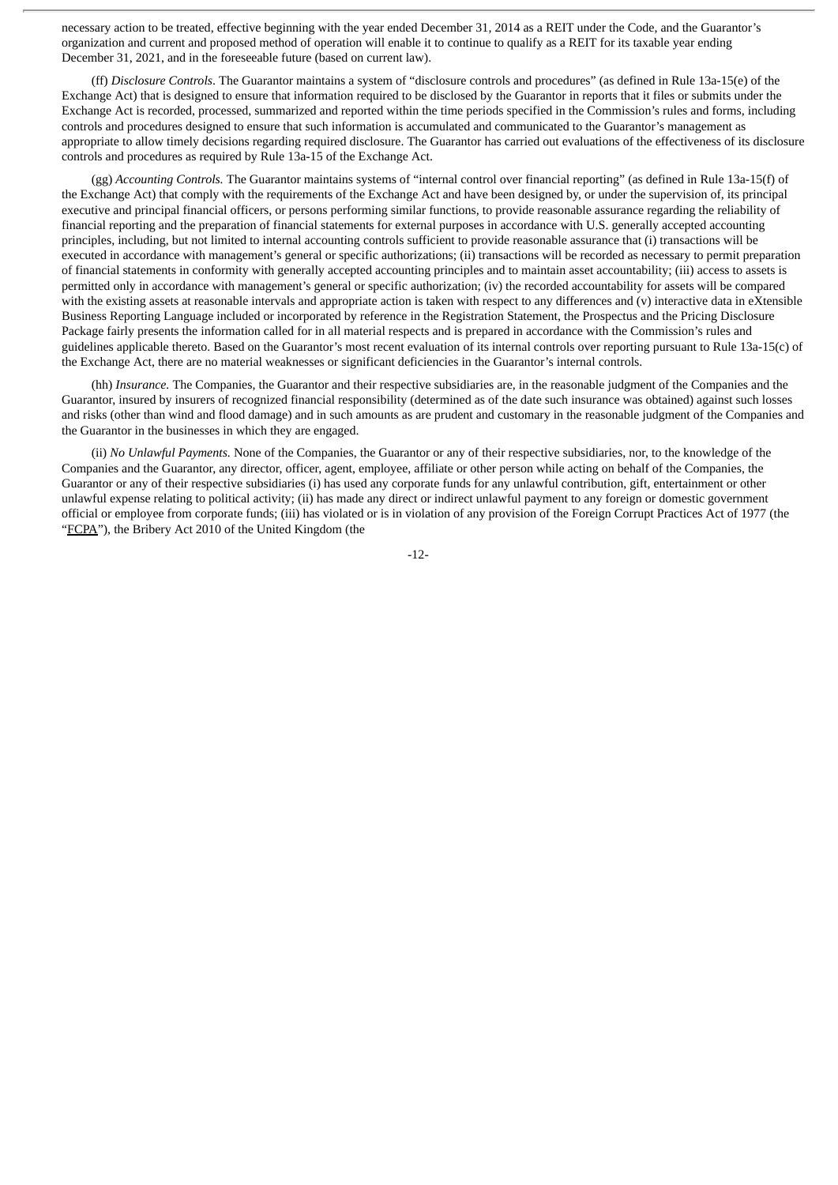necessary action to be treated, effective beginning with the year ended December 31, 2014 as a REIT under the Code, and the Guarantor's organization and current and proposed method of operation will enable it to continue to qualify as a REIT for its taxable year ending December 31, 2021, and in the foreseeable future (based on current law).

(ff) *Disclosure Controls*. The Guarantor maintains a system of "disclosure controls and procedures" (as defined in Rule 13a-15(e) of the Exchange Act) that is designed to ensure that information required to be disclosed by the Guarantor in reports that it files or submits under the Exchange Act is recorded, processed, summarized and reported within the time periods specified in the Commission's rules and forms, including controls and procedures designed to ensure that such information is accumulated and communicated to the Guarantor's management as appropriate to allow timely decisions regarding required disclosure. The Guarantor has carried out evaluations of the effectiveness of its disclosure controls and procedures as required by Rule 13a-15 of the Exchange Act.

(gg) *Accounting Controls.* The Guarantor maintains systems of "internal control over financial reporting" (as defined in Rule 13a-15(f) of the Exchange Act) that comply with the requirements of the Exchange Act and have been designed by, or under the supervision of, its principal executive and principal financial officers, or persons performing similar functions, to provide reasonable assurance regarding the reliability of financial reporting and the preparation of financial statements for external purposes in accordance with U.S. generally accepted accounting principles, including, but not limited to internal accounting controls sufficient to provide reasonable assurance that (i) transactions will be executed in accordance with management's general or specific authorizations; (ii) transactions will be recorded as necessary to permit preparation of financial statements in conformity with generally accepted accounting principles and to maintain asset accountability; (iii) access to assets is permitted only in accordance with management's general or specific authorization; (iv) the recorded accountability for assets will be compared with the existing assets at reasonable intervals and appropriate action is taken with respect to any differences and (v) interactive data in eXtensible Business Reporting Language included or incorporated by reference in the Registration Statement, the Prospectus and the Pricing Disclosure Package fairly presents the information called for in all material respects and is prepared in accordance with the Commission's rules and guidelines applicable thereto. Based on the Guarantor's most recent evaluation of its internal controls over reporting pursuant to Rule 13a-15(c) of the Exchange Act, there are no material weaknesses or significant deficiencies in the Guarantor's internal controls.

(hh) *Insurance.* The Companies, the Guarantor and their respective subsidiaries are, in the reasonable judgment of the Companies and the Guarantor, insured by insurers of recognized financial responsibility (determined as of the date such insurance was obtained) against such losses and risks (other than wind and flood damage) and in such amounts as are prudent and customary in the reasonable judgment of the Companies and the Guarantor in the businesses in which they are engaged.

(ii) *No Unlawful Payments.* None of the Companies, the Guarantor or any of their respective subsidiaries, nor, to the knowledge of the Companies and the Guarantor, any director, officer, agent, employee, affiliate or other person while acting on behalf of the Companies, the Guarantor or any of their respective subsidiaries (i) has used any corporate funds for any unlawful contribution, gift, entertainment or other unlawful expense relating to political activity; (ii) has made any direct or indirect unlawful payment to any foreign or domestic government official or employee from corporate funds; (iii) has violated or is in violation of any provision of the Foreign Corrupt Practices Act of 1977 (the "FCPA"), the Bribery Act 2010 of the United Kingdom (the

-12-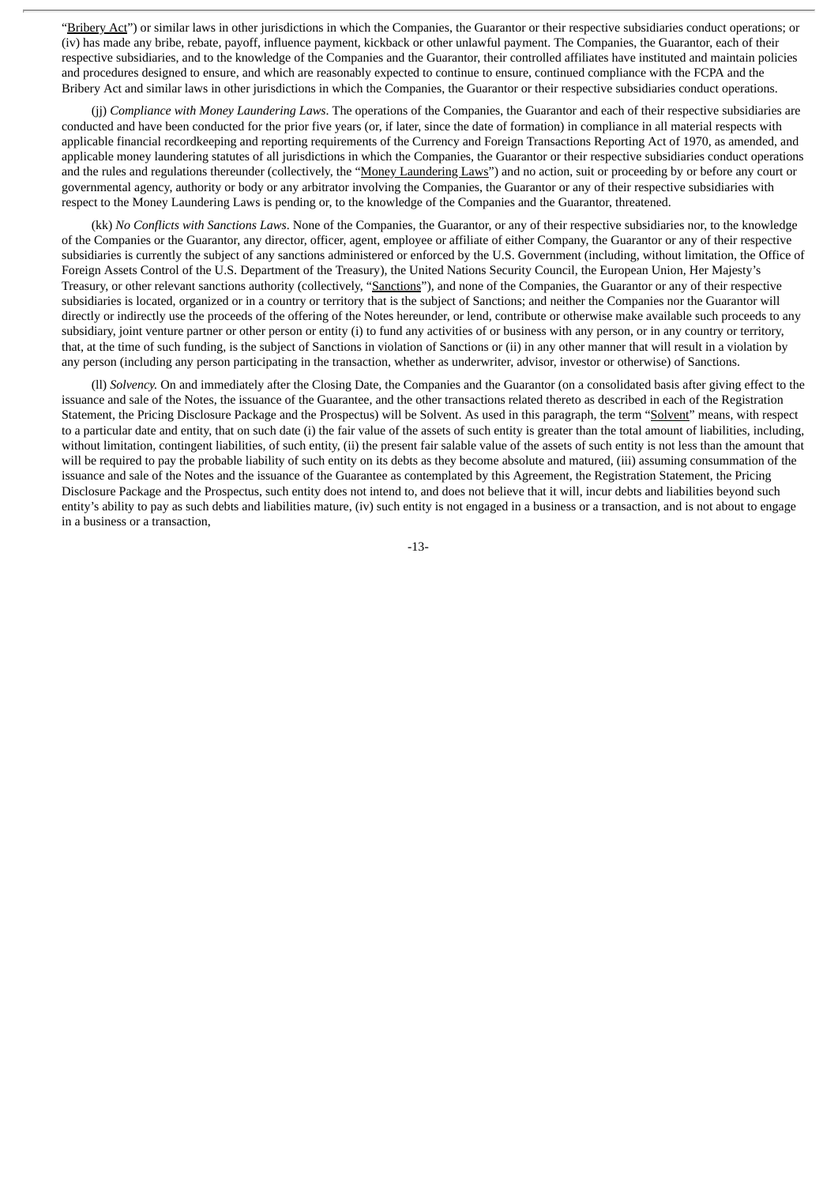"Bribery Act") or similar laws in other jurisdictions in which the Companies, the Guarantor or their respective subsidiaries conduct operations; or (iv) has made any bribe, rebate, payoff, influence payment, kickback or other unlawful payment. The Companies, the Guarantor, each of their respective subsidiaries, and to the knowledge of the Companies and the Guarantor, their controlled affiliates have instituted and maintain policies and procedures designed to ensure, and which are reasonably expected to continue to ensure, continued compliance with the FCPA and the Bribery Act and similar laws in other jurisdictions in which the Companies, the Guarantor or their respective subsidiaries conduct operations.

(jj) *Compliance with Money Laundering Laws*. The operations of the Companies, the Guarantor and each of their respective subsidiaries are conducted and have been conducted for the prior five years (or, if later, since the date of formation) in compliance in all material respects with applicable financial recordkeeping and reporting requirements of the Currency and Foreign Transactions Reporting Act of 1970, as amended, and applicable money laundering statutes of all jurisdictions in which the Companies, the Guarantor or their respective subsidiaries conduct operations and the rules and regulations thereunder (collectively, the "Money Laundering Laws") and no action, suit or proceeding by or before any court or governmental agency, authority or body or any arbitrator involving the Companies, the Guarantor or any of their respective subsidiaries with respect to the Money Laundering Laws is pending or, to the knowledge of the Companies and the Guarantor, threatened.

(kk) *No Conflicts with Sanctions Laws*. None of the Companies, the Guarantor, or any of their respective subsidiaries nor, to the knowledge of the Companies or the Guarantor, any director, officer, agent, employee or affiliate of either Company, the Guarantor or any of their respective subsidiaries is currently the subject of any sanctions administered or enforced by the U.S. Government (including, without limitation, the Office of Foreign Assets Control of the U.S. Department of the Treasury), the United Nations Security Council, the European Union, Her Majesty's Treasury, or other relevant sanctions authority (collectively, "Sanctions"), and none of the Companies, the Guarantor or any of their respective subsidiaries is located, organized or in a country or territory that is the subject of Sanctions; and neither the Companies nor the Guarantor will directly or indirectly use the proceeds of the offering of the Notes hereunder, or lend, contribute or otherwise make available such proceeds to any subsidiary, joint venture partner or other person or entity (i) to fund any activities of or business with any person, or in any country or territory, that, at the time of such funding, is the subject of Sanctions in violation of Sanctions or (ii) in any other manner that will result in a violation by any person (including any person participating in the transaction, whether as underwriter, advisor, investor or otherwise) of Sanctions.

(ll) *Solvency.* On and immediately after the Closing Date, the Companies and the Guarantor (on a consolidated basis after giving effect to the issuance and sale of the Notes, the issuance of the Guarantee, and the other transactions related thereto as described in each of the Registration Statement, the Pricing Disclosure Package and the Prospectus) will be Solvent. As used in this paragraph, the term "Solvent" means, with respect to a particular date and entity, that on such date (i) the fair value of the assets of such entity is greater than the total amount of liabilities, including, without limitation, contingent liabilities, of such entity, (ii) the present fair salable value of the assets of such entity is not less than the amount that will be required to pay the probable liability of such entity on its debts as they become absolute and matured, (iii) assuming consummation of the issuance and sale of the Notes and the issuance of the Guarantee as contemplated by this Agreement, the Registration Statement, the Pricing Disclosure Package and the Prospectus, such entity does not intend to, and does not believe that it will, incur debts and liabilities beyond such entity's ability to pay as such debts and liabilities mature, (iv) such entity is not engaged in a business or a transaction, and is not about to engage in a business or a transaction,

-13-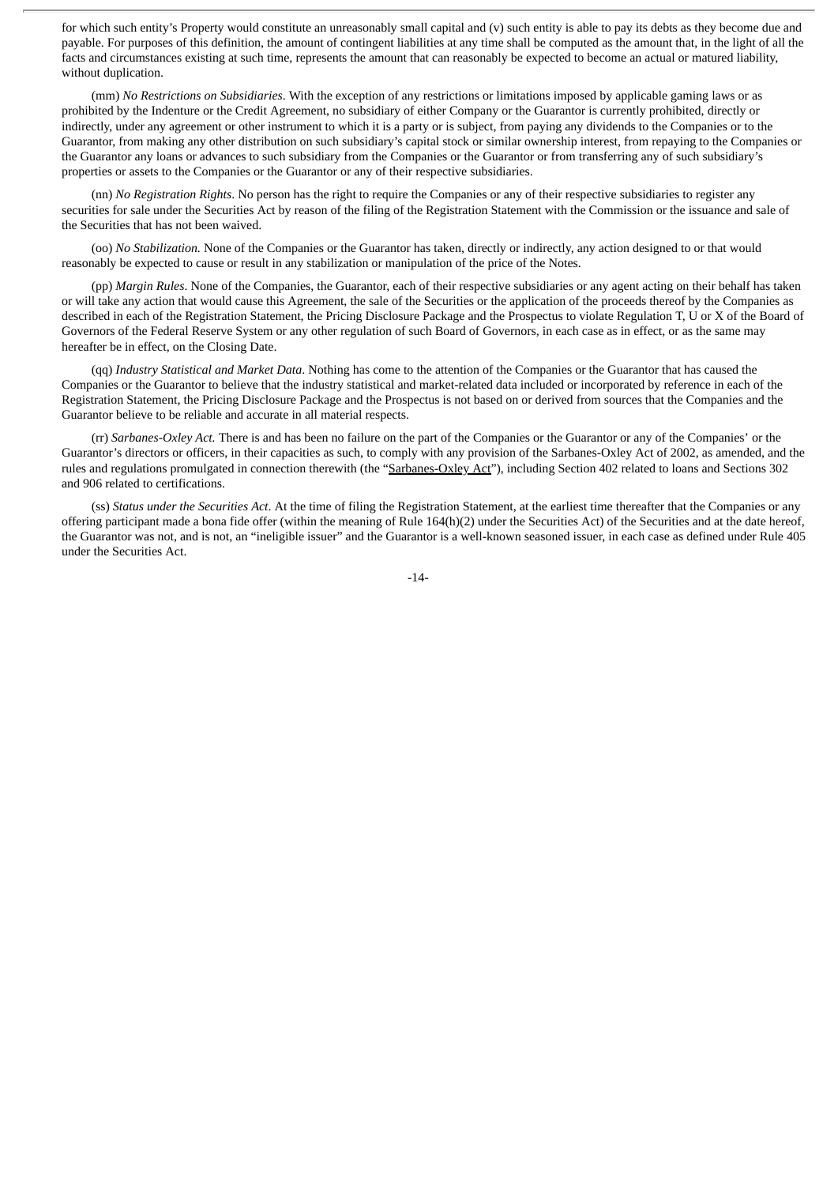for which such entity's Property would constitute an unreasonably small capital and (v) such entity is able to pay its debts as they become due and payable. For purposes of this definition, the amount of contingent liabilities at any time shall be computed as the amount that, in the light of all the facts and circumstances existing at such time, represents the amount that can reasonably be expected to become an actual or matured liability, without duplication.

(mm) *No Restrictions on Subsidiaries*. With the exception of any restrictions or limitations imposed by applicable gaming laws or as prohibited by the Indenture or the Credit Agreement, no subsidiary of either Company or the Guarantor is currently prohibited, directly or indirectly, under any agreement or other instrument to which it is a party or is subject, from paying any dividends to the Companies or to the Guarantor, from making any other distribution on such subsidiary's capital stock or similar ownership interest, from repaying to the Companies or the Guarantor any loans or advances to such subsidiary from the Companies or the Guarantor or from transferring any of such subsidiary's properties or assets to the Companies or the Guarantor or any of their respective subsidiaries.

(nn) *No Registration Rights*. No person has the right to require the Companies or any of their respective subsidiaries to register any securities for sale under the Securities Act by reason of the filing of the Registration Statement with the Commission or the issuance and sale of the Securities that has not been waived.

(oo) *No Stabilization.* None of the Companies or the Guarantor has taken, directly or indirectly, any action designed to or that would reasonably be expected to cause or result in any stabilization or manipulation of the price of the Notes.

(pp) *Margin Rules*. None of the Companies, the Guarantor, each of their respective subsidiaries or any agent acting on their behalf has taken or will take any action that would cause this Agreement, the sale of the Securities or the application of the proceeds thereof by the Companies as described in each of the Registration Statement, the Pricing Disclosure Package and the Prospectus to violate Regulation T, U or X of the Board of Governors of the Federal Reserve System or any other regulation of such Board of Governors, in each case as in effect, or as the same may hereafter be in effect, on the Closing Date.

(qq) *Industry Statistical and Market Data*. Nothing has come to the attention of the Companies or the Guarantor that has caused the Companies or the Guarantor to believe that the industry statistical and market-related data included or incorporated by reference in each of the Registration Statement, the Pricing Disclosure Package and the Prospectus is not based on or derived from sources that the Companies and the Guarantor believe to be reliable and accurate in all material respects.

(rr) *Sarbanes-Oxley Act.* There is and has been no failure on the part of the Companies or the Guarantor or any of the Companies' or the Guarantor's directors or officers, in their capacities as such, to comply with any provision of the Sarbanes-Oxley Act of 2002, as amended, and the rules and regulations promulgated in connection therewith (the "Sarbanes-Oxley Act"), including Section 402 related to loans and Sections 302 and 906 related to certifications.

(ss) *Status under the Securities Act*. At the time of filing the Registration Statement, at the earliest time thereafter that the Companies or any offering participant made a bona fide offer (within the meaning of Rule 164(h)(2) under the Securities Act) of the Securities and at the date hereof, the Guarantor was not, and is not, an "ineligible issuer" and the Guarantor is a well-known seasoned issuer, in each case as defined under Rule 405 under the Securities Act.

-14-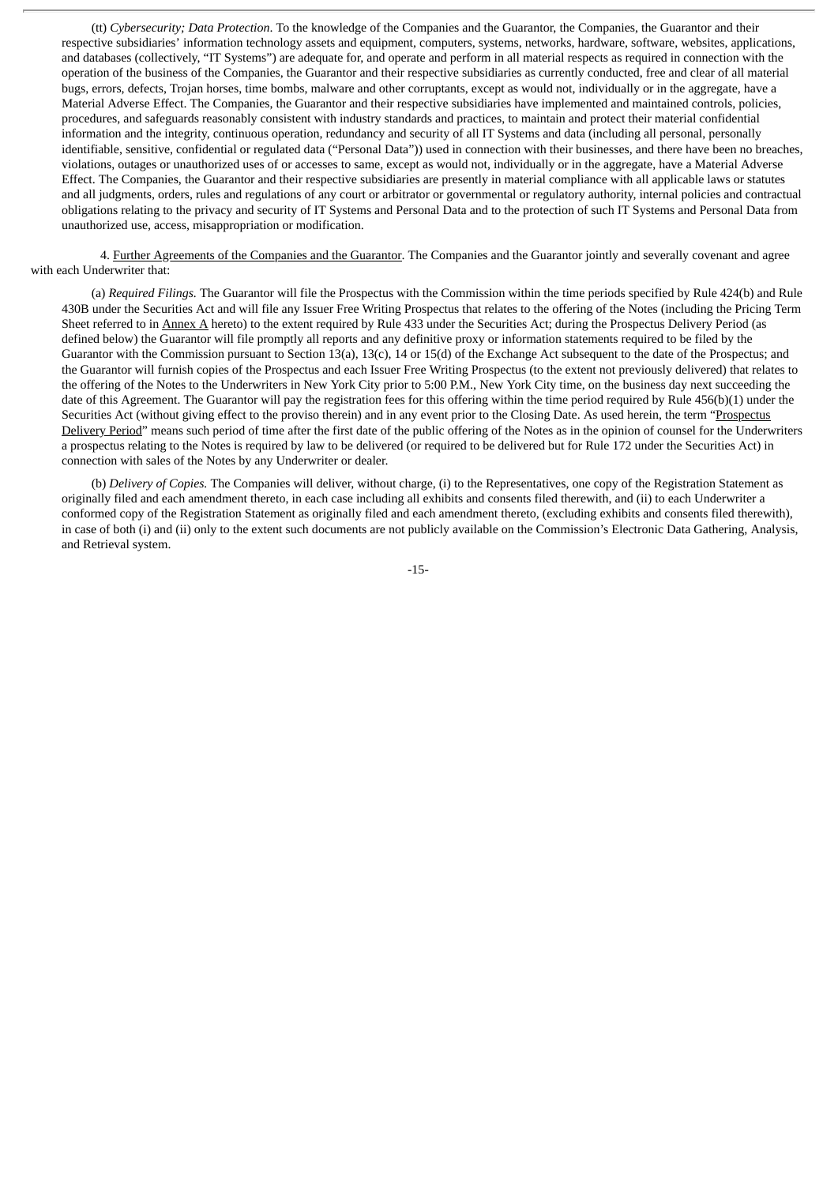(tt) *Cybersecurity; Data Protection*. To the knowledge of the Companies and the Guarantor, the Companies, the Guarantor and their respective subsidiaries' information technology assets and equipment, computers, systems, networks, hardware, software, websites, applications, and databases (collectively, "IT Systems") are adequate for, and operate and perform in all material respects as required in connection with the operation of the business of the Companies, the Guarantor and their respective subsidiaries as currently conducted, free and clear of all material bugs, errors, defects, Trojan horses, time bombs, malware and other corruptants, except as would not, individually or in the aggregate, have a Material Adverse Effect. The Companies, the Guarantor and their respective subsidiaries have implemented and maintained controls, policies, procedures, and safeguards reasonably consistent with industry standards and practices, to maintain and protect their material confidential information and the integrity, continuous operation, redundancy and security of all IT Systems and data (including all personal, personally identifiable, sensitive, confidential or regulated data ("Personal Data")) used in connection with their businesses, and there have been no breaches, violations, outages or unauthorized uses of or accesses to same, except as would not, individually or in the aggregate, have a Material Adverse Effect. The Companies, the Guarantor and their respective subsidiaries are presently in material compliance with all applicable laws or statutes and all judgments, orders, rules and regulations of any court or arbitrator or governmental or regulatory authority, internal policies and contractual obligations relating to the privacy and security of IT Systems and Personal Data and to the protection of such IT Systems and Personal Data from unauthorized use, access, misappropriation or modification.

4. Further Agreements of the Companies and the Guarantor. The Companies and the Guarantor jointly and severally covenant and agree with each Underwriter that:

(a) *Required Filings.* The Guarantor will file the Prospectus with the Commission within the time periods specified by Rule 424(b) and Rule 430B under the Securities Act and will file any Issuer Free Writing Prospectus that relates to the offering of the Notes (including the Pricing Term Sheet referred to in Annex A hereto) to the extent required by Rule 433 under the Securities Act; during the Prospectus Delivery Period (as defined below) the Guarantor will file promptly all reports and any definitive proxy or information statements required to be filed by the Guarantor with the Commission pursuant to Section 13(a), 13(c), 14 or 15(d) of the Exchange Act subsequent to the date of the Prospectus; and the Guarantor will furnish copies of the Prospectus and each Issuer Free Writing Prospectus (to the extent not previously delivered) that relates to the offering of the Notes to the Underwriters in New York City prior to 5:00 P.M., New York City time, on the business day next succeeding the date of this Agreement. The Guarantor will pay the registration fees for this offering within the time period required by Rule 456(b)(1) under the Securities Act (without giving effect to the proviso therein) and in any event prior to the Closing Date. As used herein, the term "Prospectus Delivery Period" means such period of time after the first date of the public offering of the Notes as in the opinion of counsel for the Underwriters a prospectus relating to the Notes is required by law to be delivered (or required to be delivered but for Rule 172 under the Securities Act) in connection with sales of the Notes by any Underwriter or dealer.

(b) *Delivery of Copies.* The Companies will deliver, without charge, (i) to the Representatives, one copy of the Registration Statement as originally filed and each amendment thereto, in each case including all exhibits and consents filed therewith, and (ii) to each Underwriter a conformed copy of the Registration Statement as originally filed and each amendment thereto, (excluding exhibits and consents filed therewith), in case of both (i) and (ii) only to the extent such documents are not publicly available on the Commission's Electronic Data Gathering, Analysis, and Retrieval system.

-15-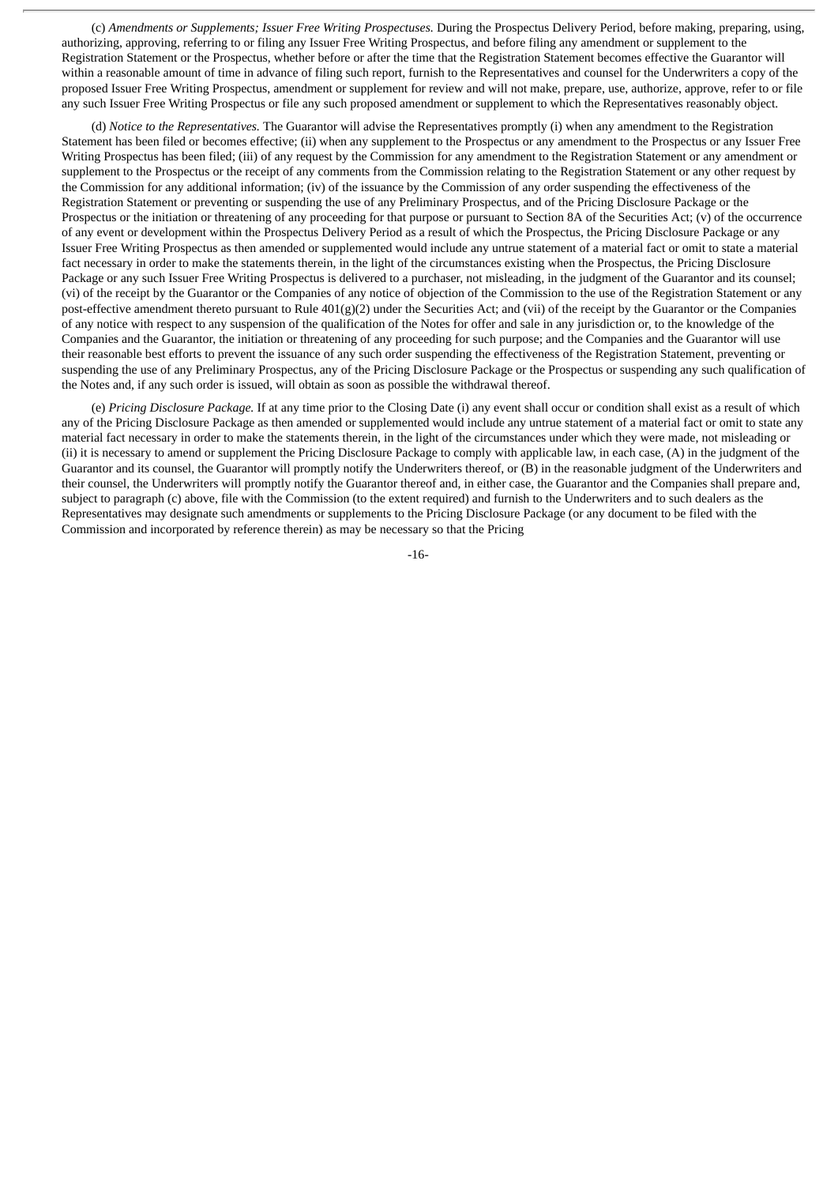(c) *Amendments or Supplements; Issuer Free Writing Prospectuses.* During the Prospectus Delivery Period, before making, preparing, using, authorizing, approving, referring to or filing any Issuer Free Writing Prospectus, and before filing any amendment or supplement to the Registration Statement or the Prospectus, whether before or after the time that the Registration Statement becomes effective the Guarantor will within a reasonable amount of time in advance of filing such report, furnish to the Representatives and counsel for the Underwriters a copy of the proposed Issuer Free Writing Prospectus, amendment or supplement for review and will not make, prepare, use, authorize, approve, refer to or file any such Issuer Free Writing Prospectus or file any such proposed amendment or supplement to which the Representatives reasonably object.

(d) *Notice to the Representatives.* The Guarantor will advise the Representatives promptly (i) when any amendment to the Registration Statement has been filed or becomes effective; (ii) when any supplement to the Prospectus or any amendment to the Prospectus or any Issuer Free Writing Prospectus has been filed; (iii) of any request by the Commission for any amendment to the Registration Statement or any amendment or supplement to the Prospectus or the receipt of any comments from the Commission relating to the Registration Statement or any other request by the Commission for any additional information; (iv) of the issuance by the Commission of any order suspending the effectiveness of the Registration Statement or preventing or suspending the use of any Preliminary Prospectus, and of the Pricing Disclosure Package or the Prospectus or the initiation or threatening of any proceeding for that purpose or pursuant to Section 8A of the Securities Act; (v) of the occurrence of any event or development within the Prospectus Delivery Period as a result of which the Prospectus, the Pricing Disclosure Package or any Issuer Free Writing Prospectus as then amended or supplemented would include any untrue statement of a material fact or omit to state a material fact necessary in order to make the statements therein, in the light of the circumstances existing when the Prospectus, the Pricing Disclosure Package or any such Issuer Free Writing Prospectus is delivered to a purchaser, not misleading, in the judgment of the Guarantor and its counsel; (vi) of the receipt by the Guarantor or the Companies of any notice of objection of the Commission to the use of the Registration Statement or any post-effective amendment thereto pursuant to Rule 401(g)(2) under the Securities Act; and (vii) of the receipt by the Guarantor or the Companies of any notice with respect to any suspension of the qualification of the Notes for offer and sale in any jurisdiction or, to the knowledge of the Companies and the Guarantor, the initiation or threatening of any proceeding for such purpose; and the Companies and the Guarantor will use their reasonable best efforts to prevent the issuance of any such order suspending the effectiveness of the Registration Statement, preventing or suspending the use of any Preliminary Prospectus, any of the Pricing Disclosure Package or the Prospectus or suspending any such qualification of the Notes and, if any such order is issued, will obtain as soon as possible the withdrawal thereof.

(e) *Pricing Disclosure Package.* If at any time prior to the Closing Date (i) any event shall occur or condition shall exist as a result of which any of the Pricing Disclosure Package as then amended or supplemented would include any untrue statement of a material fact or omit to state any material fact necessary in order to make the statements therein, in the light of the circumstances under which they were made, not misleading or (ii) it is necessary to amend or supplement the Pricing Disclosure Package to comply with applicable law, in each case, (A) in the judgment of the Guarantor and its counsel, the Guarantor will promptly notify the Underwriters thereof, or (B) in the reasonable judgment of the Underwriters and their counsel, the Underwriters will promptly notify the Guarantor thereof and, in either case, the Guarantor and the Companies shall prepare and, subject to paragraph (c) above, file with the Commission (to the extent required) and furnish to the Underwriters and to such dealers as the Representatives may designate such amendments or supplements to the Pricing Disclosure Package (or any document to be filed with the Commission and incorporated by reference therein) as may be necessary so that the Pricing

-16-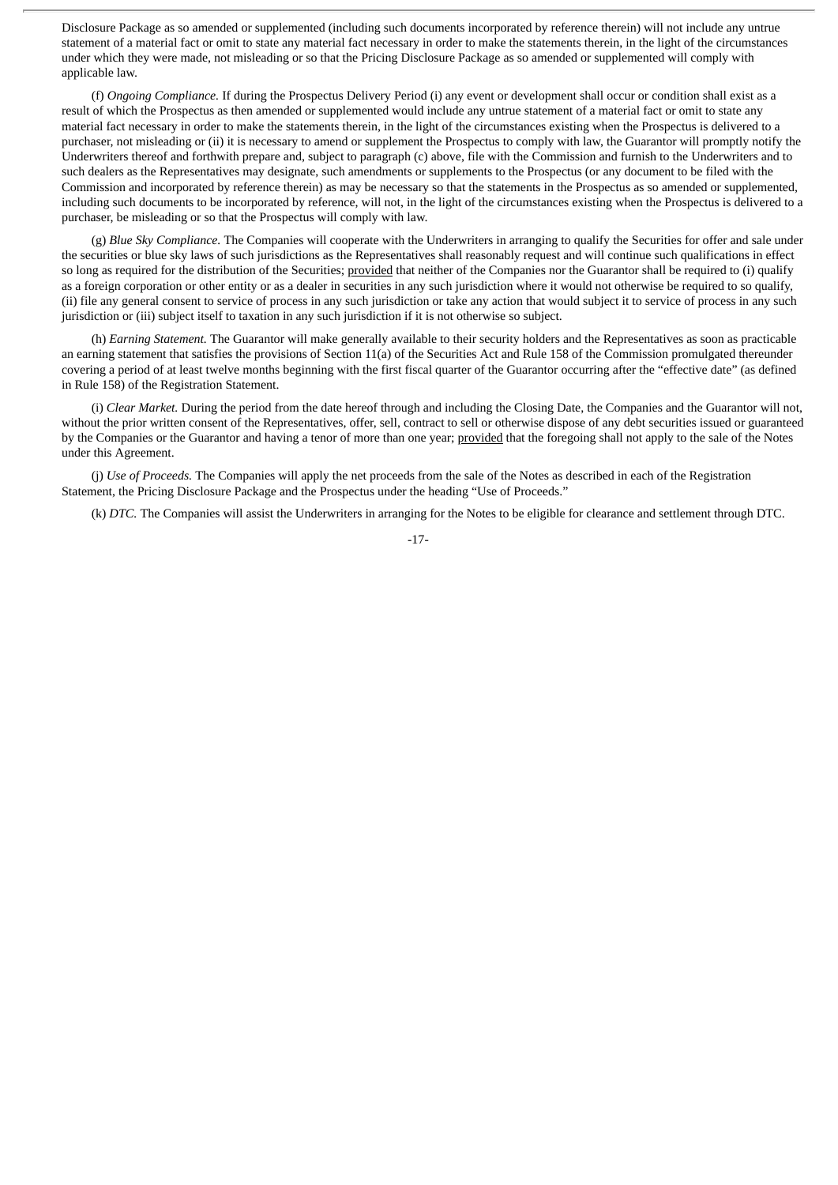Disclosure Package as so amended or supplemented (including such documents incorporated by reference therein) will not include any untrue statement of a material fact or omit to state any material fact necessary in order to make the statements therein, in the light of the circumstances under which they were made, not misleading or so that the Pricing Disclosure Package as so amended or supplemented will comply with applicable law.

(f) *Ongoing Compliance.* If during the Prospectus Delivery Period (i) any event or development shall occur or condition shall exist as a result of which the Prospectus as then amended or supplemented would include any untrue statement of a material fact or omit to state any material fact necessary in order to make the statements therein, in the light of the circumstances existing when the Prospectus is delivered to a purchaser, not misleading or (ii) it is necessary to amend or supplement the Prospectus to comply with law, the Guarantor will promptly notify the Underwriters thereof and forthwith prepare and, subject to paragraph (c) above, file with the Commission and furnish to the Underwriters and to such dealers as the Representatives may designate, such amendments or supplements to the Prospectus (or any document to be filed with the Commission and incorporated by reference therein) as may be necessary so that the statements in the Prospectus as so amended or supplemented, including such documents to be incorporated by reference, will not, in the light of the circumstances existing when the Prospectus is delivered to a purchaser, be misleading or so that the Prospectus will comply with law.

(g) *Blue Sky Compliance.* The Companies will cooperate with the Underwriters in arranging to qualify the Securities for offer and sale under the securities or blue sky laws of such jurisdictions as the Representatives shall reasonably request and will continue such qualifications in effect so long as required for the distribution of the Securities; provided that neither of the Companies nor the Guarantor shall be required to (i) qualify as a foreign corporation or other entity or as a dealer in securities in any such jurisdiction where it would not otherwise be required to so qualify, (ii) file any general consent to service of process in any such jurisdiction or take any action that would subject it to service of process in any such jurisdiction or (iii) subject itself to taxation in any such jurisdiction if it is not otherwise so subject.

(h) *Earning Statement.* The Guarantor will make generally available to their security holders and the Representatives as soon as practicable an earning statement that satisfies the provisions of Section 11(a) of the Securities Act and Rule 158 of the Commission promulgated thereunder covering a period of at least twelve months beginning with the first fiscal quarter of the Guarantor occurring after the "effective date" (as defined in Rule 158) of the Registration Statement.

(i) *Clear Market.* During the period from the date hereof through and including the Closing Date, the Companies and the Guarantor will not, without the prior written consent of the Representatives, offer, sell, contract to sell or otherwise dispose of any debt securities issued or guaranteed by the Companies or the Guarantor and having a tenor of more than one year; provided that the foregoing shall not apply to the sale of the Notes under this Agreement.

(j) *Use of Proceeds.* The Companies will apply the net proceeds from the sale of the Notes as described in each of the Registration Statement, the Pricing Disclosure Package and the Prospectus under the heading "Use of Proceeds."

(k) *DTC.* The Companies will assist the Underwriters in arranging for the Notes to be eligible for clearance and settlement through DTC.

-17-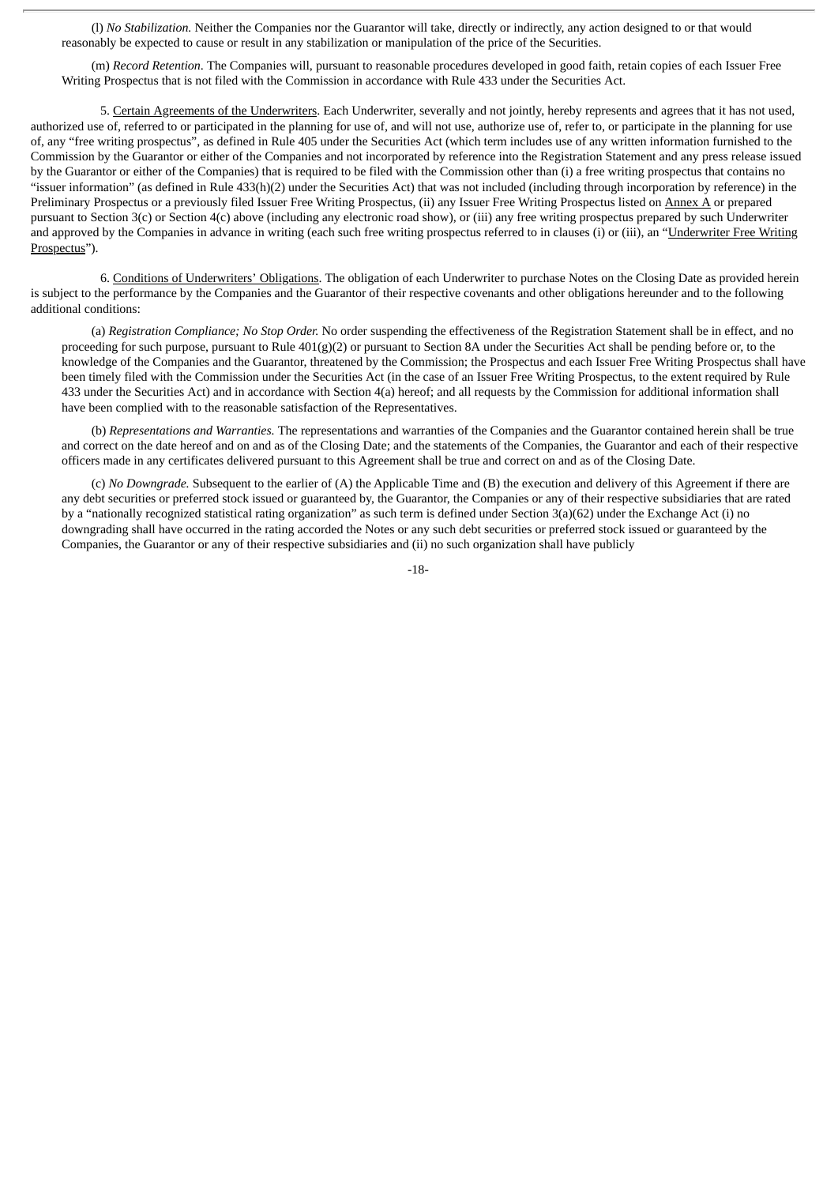(l) *No Stabilization.* Neither the Companies nor the Guarantor will take, directly or indirectly, any action designed to or that would reasonably be expected to cause or result in any stabilization or manipulation of the price of the Securities.

(m) *Record Retention*. The Companies will, pursuant to reasonable procedures developed in good faith, retain copies of each Issuer Free Writing Prospectus that is not filed with the Commission in accordance with Rule 433 under the Securities Act.

5. Certain Agreements of the Underwriters. Each Underwriter, severally and not jointly, hereby represents and agrees that it has not used, authorized use of, referred to or participated in the planning for use of, and will not use, authorize use of, refer to, or participate in the planning for use of, any "free writing prospectus", as defined in Rule 405 under the Securities Act (which term includes use of any written information furnished to the Commission by the Guarantor or either of the Companies and not incorporated by reference into the Registration Statement and any press release issued by the Guarantor or either of the Companies) that is required to be filed with the Commission other than (i) a free writing prospectus that contains no "issuer information" (as defined in Rule 433(h)(2) under the Securities Act) that was not included (including through incorporation by reference) in the Preliminary Prospectus or a previously filed Issuer Free Writing Prospectus, (ii) any Issuer Free Writing Prospectus listed on Annex A or prepared pursuant to Section 3(c) or Section 4(c) above (including any electronic road show), or (iii) any free writing prospectus prepared by such Underwriter and approved by the Companies in advance in writing (each such free writing prospectus referred to in clauses (i) or (iii), an "Underwriter Free Writing Prospectus").

6. Conditions of Underwriters' Obligations. The obligation of each Underwriter to purchase Notes on the Closing Date as provided herein is subject to the performance by the Companies and the Guarantor of their respective covenants and other obligations hereunder and to the following additional conditions:

(a) *Registration Compliance; No Stop Order.* No order suspending the effectiveness of the Registration Statement shall be in effect, and no proceeding for such purpose, pursuant to Rule 401(g)(2) or pursuant to Section 8A under the Securities Act shall be pending before or, to the knowledge of the Companies and the Guarantor, threatened by the Commission; the Prospectus and each Issuer Free Writing Prospectus shall have been timely filed with the Commission under the Securities Act (in the case of an Issuer Free Writing Prospectus, to the extent required by Rule 433 under the Securities Act) and in accordance with Section 4(a) hereof; and all requests by the Commission for additional information shall have been complied with to the reasonable satisfaction of the Representatives.

(b) *Representations and Warranties.* The representations and warranties of the Companies and the Guarantor contained herein shall be true and correct on the date hereof and on and as of the Closing Date; and the statements of the Companies, the Guarantor and each of their respective officers made in any certificates delivered pursuant to this Agreement shall be true and correct on and as of the Closing Date.

(c) *No Downgrade.* Subsequent to the earlier of (A) the Applicable Time and (B) the execution and delivery of this Agreement if there are any debt securities or preferred stock issued or guaranteed by, the Guarantor, the Companies or any of their respective subsidiaries that are rated by a "nationally recognized statistical rating organization" as such term is defined under Section 3(a)(62) under the Exchange Act (i) no downgrading shall have occurred in the rating accorded the Notes or any such debt securities or preferred stock issued or guaranteed by the Companies, the Guarantor or any of their respective subsidiaries and (ii) no such organization shall have publicly

-18-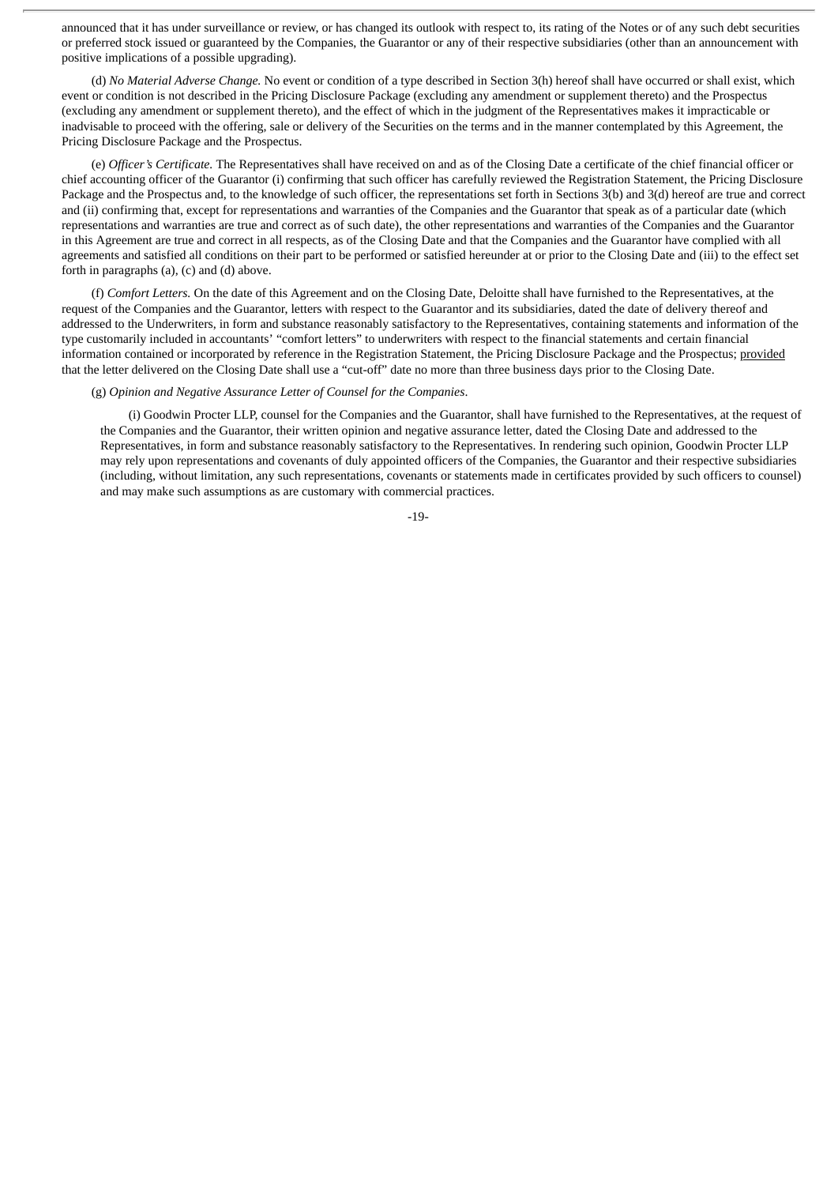announced that it has under surveillance or review, or has changed its outlook with respect to, its rating of the Notes or of any such debt securities or preferred stock issued or guaranteed by the Companies, the Guarantor or any of their respective subsidiaries (other than an announcement with positive implications of a possible upgrading).

(d) *No Material Adverse Change.* No event or condition of a type described in Section 3(h) hereof shall have occurred or shall exist, which event or condition is not described in the Pricing Disclosure Package (excluding any amendment or supplement thereto) and the Prospectus (excluding any amendment or supplement thereto), and the effect of which in the judgment of the Representatives makes it impracticable or inadvisable to proceed with the offering, sale or delivery of the Securities on the terms and in the manner contemplated by this Agreement, the Pricing Disclosure Package and the Prospectus.

(e) *Officer's Certificate.* The Representatives shall have received on and as of the Closing Date a certificate of the chief financial officer or chief accounting officer of the Guarantor (i) confirming that such officer has carefully reviewed the Registration Statement, the Pricing Disclosure Package and the Prospectus and, to the knowledge of such officer, the representations set forth in Sections 3(b) and 3(d) hereof are true and correct and (ii) confirming that, except for representations and warranties of the Companies and the Guarantor that speak as of a particular date (which representations and warranties are true and correct as of such date), the other representations and warranties of the Companies and the Guarantor in this Agreement are true and correct in all respects, as of the Closing Date and that the Companies and the Guarantor have complied with all agreements and satisfied all conditions on their part to be performed or satisfied hereunder at or prior to the Closing Date and (iii) to the effect set forth in paragraphs (a), (c) and (d) above.

(f) *Comfort Letters.* On the date of this Agreement and on the Closing Date, Deloitte shall have furnished to the Representatives, at the request of the Companies and the Guarantor, letters with respect to the Guarantor and its subsidiaries, dated the date of delivery thereof and addressed to the Underwriters, in form and substance reasonably satisfactory to the Representatives, containing statements and information of the type customarily included in accountants' "comfort letters" to underwriters with respect to the financial statements and certain financial information contained or incorporated by reference in the Registration Statement, the Pricing Disclosure Package and the Prospectus; provided that the letter delivered on the Closing Date shall use a "cut-off" date no more than three business days prior to the Closing Date.

# (g) *Opinion and Negative Assurance Letter of Counsel for the Companies*.

(i) Goodwin Procter LLP, counsel for the Companies and the Guarantor, shall have furnished to the Representatives, at the request of the Companies and the Guarantor, their written opinion and negative assurance letter, dated the Closing Date and addressed to the Representatives, in form and substance reasonably satisfactory to the Representatives. In rendering such opinion, Goodwin Procter LLP may rely upon representations and covenants of duly appointed officers of the Companies, the Guarantor and their respective subsidiaries (including, without limitation, any such representations, covenants or statements made in certificates provided by such officers to counsel) and may make such assumptions as are customary with commercial practices.

-19-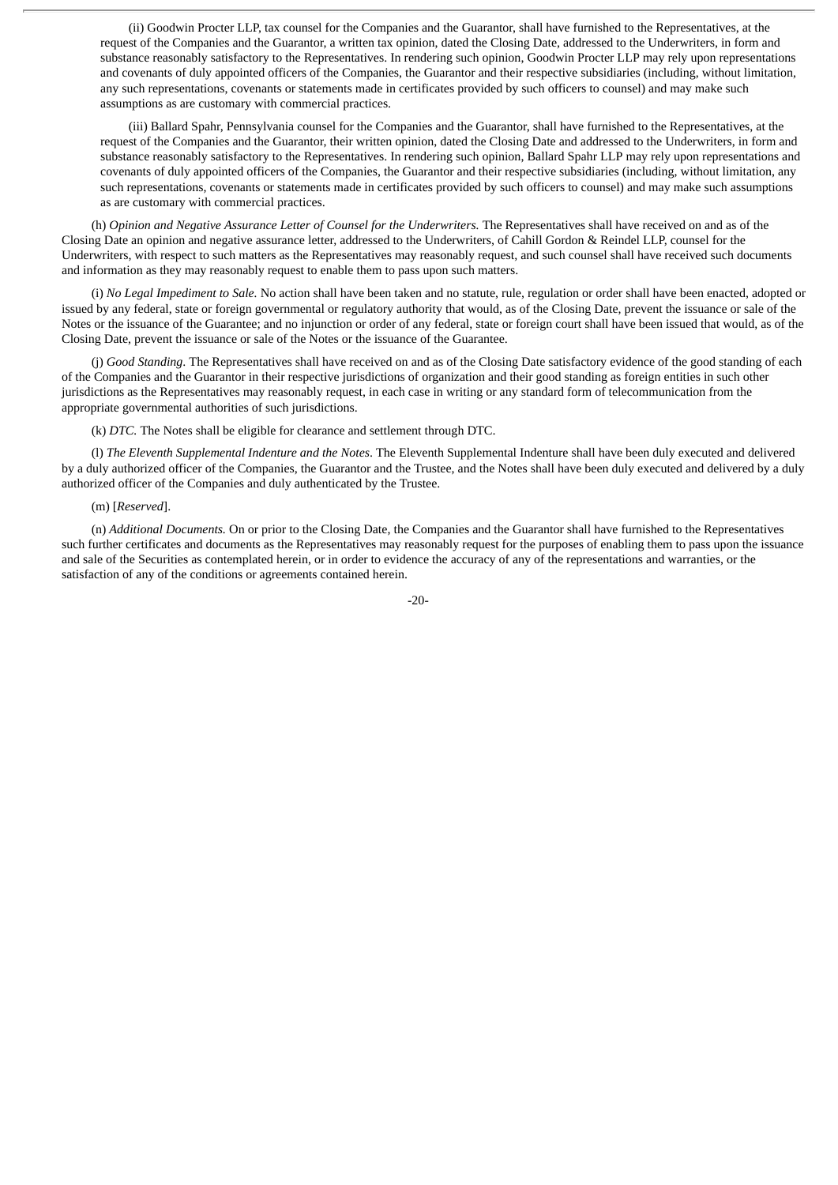(ii) Goodwin Procter LLP, tax counsel for the Companies and the Guarantor, shall have furnished to the Representatives, at the request of the Companies and the Guarantor, a written tax opinion, dated the Closing Date, addressed to the Underwriters, in form and substance reasonably satisfactory to the Representatives. In rendering such opinion, Goodwin Procter LLP may rely upon representations and covenants of duly appointed officers of the Companies, the Guarantor and their respective subsidiaries (including, without limitation, any such representations, covenants or statements made in certificates provided by such officers to counsel) and may make such assumptions as are customary with commercial practices.

(iii) Ballard Spahr, Pennsylvania counsel for the Companies and the Guarantor, shall have furnished to the Representatives, at the request of the Companies and the Guarantor, their written opinion, dated the Closing Date and addressed to the Underwriters, in form and substance reasonably satisfactory to the Representatives. In rendering such opinion, Ballard Spahr LLP may rely upon representations and covenants of duly appointed officers of the Companies, the Guarantor and their respective subsidiaries (including, without limitation, any such representations, covenants or statements made in certificates provided by such officers to counsel) and may make such assumptions as are customary with commercial practices.

(h) *Opinion and Negative Assurance Letter of Counsel for the Underwriters.* The Representatives shall have received on and as of the Closing Date an opinion and negative assurance letter, addressed to the Underwriters, of Cahill Gordon & Reindel LLP, counsel for the Underwriters, with respect to such matters as the Representatives may reasonably request, and such counsel shall have received such documents and information as they may reasonably request to enable them to pass upon such matters.

(i) *No Legal Impediment to Sale.* No action shall have been taken and no statute, rule, regulation or order shall have been enacted, adopted or issued by any federal, state or foreign governmental or regulatory authority that would, as of the Closing Date, prevent the issuance or sale of the Notes or the issuance of the Guarantee; and no injunction or order of any federal, state or foreign court shall have been issued that would, as of the Closing Date, prevent the issuance or sale of the Notes or the issuance of the Guarantee.

(j) *Good Standing*. The Representatives shall have received on and as of the Closing Date satisfactory evidence of the good standing of each of the Companies and the Guarantor in their respective jurisdictions of organization and their good standing as foreign entities in such other jurisdictions as the Representatives may reasonably request, in each case in writing or any standard form of telecommunication from the appropriate governmental authorities of such jurisdictions.

(k) *DTC.* The Notes shall be eligible for clearance and settlement through DTC.

(l) *The Eleventh Supplemental Indenture and the Notes*. The Eleventh Supplemental Indenture shall have been duly executed and delivered by a duly authorized officer of the Companies, the Guarantor and the Trustee, and the Notes shall have been duly executed and delivered by a duly authorized officer of the Companies and duly authenticated by the Trustee.

(m) [*Reserved*].

(n) *Additional Documents.* On or prior to the Closing Date, the Companies and the Guarantor shall have furnished to the Representatives such further certificates and documents as the Representatives may reasonably request for the purposes of enabling them to pass upon the issuance and sale of the Securities as contemplated herein, or in order to evidence the accuracy of any of the representations and warranties, or the satisfaction of any of the conditions or agreements contained herein.

-20-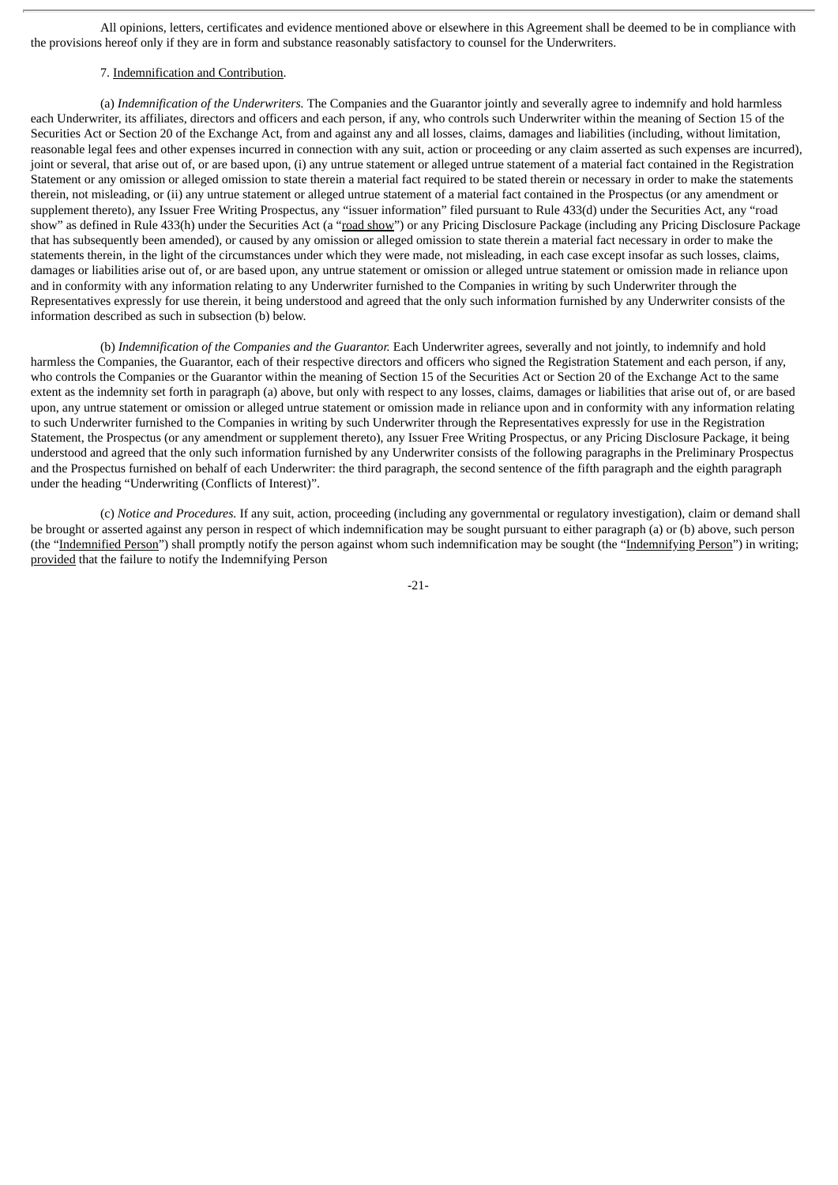All opinions, letters, certificates and evidence mentioned above or elsewhere in this Agreement shall be deemed to be in compliance with the provisions hereof only if they are in form and substance reasonably satisfactory to counsel for the Underwriters.

# 7. Indemnification and Contribution.

(a) *Indemnification of the Underwriters.* The Companies and the Guarantor jointly and severally agree to indemnify and hold harmless each Underwriter, its affiliates, directors and officers and each person, if any, who controls such Underwriter within the meaning of Section 15 of the Securities Act or Section 20 of the Exchange Act, from and against any and all losses, claims, damages and liabilities (including, without limitation, reasonable legal fees and other expenses incurred in connection with any suit, action or proceeding or any claim asserted as such expenses are incurred), joint or several, that arise out of, or are based upon, (i) any untrue statement or alleged untrue statement of a material fact contained in the Registration Statement or any omission or alleged omission to state therein a material fact required to be stated therein or necessary in order to make the statements therein, not misleading, or (ii) any untrue statement or alleged untrue statement of a material fact contained in the Prospectus (or any amendment or supplement thereto), any Issuer Free Writing Prospectus, any "issuer information" filed pursuant to Rule 433(d) under the Securities Act, any "road show" as defined in Rule 433(h) under the Securities Act (a "road show") or any Pricing Disclosure Package (including any Pricing Disclosure Package that has subsequently been amended), or caused by any omission or alleged omission to state therein a material fact necessary in order to make the statements therein, in the light of the circumstances under which they were made, not misleading, in each case except insofar as such losses, claims, damages or liabilities arise out of, or are based upon, any untrue statement or omission or alleged untrue statement or omission made in reliance upon and in conformity with any information relating to any Underwriter furnished to the Companies in writing by such Underwriter through the Representatives expressly for use therein, it being understood and agreed that the only such information furnished by any Underwriter consists of the information described as such in subsection (b) below.

(b) *Indemnification of the Companies and the Guarantor.* Each Underwriter agrees, severally and not jointly, to indemnify and hold harmless the Companies, the Guarantor, each of their respective directors and officers who signed the Registration Statement and each person, if any, who controls the Companies or the Guarantor within the meaning of Section 15 of the Securities Act or Section 20 of the Exchange Act to the same extent as the indemnity set forth in paragraph (a) above, but only with respect to any losses, claims, damages or liabilities that arise out of, or are based upon, any untrue statement or omission or alleged untrue statement or omission made in reliance upon and in conformity with any information relating to such Underwriter furnished to the Companies in writing by such Underwriter through the Representatives expressly for use in the Registration Statement, the Prospectus (or any amendment or supplement thereto), any Issuer Free Writing Prospectus, or any Pricing Disclosure Package, it being understood and agreed that the only such information furnished by any Underwriter consists of the following paragraphs in the Preliminary Prospectus and the Prospectus furnished on behalf of each Underwriter: the third paragraph, the second sentence of the fifth paragraph and the eighth paragraph under the heading "Underwriting (Conflicts of Interest)".

(c) *Notice and Procedures.* If any suit, action, proceeding (including any governmental or regulatory investigation), claim or demand shall be brought or asserted against any person in respect of which indemnification may be sought pursuant to either paragraph (a) or (b) above, such person (the "Indemnified Person") shall promptly notify the person against whom such indemnification may be sought (the "Indemnifying Person") in writing; provided that the failure to notify the Indemnifying Person

-21-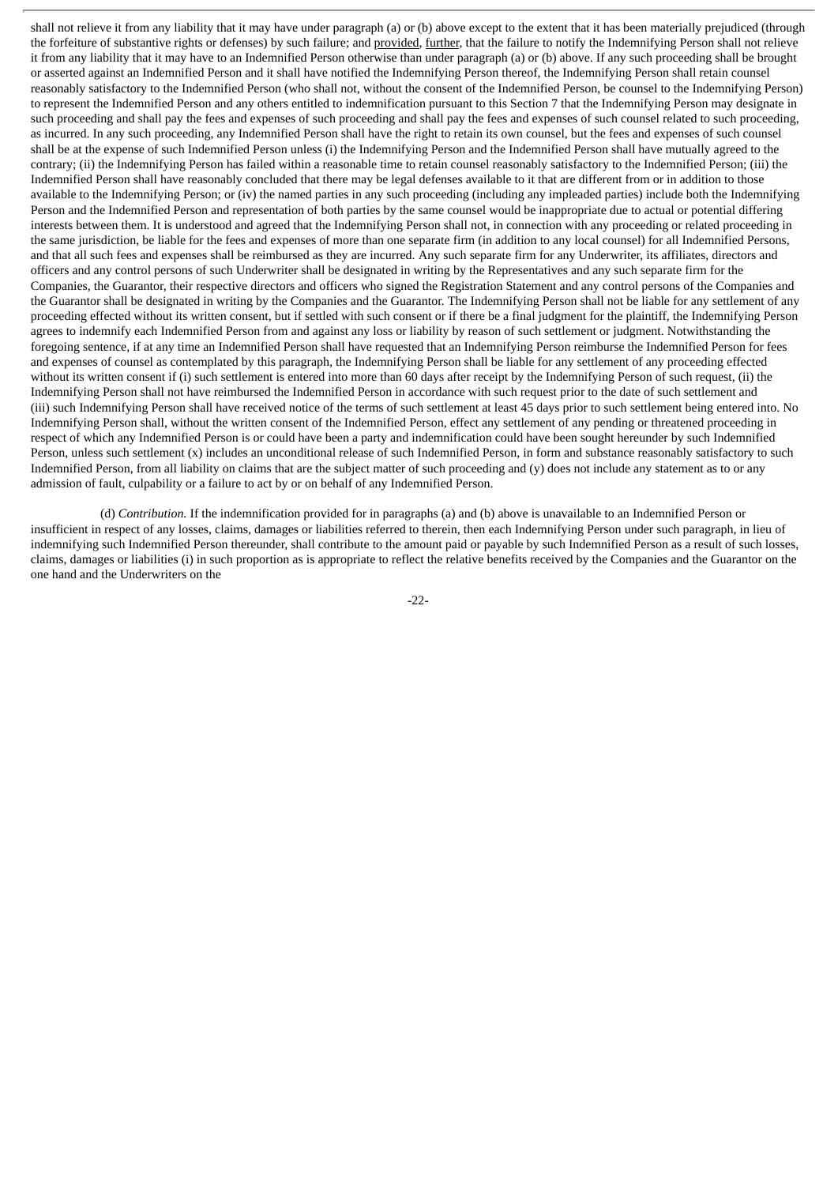shall not relieve it from any liability that it may have under paragraph (a) or (b) above except to the extent that it has been materially prejudiced (through the forfeiture of substantive rights or defenses) by such failure; and provided, further, that the failure to notify the Indemnifying Person shall not relieve it from any liability that it may have to an Indemnified Person otherwise than under paragraph (a) or (b) above. If any such proceeding shall be brought or asserted against an Indemnified Person and it shall have notified the Indemnifying Person thereof, the Indemnifying Person shall retain counsel reasonably satisfactory to the Indemnified Person (who shall not, without the consent of the Indemnified Person, be counsel to the Indemnifying Person) to represent the Indemnified Person and any others entitled to indemnification pursuant to this Section 7 that the Indemnifying Person may designate in such proceeding and shall pay the fees and expenses of such proceeding and shall pay the fees and expenses of such counsel related to such proceeding, as incurred. In any such proceeding, any Indemnified Person shall have the right to retain its own counsel, but the fees and expenses of such counsel shall be at the expense of such Indemnified Person unless (i) the Indemnifying Person and the Indemnified Person shall have mutually agreed to the contrary; (ii) the Indemnifying Person has failed within a reasonable time to retain counsel reasonably satisfactory to the Indemnified Person; (iii) the Indemnified Person shall have reasonably concluded that there may be legal defenses available to it that are different from or in addition to those available to the Indemnifying Person; or (iv) the named parties in any such proceeding (including any impleaded parties) include both the Indemnifying Person and the Indemnified Person and representation of both parties by the same counsel would be inappropriate due to actual or potential differing interests between them. It is understood and agreed that the Indemnifying Person shall not, in connection with any proceeding or related proceeding in the same jurisdiction, be liable for the fees and expenses of more than one separate firm (in addition to any local counsel) for all Indemnified Persons, and that all such fees and expenses shall be reimbursed as they are incurred. Any such separate firm for any Underwriter, its affiliates, directors and officers and any control persons of such Underwriter shall be designated in writing by the Representatives and any such separate firm for the Companies, the Guarantor, their respective directors and officers who signed the Registration Statement and any control persons of the Companies and the Guarantor shall be designated in writing by the Companies and the Guarantor. The Indemnifying Person shall not be liable for any settlement of any proceeding effected without its written consent, but if settled with such consent or if there be a final judgment for the plaintiff, the Indemnifying Person agrees to indemnify each Indemnified Person from and against any loss or liability by reason of such settlement or judgment. Notwithstanding the foregoing sentence, if at any time an Indemnified Person shall have requested that an Indemnifying Person reimburse the Indemnified Person for fees and expenses of counsel as contemplated by this paragraph, the Indemnifying Person shall be liable for any settlement of any proceeding effected without its written consent if (i) such settlement is entered into more than 60 days after receipt by the Indemnifying Person of such request, (ii) the Indemnifying Person shall not have reimbursed the Indemnified Person in accordance with such request prior to the date of such settlement and (iii) such Indemnifying Person shall have received notice of the terms of such settlement at least 45 days prior to such settlement being entered into. No Indemnifying Person shall, without the written consent of the Indemnified Person, effect any settlement of any pending or threatened proceeding in respect of which any Indemnified Person is or could have been a party and indemnification could have been sought hereunder by such Indemnified Person, unless such settlement (x) includes an unconditional release of such Indemnified Person, in form and substance reasonably satisfactory to such Indemnified Person, from all liability on claims that are the subject matter of such proceeding and (y) does not include any statement as to or any admission of fault, culpability or a failure to act by or on behalf of any Indemnified Person.

(d) *Contribution.* If the indemnification provided for in paragraphs (a) and (b) above is unavailable to an Indemnified Person or insufficient in respect of any losses, claims, damages or liabilities referred to therein, then each Indemnifying Person under such paragraph, in lieu of indemnifying such Indemnified Person thereunder, shall contribute to the amount paid or payable by such Indemnified Person as a result of such losses, claims, damages or liabilities (i) in such proportion as is appropriate to reflect the relative benefits received by the Companies and the Guarantor on the one hand and the Underwriters on the

-22-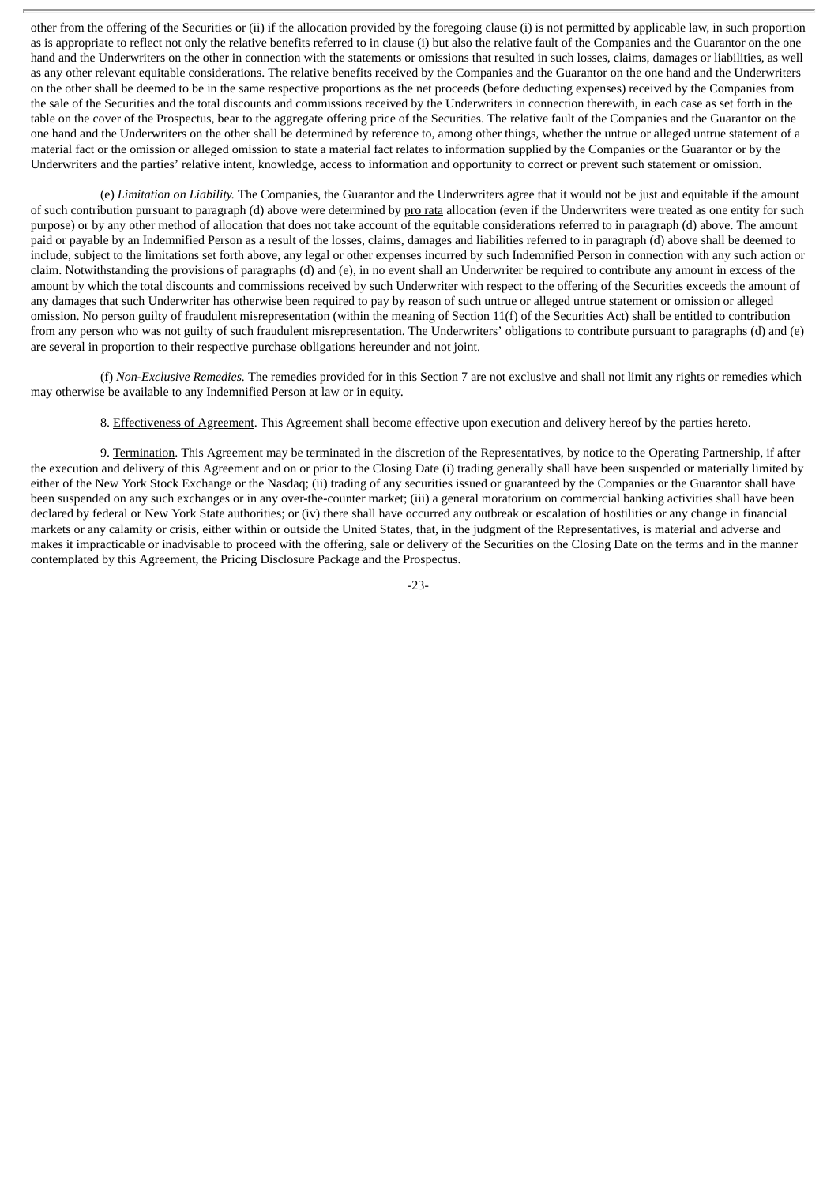other from the offering of the Securities or (ii) if the allocation provided by the foregoing clause (i) is not permitted by applicable law, in such proportion as is appropriate to reflect not only the relative benefits referred to in clause (i) but also the relative fault of the Companies and the Guarantor on the one hand and the Underwriters on the other in connection with the statements or omissions that resulted in such losses, claims, damages or liabilities, as well as any other relevant equitable considerations. The relative benefits received by the Companies and the Guarantor on the one hand and the Underwriters on the other shall be deemed to be in the same respective proportions as the net proceeds (before deducting expenses) received by the Companies from the sale of the Securities and the total discounts and commissions received by the Underwriters in connection therewith, in each case as set forth in the table on the cover of the Prospectus, bear to the aggregate offering price of the Securities. The relative fault of the Companies and the Guarantor on the one hand and the Underwriters on the other shall be determined by reference to, among other things, whether the untrue or alleged untrue statement of a material fact or the omission or alleged omission to state a material fact relates to information supplied by the Companies or the Guarantor or by the Underwriters and the parties' relative intent, knowledge, access to information and opportunity to correct or prevent such statement or omission.

(e) *Limitation on Liability.* The Companies, the Guarantor and the Underwriters agree that it would not be just and equitable if the amount of such contribution pursuant to paragraph (d) above were determined by pro rata allocation (even if the Underwriters were treated as one entity for such purpose) or by any other method of allocation that does not take account of the equitable considerations referred to in paragraph (d) above. The amount paid or payable by an Indemnified Person as a result of the losses, claims, damages and liabilities referred to in paragraph (d) above shall be deemed to include, subject to the limitations set forth above, any legal or other expenses incurred by such Indemnified Person in connection with any such action or claim. Notwithstanding the provisions of paragraphs (d) and (e), in no event shall an Underwriter be required to contribute any amount in excess of the amount by which the total discounts and commissions received by such Underwriter with respect to the offering of the Securities exceeds the amount of any damages that such Underwriter has otherwise been required to pay by reason of such untrue or alleged untrue statement or omission or alleged omission. No person guilty of fraudulent misrepresentation (within the meaning of Section 11(f) of the Securities Act) shall be entitled to contribution from any person who was not guilty of such fraudulent misrepresentation. The Underwriters' obligations to contribute pursuant to paragraphs (d) and (e) are several in proportion to their respective purchase obligations hereunder and not joint.

(f) *Non-Exclusive Remedies.* The remedies provided for in this Section 7 are not exclusive and shall not limit any rights or remedies which may otherwise be available to any Indemnified Person at law or in equity.

8. Effectiveness of Agreement. This Agreement shall become effective upon execution and delivery hereof by the parties hereto.

9. Termination. This Agreement may be terminated in the discretion of the Representatives, by notice to the Operating Partnership, if after the execution and delivery of this Agreement and on or prior to the Closing Date (i) trading generally shall have been suspended or materially limited by either of the New York Stock Exchange or the Nasdaq; (ii) trading of any securities issued or guaranteed by the Companies or the Guarantor shall have been suspended on any such exchanges or in any over-the-counter market; (iii) a general moratorium on commercial banking activities shall have been declared by federal or New York State authorities; or (iv) there shall have occurred any outbreak or escalation of hostilities or any change in financial markets or any calamity or crisis, either within or outside the United States, that, in the judgment of the Representatives, is material and adverse and makes it impracticable or inadvisable to proceed with the offering, sale or delivery of the Securities on the Closing Date on the terms and in the manner contemplated by this Agreement, the Pricing Disclosure Package and the Prospectus.

-23-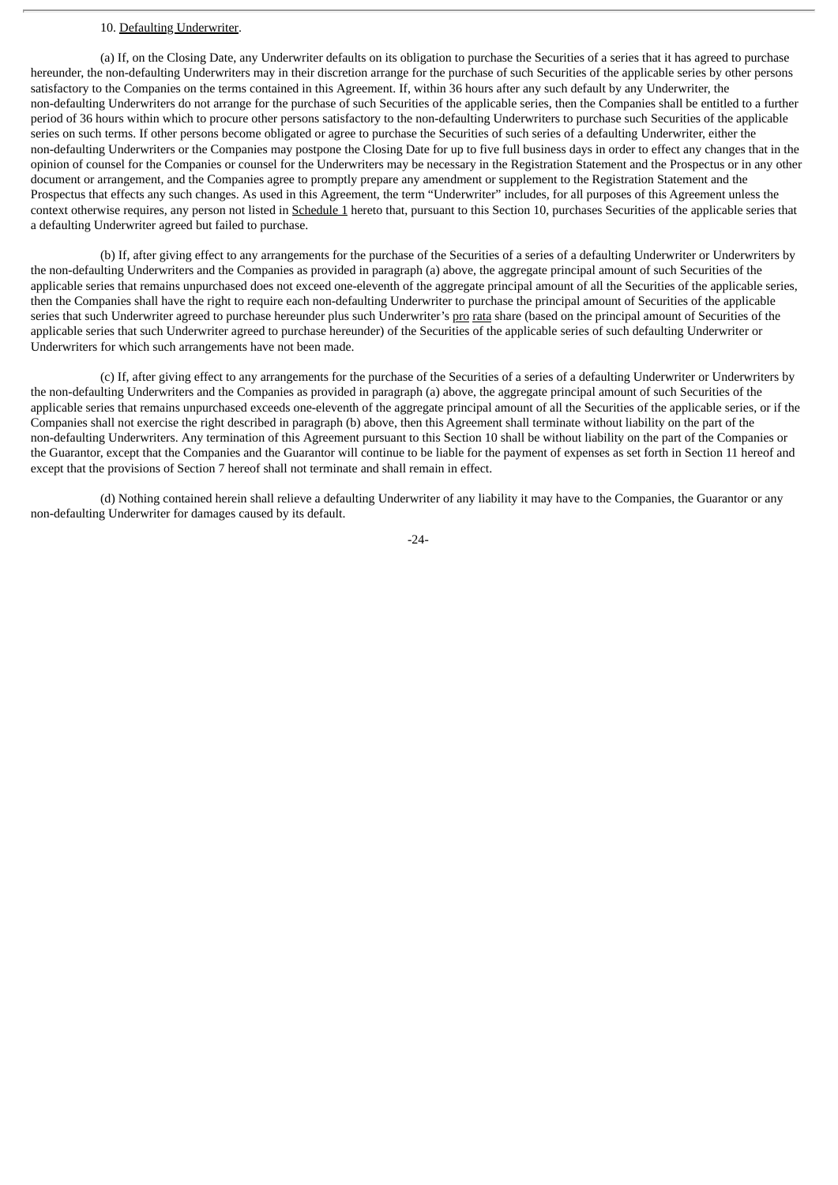# 10. Defaulting Underwriter.

(a) If, on the Closing Date, any Underwriter defaults on its obligation to purchase the Securities of a series that it has agreed to purchase hereunder, the non-defaulting Underwriters may in their discretion arrange for the purchase of such Securities of the applicable series by other persons satisfactory to the Companies on the terms contained in this Agreement. If, within 36 hours after any such default by any Underwriter, the non-defaulting Underwriters do not arrange for the purchase of such Securities of the applicable series, then the Companies shall be entitled to a further period of 36 hours within which to procure other persons satisfactory to the non-defaulting Underwriters to purchase such Securities of the applicable series on such terms. If other persons become obligated or agree to purchase the Securities of such series of a defaulting Underwriter, either the non-defaulting Underwriters or the Companies may postpone the Closing Date for up to five full business days in order to effect any changes that in the opinion of counsel for the Companies or counsel for the Underwriters may be necessary in the Registration Statement and the Prospectus or in any other document or arrangement, and the Companies agree to promptly prepare any amendment or supplement to the Registration Statement and the Prospectus that effects any such changes. As used in this Agreement, the term "Underwriter" includes, for all purposes of this Agreement unless the context otherwise requires, any person not listed in Schedule 1 hereto that, pursuant to this Section 10, purchases Securities of the applicable series that a defaulting Underwriter agreed but failed to purchase.

(b) If, after giving effect to any arrangements for the purchase of the Securities of a series of a defaulting Underwriter or Underwriters by the non-defaulting Underwriters and the Companies as provided in paragraph (a) above, the aggregate principal amount of such Securities of the applicable series that remains unpurchased does not exceed one-eleventh of the aggregate principal amount of all the Securities of the applicable series, then the Companies shall have the right to require each non-defaulting Underwriter to purchase the principal amount of Securities of the applicable series that such Underwriter agreed to purchase hereunder plus such Underwriter's pro rata share (based on the principal amount of Securities of the applicable series that such Underwriter agreed to purchase hereunder) of the Securities of the applicable series of such defaulting Underwriter or Underwriters for which such arrangements have not been made.

(c) If, after giving effect to any arrangements for the purchase of the Securities of a series of a defaulting Underwriter or Underwriters by the non-defaulting Underwriters and the Companies as provided in paragraph (a) above, the aggregate principal amount of such Securities of the applicable series that remains unpurchased exceeds one-eleventh of the aggregate principal amount of all the Securities of the applicable series, or if the Companies shall not exercise the right described in paragraph (b) above, then this Agreement shall terminate without liability on the part of the non-defaulting Underwriters. Any termination of this Agreement pursuant to this Section 10 shall be without liability on the part of the Companies or the Guarantor, except that the Companies and the Guarantor will continue to be liable for the payment of expenses as set forth in Section 11 hereof and except that the provisions of Section 7 hereof shall not terminate and shall remain in effect.

(d) Nothing contained herein shall relieve a defaulting Underwriter of any liability it may have to the Companies, the Guarantor or any non-defaulting Underwriter for damages caused by its default.

 $-24-$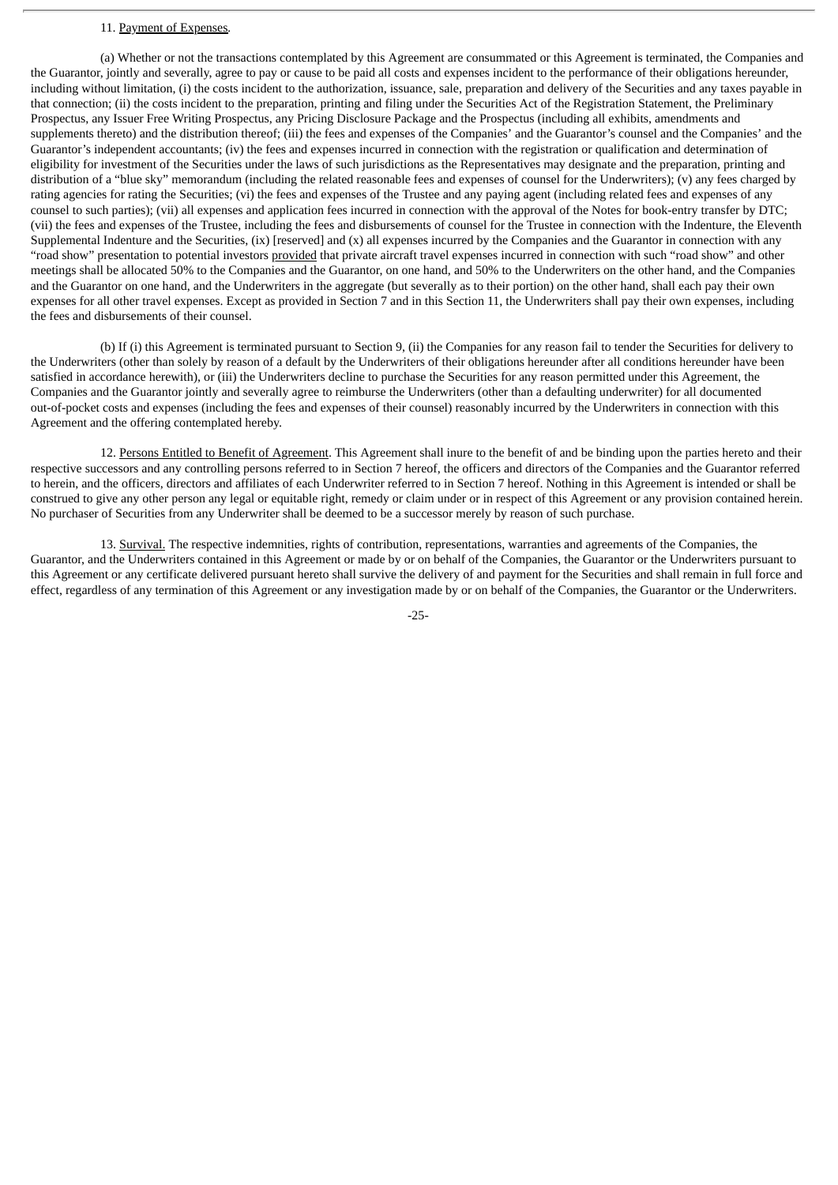# 11. Payment of Expenses*.*

(a) Whether or not the transactions contemplated by this Agreement are consummated or this Agreement is terminated, the Companies and the Guarantor, jointly and severally, agree to pay or cause to be paid all costs and expenses incident to the performance of their obligations hereunder, including without limitation, (i) the costs incident to the authorization, issuance, sale, preparation and delivery of the Securities and any taxes payable in that connection; (ii) the costs incident to the preparation, printing and filing under the Securities Act of the Registration Statement, the Preliminary Prospectus, any Issuer Free Writing Prospectus, any Pricing Disclosure Package and the Prospectus (including all exhibits, amendments and supplements thereto) and the distribution thereof; (iii) the fees and expenses of the Companies' and the Guarantor's counsel and the Companies' and the Guarantor's independent accountants; (iv) the fees and expenses incurred in connection with the registration or qualification and determination of eligibility for investment of the Securities under the laws of such jurisdictions as the Representatives may designate and the preparation, printing and distribution of a "blue sky" memorandum (including the related reasonable fees and expenses of counsel for the Underwriters); (v) any fees charged by rating agencies for rating the Securities; (vi) the fees and expenses of the Trustee and any paying agent (including related fees and expenses of any counsel to such parties); (vii) all expenses and application fees incurred in connection with the approval of the Notes for book-entry transfer by DTC; (vii) the fees and expenses of the Trustee, including the fees and disbursements of counsel for the Trustee in connection with the Indenture, the Eleventh Supplemental Indenture and the Securities, (ix) [reserved] and (x) all expenses incurred by the Companies and the Guarantor in connection with any "road show" presentation to potential investors provided that private aircraft travel expenses incurred in connection with such "road show" and other meetings shall be allocated 50% to the Companies and the Guarantor, on one hand, and 50% to the Underwriters on the other hand, and the Companies and the Guarantor on one hand, and the Underwriters in the aggregate (but severally as to their portion) on the other hand, shall each pay their own expenses for all other travel expenses. Except as provided in Section 7 and in this Section 11, the Underwriters shall pay their own expenses, including the fees and disbursements of their counsel.

(b) If (i) this Agreement is terminated pursuant to Section 9, (ii) the Companies for any reason fail to tender the Securities for delivery to the Underwriters (other than solely by reason of a default by the Underwriters of their obligations hereunder after all conditions hereunder have been satisfied in accordance herewith), or (iii) the Underwriters decline to purchase the Securities for any reason permitted under this Agreement, the Companies and the Guarantor jointly and severally agree to reimburse the Underwriters (other than a defaulting underwriter) for all documented out-of-pocket costs and expenses (including the fees and expenses of their counsel) reasonably incurred by the Underwriters in connection with this Agreement and the offering contemplated hereby.

12. Persons Entitled to Benefit of Agreement. This Agreement shall inure to the benefit of and be binding upon the parties hereto and their respective successors and any controlling persons referred to in Section 7 hereof, the officers and directors of the Companies and the Guarantor referred to herein, and the officers, directors and affiliates of each Underwriter referred to in Section 7 hereof. Nothing in this Agreement is intended or shall be construed to give any other person any legal or equitable right, remedy or claim under or in respect of this Agreement or any provision contained herein. No purchaser of Securities from any Underwriter shall be deemed to be a successor merely by reason of such purchase.

13. Survival. The respective indemnities, rights of contribution, representations, warranties and agreements of the Companies, the Guarantor, and the Underwriters contained in this Agreement or made by or on behalf of the Companies, the Guarantor or the Underwriters pursuant to this Agreement or any certificate delivered pursuant hereto shall survive the delivery of and payment for the Securities and shall remain in full force and effect, regardless of any termination of this Agreement or any investigation made by or on behalf of the Companies, the Guarantor or the Underwriters.

-25-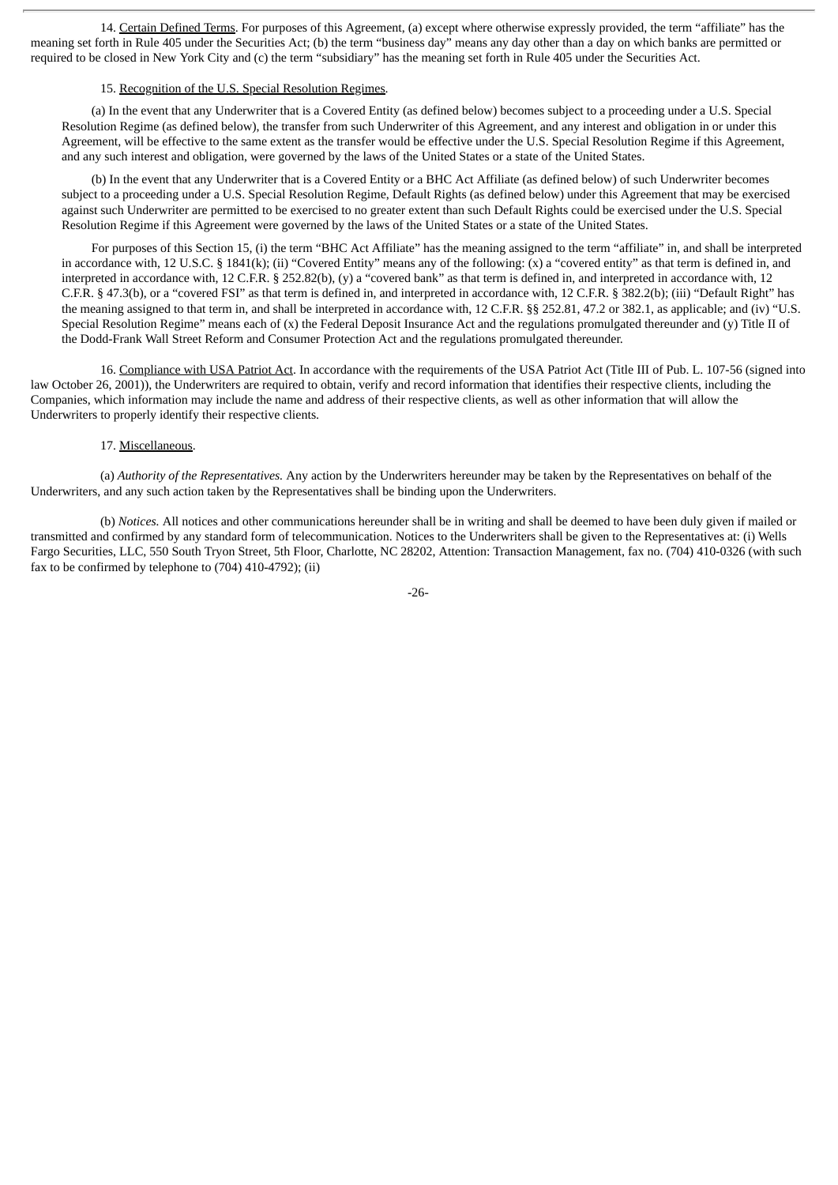14. Certain Defined Terms. For purposes of this Agreement, (a) except where otherwise expressly provided, the term "affiliate" has the meaning set forth in Rule 405 under the Securities Act; (b) the term "business day" means any day other than a day on which banks are permitted or required to be closed in New York City and (c) the term "subsidiary" has the meaning set forth in Rule 405 under the Securities Act.

# 15. Recognition of the U.S. Special Resolution Regimes.

(a) In the event that any Underwriter that is a Covered Entity (as defined below) becomes subject to a proceeding under a U.S. Special Resolution Regime (as defined below), the transfer from such Underwriter of this Agreement, and any interest and obligation in or under this Agreement, will be effective to the same extent as the transfer would be effective under the U.S. Special Resolution Regime if this Agreement, and any such interest and obligation, were governed by the laws of the United States or a state of the United States.

(b) In the event that any Underwriter that is a Covered Entity or a BHC Act Affiliate (as defined below) of such Underwriter becomes subject to a proceeding under a U.S. Special Resolution Regime, Default Rights (as defined below) under this Agreement that may be exercised against such Underwriter are permitted to be exercised to no greater extent than such Default Rights could be exercised under the U.S. Special Resolution Regime if this Agreement were governed by the laws of the United States or a state of the United States.

For purposes of this Section 15, (i) the term "BHC Act Affiliate" has the meaning assigned to the term "affiliate" in, and shall be interpreted in accordance with, 12 U.S.C. § 1841(k); (ii) "Covered Entity" means any of the following: (x) a "covered entity" as that term is defined in, and interpreted in accordance with, 12 C.F.R. § 252.82(b), (y) a "covered bank" as that term is defined in, and interpreted in accordance with, 12 C.F.R. § 47.3(b), or a "covered FSI" as that term is defined in, and interpreted in accordance with, 12 C.F.R. § 382.2(b); (iii) "Default Right" has the meaning assigned to that term in, and shall be interpreted in accordance with, 12 C.F.R. §§ 252.81, 47.2 or 382.1, as applicable; and (iv) "U.S. Special Resolution Regime" means each of (x) the Federal Deposit Insurance Act and the regulations promulgated thereunder and (y) Title II of the Dodd-Frank Wall Street Reform and Consumer Protection Act and the regulations promulgated thereunder.

16. Compliance with USA Patriot Act. In accordance with the requirements of the USA Patriot Act (Title III of Pub. L. 107-56 (signed into law October 26, 2001)), the Underwriters are required to obtain, verify and record information that identifies their respective clients, including the Companies, which information may include the name and address of their respective clients, as well as other information that will allow the Underwriters to properly identify their respective clients.

#### 17. Miscellaneous.

(a) *Authority of the Representatives.* Any action by the Underwriters hereunder may be taken by the Representatives on behalf of the Underwriters, and any such action taken by the Representatives shall be binding upon the Underwriters.

(b) *Notices.* All notices and other communications hereunder shall be in writing and shall be deemed to have been duly given if mailed or transmitted and confirmed by any standard form of telecommunication. Notices to the Underwriters shall be given to the Representatives at: (i) Wells Fargo Securities, LLC, 550 South Tryon Street, 5th Floor, Charlotte, NC 28202, Attention: Transaction Management, fax no. (704) 410-0326 (with such fax to be confirmed by telephone to (704) 410-4792); (ii)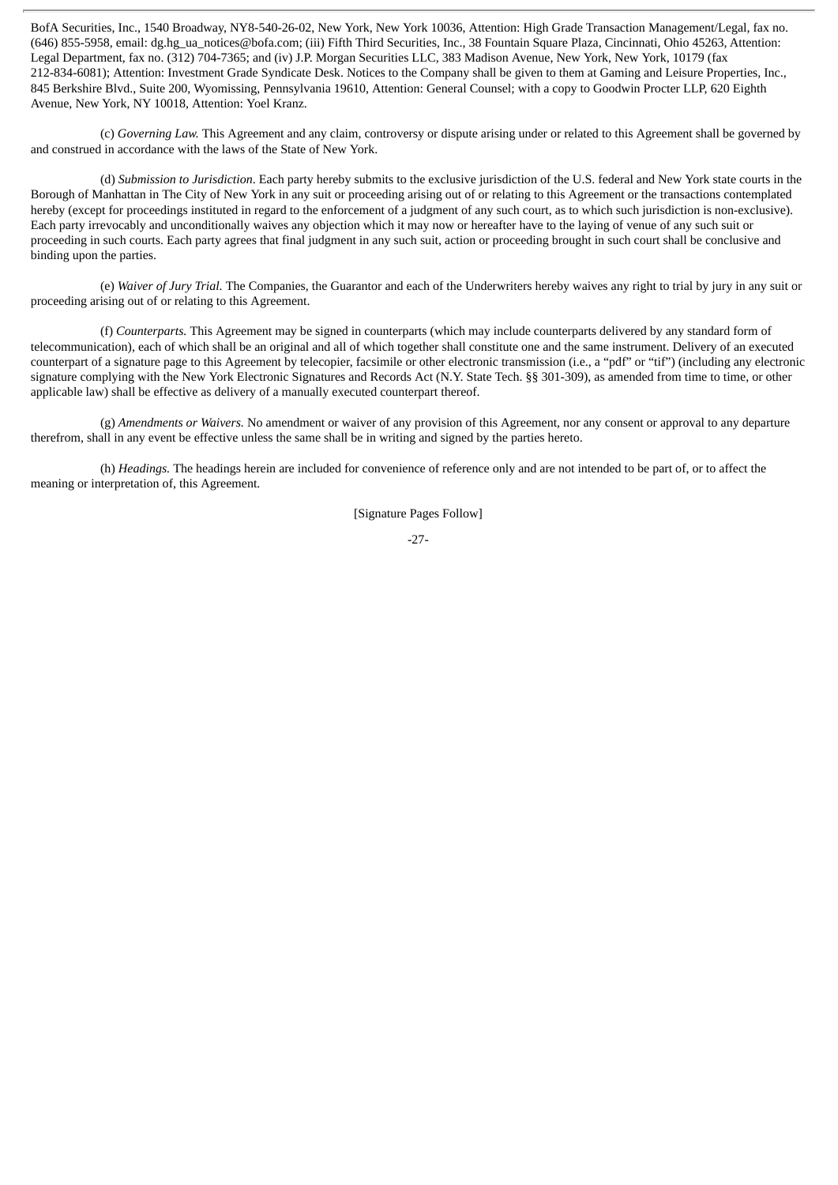BofA Securities, Inc., 1540 Broadway, NY8-540-26-02, New York, New York 10036, Attention: High Grade Transaction Management/Legal, fax no. (646) 855-5958, email: dg.hg\_ua\_notices@bofa.com; (iii) Fifth Third Securities, Inc., 38 Fountain Square Plaza, Cincinnati, Ohio 45263, Attention: Legal Department, fax no. (312) 704-7365; and (iv) J.P. Morgan Securities LLC, 383 Madison Avenue, New York, New York, 10179 (fax 212-834-6081); Attention: Investment Grade Syndicate Desk. Notices to the Company shall be given to them at Gaming and Leisure Properties, Inc., 845 Berkshire Blvd., Suite 200, Wyomissing, Pennsylvania 19610, Attention: General Counsel; with a copy to Goodwin Procter LLP, 620 Eighth Avenue, New York, NY 10018, Attention: Yoel Kranz.

(c) *Governing Law.* This Agreement and any claim, controversy or dispute arising under or related to this Agreement shall be governed by and construed in accordance with the laws of the State of New York.

(d) *Submission to Jurisdiction*. Each party hereby submits to the exclusive jurisdiction of the U.S. federal and New York state courts in the Borough of Manhattan in The City of New York in any suit or proceeding arising out of or relating to this Agreement or the transactions contemplated hereby (except for proceedings instituted in regard to the enforcement of a judgment of any such court, as to which such jurisdiction is non-exclusive). Each party irrevocably and unconditionally waives any objection which it may now or hereafter have to the laying of venue of any such suit or proceeding in such courts. Each party agrees that final judgment in any such suit, action or proceeding brought in such court shall be conclusive and binding upon the parties.

(e) *Waiver of Jury Trial.* The Companies, the Guarantor and each of the Underwriters hereby waives any right to trial by jury in any suit or proceeding arising out of or relating to this Agreement.

(f) *Counterparts.* This Agreement may be signed in counterparts (which may include counterparts delivered by any standard form of telecommunication), each of which shall be an original and all of which together shall constitute one and the same instrument. Delivery of an executed counterpart of a signature page to this Agreement by telecopier, facsimile or other electronic transmission (i.e., a "pdf" or "tif") (including any electronic signature complying with the New York Electronic Signatures and Records Act (N.Y. State Tech. §§ 301-309), as amended from time to time, or other applicable law) shall be effective as delivery of a manually executed counterpart thereof.

(g) *Amendments or Waivers.* No amendment or waiver of any provision of this Agreement, nor any consent or approval to any departure therefrom, shall in any event be effective unless the same shall be in writing and signed by the parties hereto.

(h) *Headings.* The headings herein are included for convenience of reference only and are not intended to be part of, or to affect the meaning or interpretation of, this Agreement.

[Signature Pages Follow]

-27-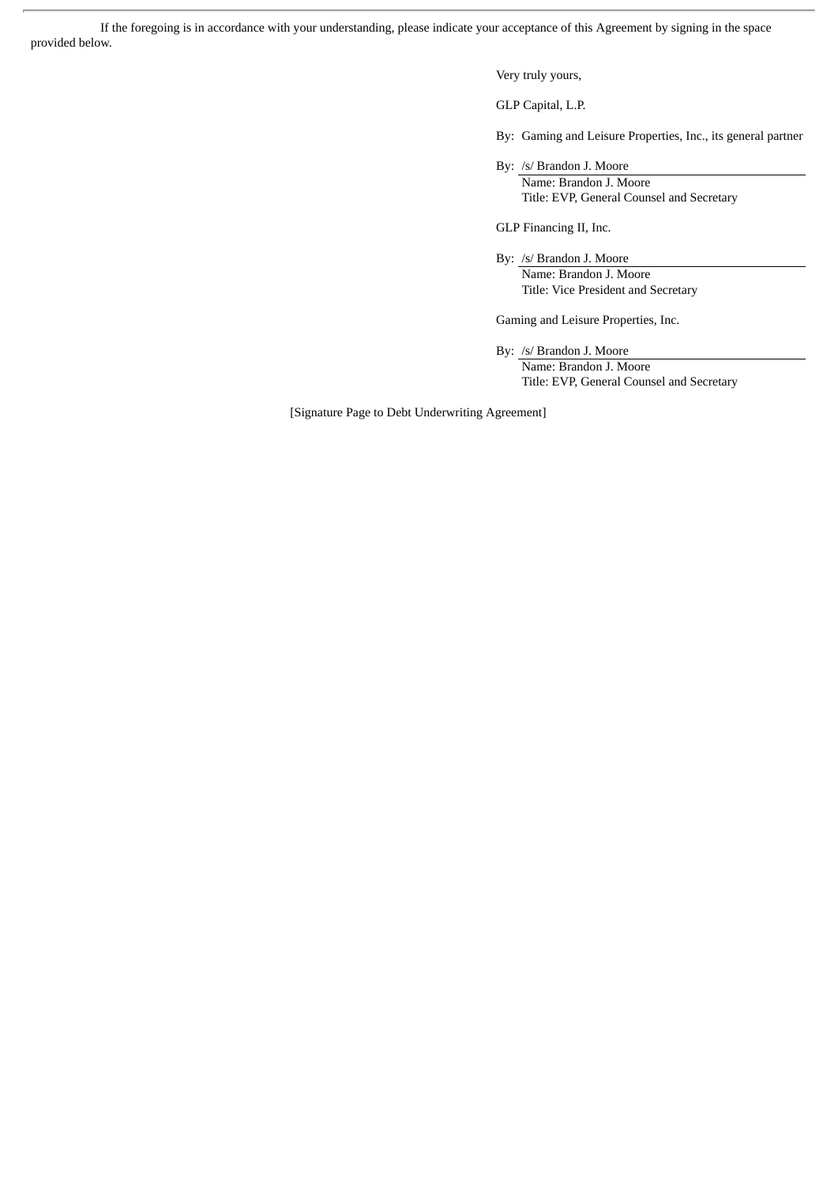If the foregoing is in accordance with your understanding, please indicate your acceptance of this Agreement by signing in the space provided below.

Very truly yours,

GLP Capital, L.P.

By: Gaming and Leisure Properties, Inc., its general partner

By: /s/ Brandon J. Moore Name: Brandon J. Moore Title: EVP, General Counsel and Secretary

GLP Financing II, Inc.

By: /s/ Brandon J. Moore

Name: Brandon J. Moore Title: Vice President and Secretary

Gaming and Leisure Properties, Inc.

By: /s/ Brandon J. Moore Name: Brandon J. Moore

Title: EVP, General Counsel and Secretary

[Signature Page to Debt Underwriting Agreement]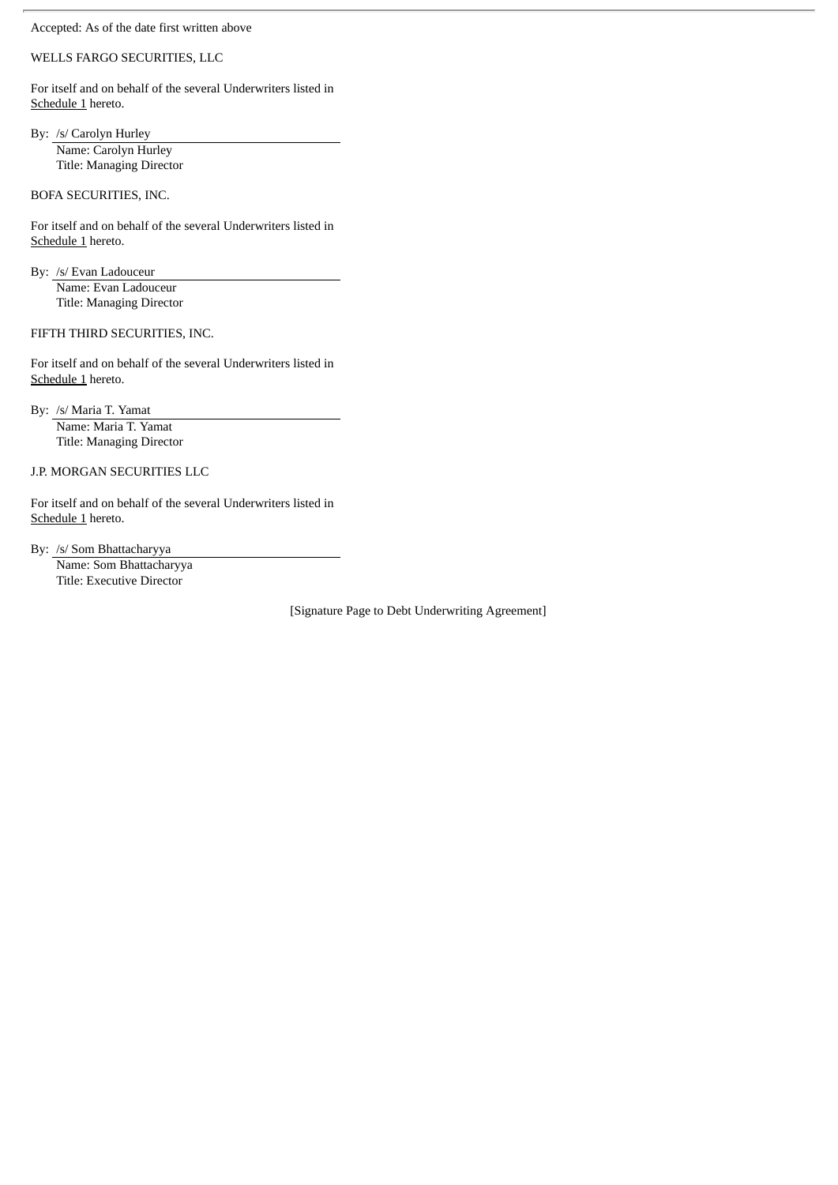Accepted: As of the date first written above

# WELLS FARGO SECURITIES, LLC

For itself and on behalf of the several Underwriters listed in Schedule 1 hereto.

By: /s/ Carolyn Hurley Name: Carolyn Hurley Title: Managing Director

BOFA SECURITIES, INC.

For itself and on behalf of the several Underwriters listed in Schedule 1 hereto.

By: /s/ Evan Ladouceur

Name: Evan Ladouceur Title: Managing Director

FIFTH THIRD SECURITIES, INC.

For itself and on behalf of the several Underwriters listed in Schedule 1 hereto.

By: /s/ Maria T. Yamat Name: Maria T. Yamat Title: Managing Director

J.P. MORGAN SECURITIES LLC

For itself and on behalf of the several Underwriters listed in Schedule 1 hereto.

By: /s/ Som Bhattacharyya

Name: Som Bhattacharyya Title: Executive Director

[Signature Page to Debt Underwriting Agreement]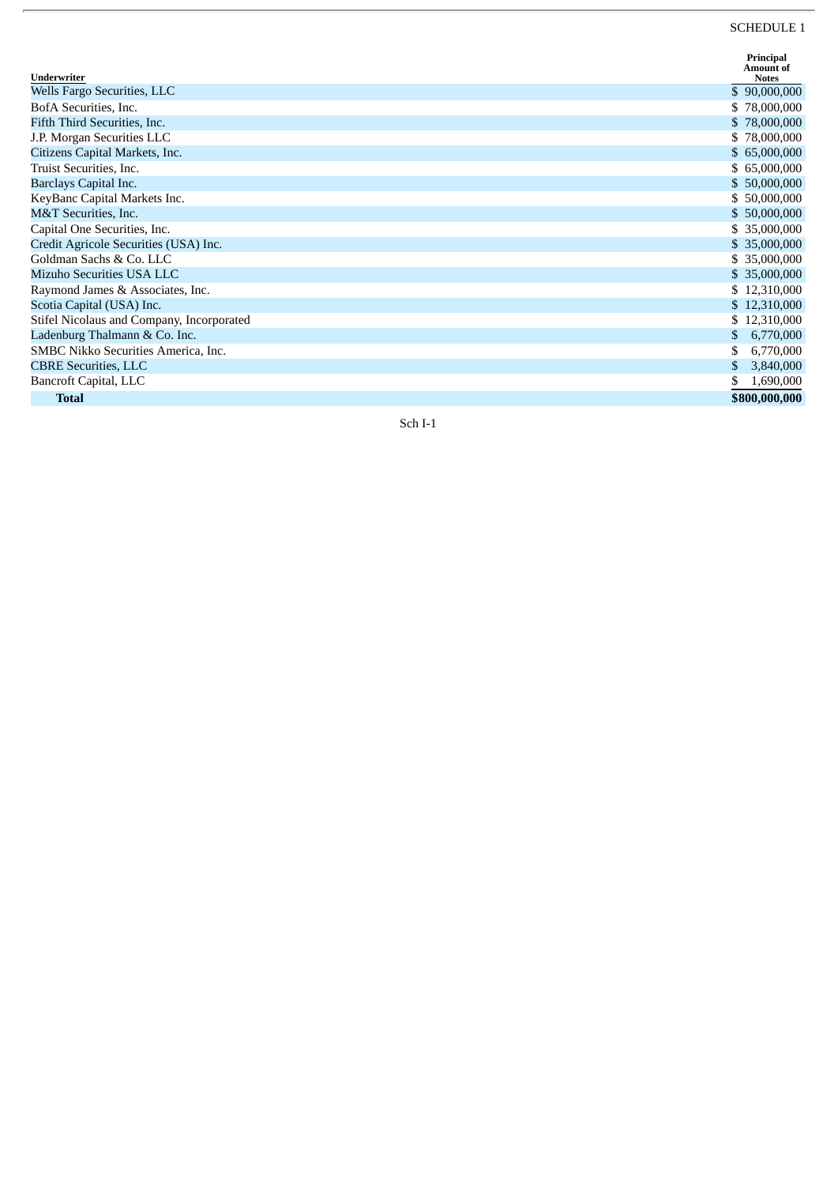# SCHEDULE 1

| Underwriter                               | Principal<br><b>Amount of</b> |
|-------------------------------------------|-------------------------------|
| Wells Fargo Securities, LLC               | <b>Notes</b><br>\$90,000,000  |
|                                           |                               |
| BofA Securities, Inc.                     | \$78,000,000                  |
| Fifth Third Securities, Inc.              | \$78,000,000                  |
| J.P. Morgan Securities LLC                | \$78,000,000                  |
| Citizens Capital Markets, Inc.            | \$65,000,000                  |
| Truist Securities, Inc.                   | \$65,000,000                  |
| Barclays Capital Inc.                     | \$50,000,000                  |
| KeyBanc Capital Markets Inc.              | \$50,000,000                  |
| M&T Securities, Inc.                      | \$50,000,000                  |
| Capital One Securities, Inc.              | \$ 35,000,000                 |
| Credit Agricole Securities (USA) Inc.     | \$ 35,000,000                 |
| Goldman Sachs & Co. LLC                   | \$35,000,000                  |
| Mizuho Securities USA LLC                 | \$35,000,000                  |
| Raymond James & Associates, Inc.          | \$12,310,000                  |
| Scotia Capital (USA) Inc.                 | \$12,310,000                  |
| Stifel Nicolaus and Company, Incorporated | \$12,310,000                  |
| Ladenburg Thalmann & Co. Inc.             | 6,770,000<br>\$               |
| SMBC Nikko Securities America, Inc.       | 6,770,000                     |
| <b>CBRE Securities, LLC</b>               | 3,840,000<br>\$               |
| Bancroft Capital, LLC                     | \$<br>1,690,000               |
| <b>Total</b>                              | \$800,000,000                 |

Sch I-1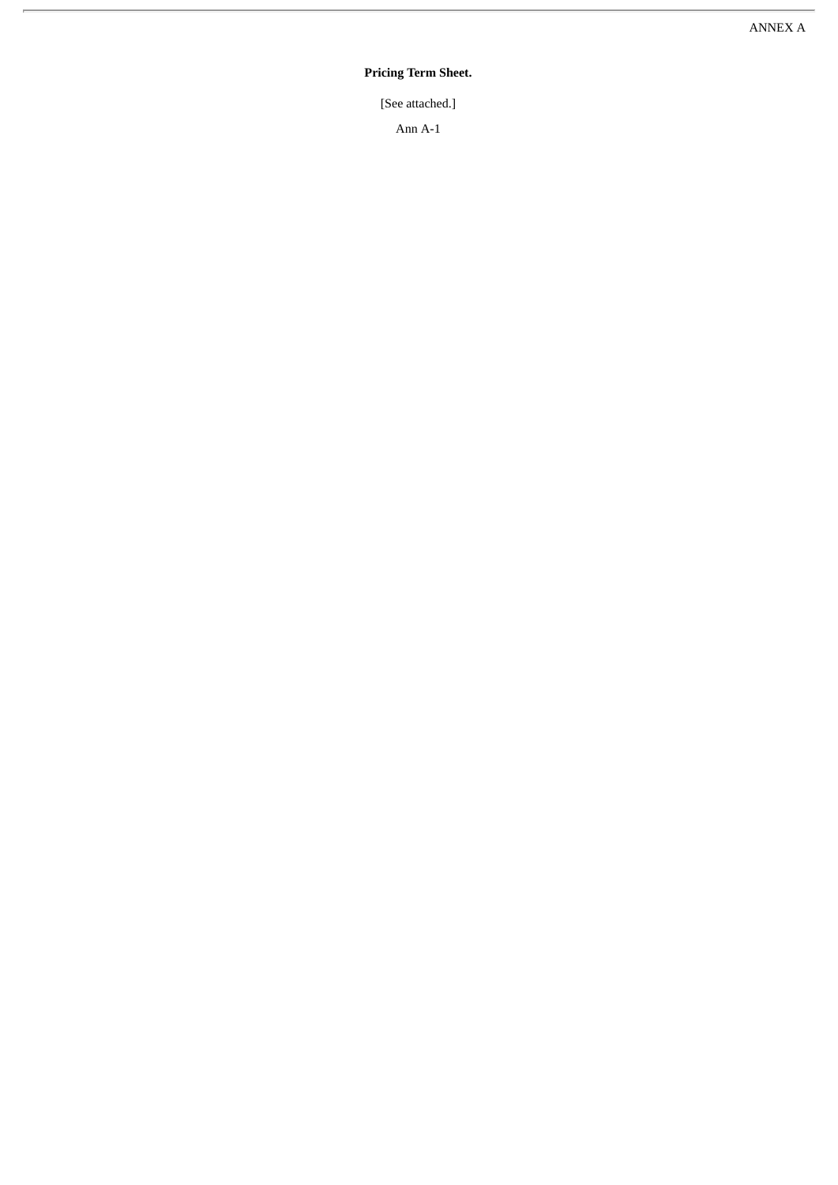### Pricing Term Sheet.

[See attached.]

Ann A-1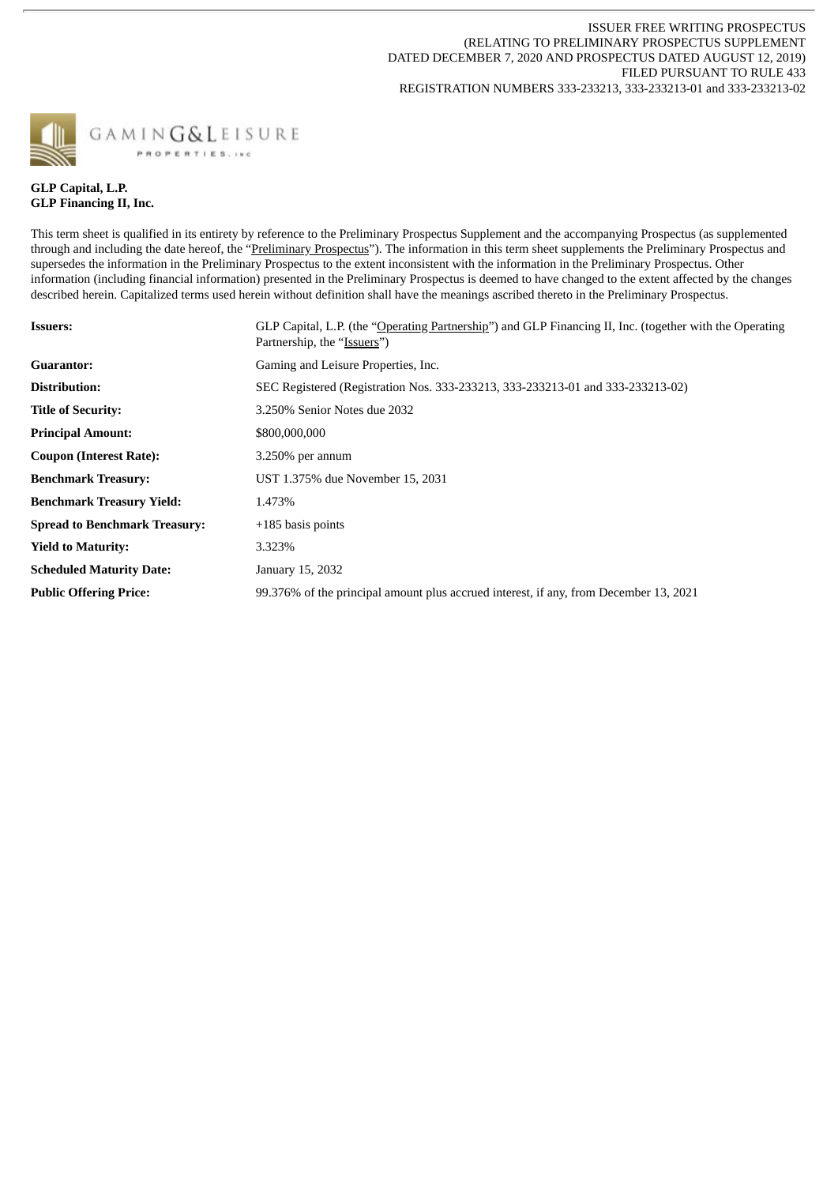ISSUER FREE WRITING PROSPECTUS (RELATING TO PRELIMINARY PROSPECTUS SUPPLEMENT DATED DECEMBER 7, 2020 AND PROSPECTUS DATED AUGUST 12, 2019) FILED PURSUANT TO RULE 433 REGISTRATION NUMBERS 333-233213, 333-233213-01 and 333-233213-02



# **GLP Capital, L.P. GLP Financing II, Inc.**

This term sheet is qualified in its entirety by reference to the Preliminary Prospectus Supplement and the accompanying Prospectus (as supplemented through and including the date hereof, the "Preliminary Prospectus"). The information in this term sheet supplements the Preliminary Prospectus and supersedes the information in the Preliminary Prospectus to the extent inconsistent with the information in the Preliminary Prospectus. Other information (including financial information) presented in the Preliminary Prospectus is deemed to have changed to the extent affected by the changes described herein. Capitalized terms used herein without definition shall have the meanings ascribed thereto in the Preliminary Prospectus.

| <b>Issuers:</b>                      | GLP Capital, L.P. (the "Operating Partnership") and GLP Financing II, Inc. (together with the Operating<br>Partnership, the "Issuers") |
|--------------------------------------|----------------------------------------------------------------------------------------------------------------------------------------|
| <b>Guarantor:</b>                    | Gaming and Leisure Properties, Inc.                                                                                                    |
| Distribution:                        | SEC Registered (Registration Nos. 333-233213, 333-233213-01 and 333-233213-02)                                                         |
| <b>Title of Security:</b>            | 3.250% Senior Notes due 2032                                                                                                           |
| <b>Principal Amount:</b>             | \$800,000,000                                                                                                                          |
| <b>Coupon (Interest Rate):</b>       | $3.250\%$ per annum                                                                                                                    |
| <b>Benchmark Treasury:</b>           | UST 1.375% due November 15, 2031                                                                                                       |
| <b>Benchmark Treasury Yield:</b>     | 1.473%                                                                                                                                 |
| <b>Spread to Benchmark Treasury:</b> | $+185$ basis points                                                                                                                    |
| <b>Yield to Maturity:</b>            | 3.323%                                                                                                                                 |
| <b>Scheduled Maturity Date:</b>      | January 15, 2032                                                                                                                       |
| <b>Public Offering Price:</b>        | 99.376% of the principal amount plus accrued interest, if any, from December 13, 2021                                                  |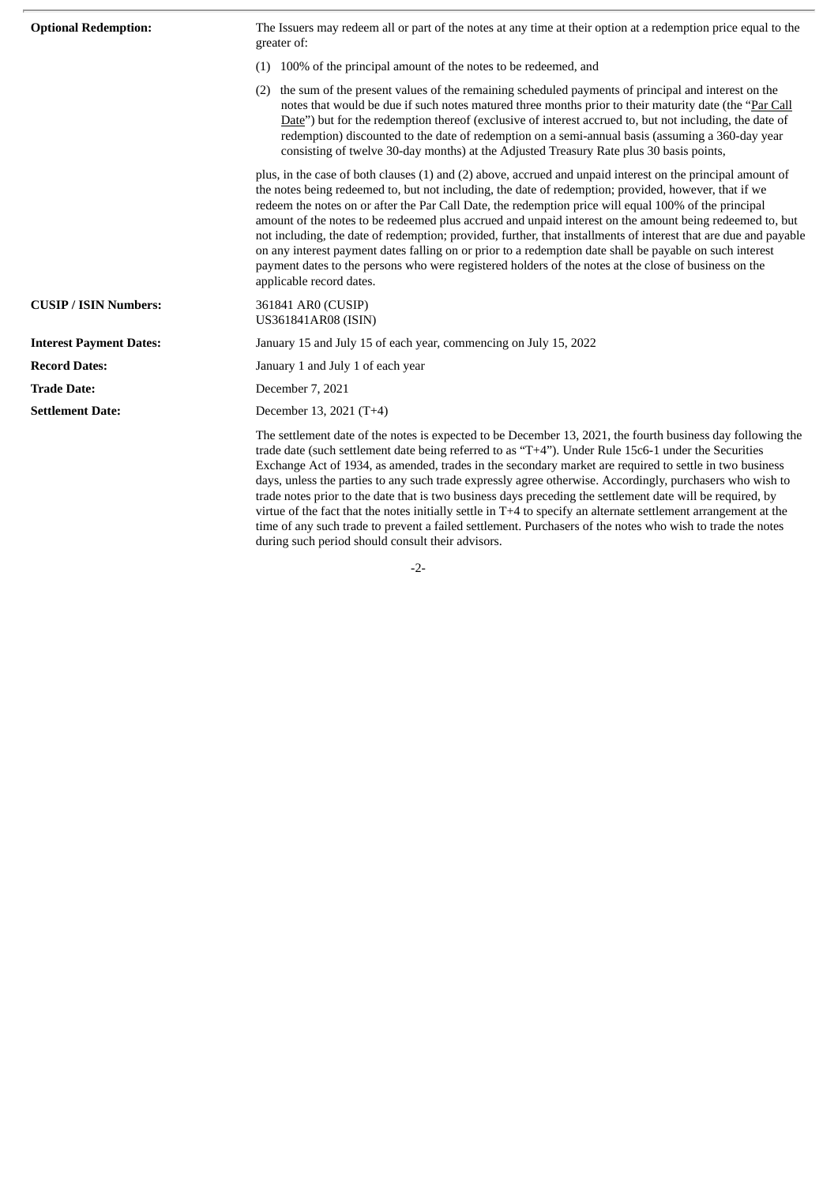| <b>Optional Redemption:</b>    | The Issuers may redeem all or part of the notes at any time at their option at a redemption price equal to the<br>greater of:                                                                                                                                                                                                                                                                                                                                                                                                                                                                                                                                                                                                                                                                                  |
|--------------------------------|----------------------------------------------------------------------------------------------------------------------------------------------------------------------------------------------------------------------------------------------------------------------------------------------------------------------------------------------------------------------------------------------------------------------------------------------------------------------------------------------------------------------------------------------------------------------------------------------------------------------------------------------------------------------------------------------------------------------------------------------------------------------------------------------------------------|
|                                | (1) 100% of the principal amount of the notes to be redeemed, and                                                                                                                                                                                                                                                                                                                                                                                                                                                                                                                                                                                                                                                                                                                                              |
|                                | (2) the sum of the present values of the remaining scheduled payments of principal and interest on the<br>notes that would be due if such notes matured three months prior to their maturity date (the "Par Call<br>Date") but for the redemption thereof (exclusive of interest accrued to, but not including, the date of<br>redemption) discounted to the date of redemption on a semi-annual basis (assuming a 360-day year<br>consisting of twelve 30-day months) at the Adjusted Treasury Rate plus 30 basis points,                                                                                                                                                                                                                                                                                     |
|                                | plus, in the case of both clauses (1) and (2) above, accrued and unpaid interest on the principal amount of<br>the notes being redeemed to, but not including, the date of redemption; provided, however, that if we<br>redeem the notes on or after the Par Call Date, the redemption price will equal 100% of the principal<br>amount of the notes to be redeemed plus accrued and unpaid interest on the amount being redeemed to, but<br>not including, the date of redemption; provided, further, that installments of interest that are due and payable<br>on any interest payment dates falling on or prior to a redemption date shall be payable on such interest<br>payment dates to the persons who were registered holders of the notes at the close of business on the<br>applicable record dates. |
| <b>CUSIP / ISIN Numbers:</b>   | 361841 AR0 (CUSIP)<br>US361841AR08 (ISIN)                                                                                                                                                                                                                                                                                                                                                                                                                                                                                                                                                                                                                                                                                                                                                                      |
| <b>Interest Payment Dates:</b> | January 15 and July 15 of each year, commencing on July 15, 2022                                                                                                                                                                                                                                                                                                                                                                                                                                                                                                                                                                                                                                                                                                                                               |
| <b>Record Dates:</b>           | January 1 and July 1 of each year                                                                                                                                                                                                                                                                                                                                                                                                                                                                                                                                                                                                                                                                                                                                                                              |
| <b>Trade Date:</b>             | December 7, 2021                                                                                                                                                                                                                                                                                                                                                                                                                                                                                                                                                                                                                                                                                                                                                                                               |
| <b>Settlement Date:</b>        | December 13, 2021 (T+4)                                                                                                                                                                                                                                                                                                                                                                                                                                                                                                                                                                                                                                                                                                                                                                                        |
|                                | The settlement date of the notes is expected to be December 13, 2021, the fourth business day following the<br>trade date (such settlement date being referred to as "T+4"). Under Rule 15c6-1 under the Securities<br>Exchange Act of 1934, as amended, trades in the secondary market are required to settle in two business<br>days, unless the parties to any such trade expressly agree otherwise. Accordingly, purchasers who wish to<br>trade notes prior to the date that is two business days preceding the settlement date will be required, by                                                                                                                                                                                                                                                      |

-2-

during such period should consult their advisors.

virtue of the fact that the notes initially settle in T+4 to specify an alternate settlement arrangement at the time of any such trade to prevent a failed settlement. Purchasers of the notes who wish to trade the notes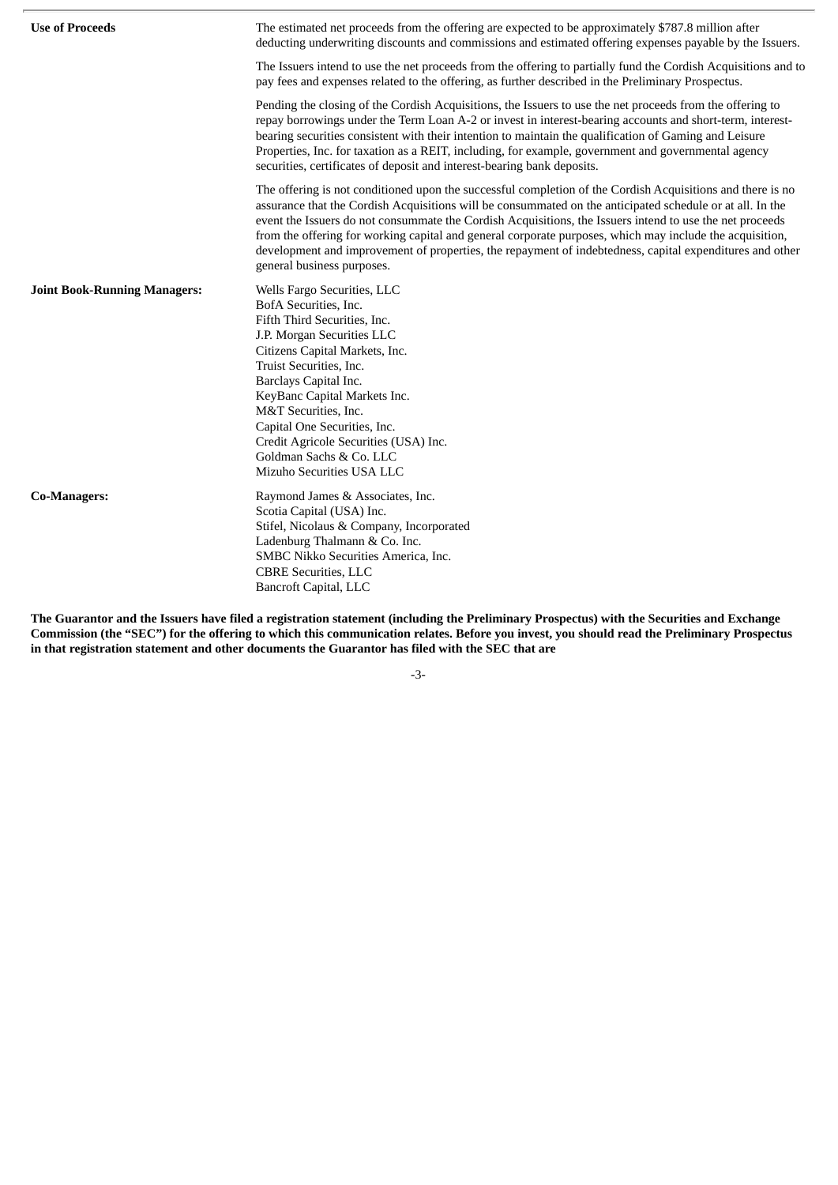| <b>Use of Proceeds</b>              | The estimated net proceeds from the offering are expected to be approximately \$787.8 million after<br>deducting underwriting discounts and commissions and estimated offering expenses payable by the Issuers.                                                                                                                                                                                                                                                                                                                                                                           |
|-------------------------------------|-------------------------------------------------------------------------------------------------------------------------------------------------------------------------------------------------------------------------------------------------------------------------------------------------------------------------------------------------------------------------------------------------------------------------------------------------------------------------------------------------------------------------------------------------------------------------------------------|
|                                     | The Issuers intend to use the net proceeds from the offering to partially fund the Cordish Acquisitions and to<br>pay fees and expenses related to the offering, as further described in the Preliminary Prospectus.                                                                                                                                                                                                                                                                                                                                                                      |
|                                     | Pending the closing of the Cordish Acquisitions, the Issuers to use the net proceeds from the offering to<br>repay borrowings under the Term Loan A-2 or invest in interest-bearing accounts and short-term, interest-<br>bearing securities consistent with their intention to maintain the qualification of Gaming and Leisure<br>Properties, Inc. for taxation as a REIT, including, for example, government and governmental agency<br>securities, certificates of deposit and interest-bearing bank deposits.                                                                        |
|                                     | The offering is not conditioned upon the successful completion of the Cordish Acquisitions and there is no<br>assurance that the Cordish Acquisitions will be consummated on the anticipated schedule or at all. In the<br>event the Issuers do not consummate the Cordish Acquisitions, the Issuers intend to use the net proceeds<br>from the offering for working capital and general corporate purposes, which may include the acquisition,<br>development and improvement of properties, the repayment of indebtedness, capital expenditures and other<br>general business purposes. |
| <b>Joint Book-Running Managers:</b> | Wells Fargo Securities, LLC<br>BofA Securities, Inc.<br>Fifth Third Securities, Inc.<br>J.P. Morgan Securities LLC<br>Citizens Capital Markets, Inc.<br>Truist Securities, Inc.<br>Barclays Capital Inc.<br>KeyBanc Capital Markets Inc.<br>M&T Securities, Inc.<br>Capital One Securities, Inc.<br>Credit Agricole Securities (USA) Inc.<br>Goldman Sachs & Co. LLC<br>Mizuho Securities USA LLC                                                                                                                                                                                         |
| <b>Co-Managers:</b>                 | Raymond James & Associates, Inc.<br>Scotia Capital (USA) Inc.<br>Stifel, Nicolaus & Company, Incorporated<br>Ladenburg Thalmann & Co. Inc.<br>SMBC Nikko Securities America, Inc.<br><b>CBRE Securities, LLC</b><br><b>Bancroft Capital, LLC</b>                                                                                                                                                                                                                                                                                                                                          |

The Guarantor and the Issuers have filed a registration statement (including the Preliminary Prospectus) with the Securities and Exchange Commission (the "SEC") for the offering to which this communication relates. Before you invest, you should read the Preliminary Prospectus **in that registration statement and other documents the Guarantor has filed with the SEC that are**

-3-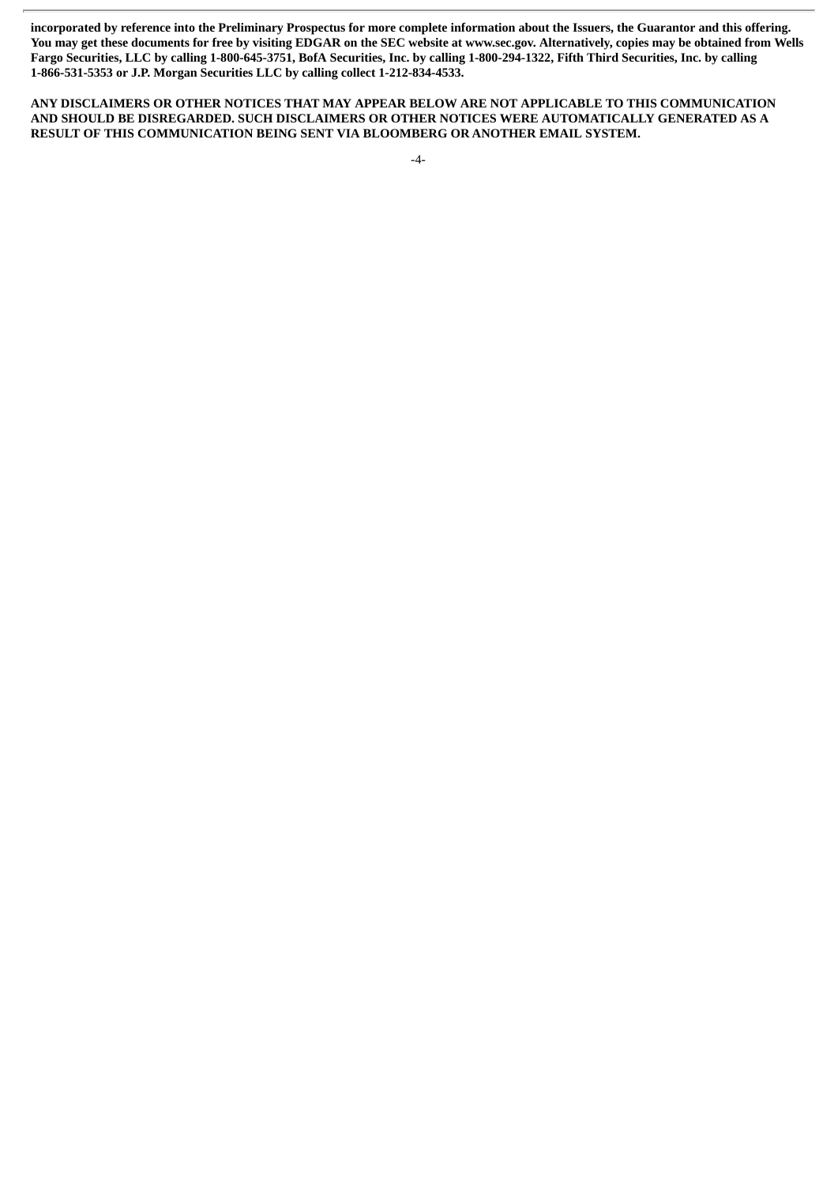incorporated by reference into the Preliminary Prospectus for more complete information about the Issuers, the Guarantor and this offering. You may get these documents for free by visiting EDGAR on the SEC website at www.sec.gov. Alternatively, copies may be obtained from Wells Fargo Securities, LLC by calling 1-800-645-3751, BofA Securities, Inc. by calling 1-800-294-1322, Fifth Third Securities, Inc. by calling **1-866-531-5353 or J.P. Morgan Securities LLC by calling collect 1-212-834-4533.**

**ANY DISCLAIMERS OR OTHER NOTICES THAT MAY APPEAR BELOW ARE NOT APPLICABLE TO THIS COMMUNICATION AND SHOULD BE DISREGARDED. SUCH DISCLAIMERS OR OTHER NOTICES WERE AUTOMATICALLY GENERATED AS A RESULT OF THIS COMMUNICATION BEING SENT VIA BLOOMBERG OR ANOTHER EMAIL SYSTEM.**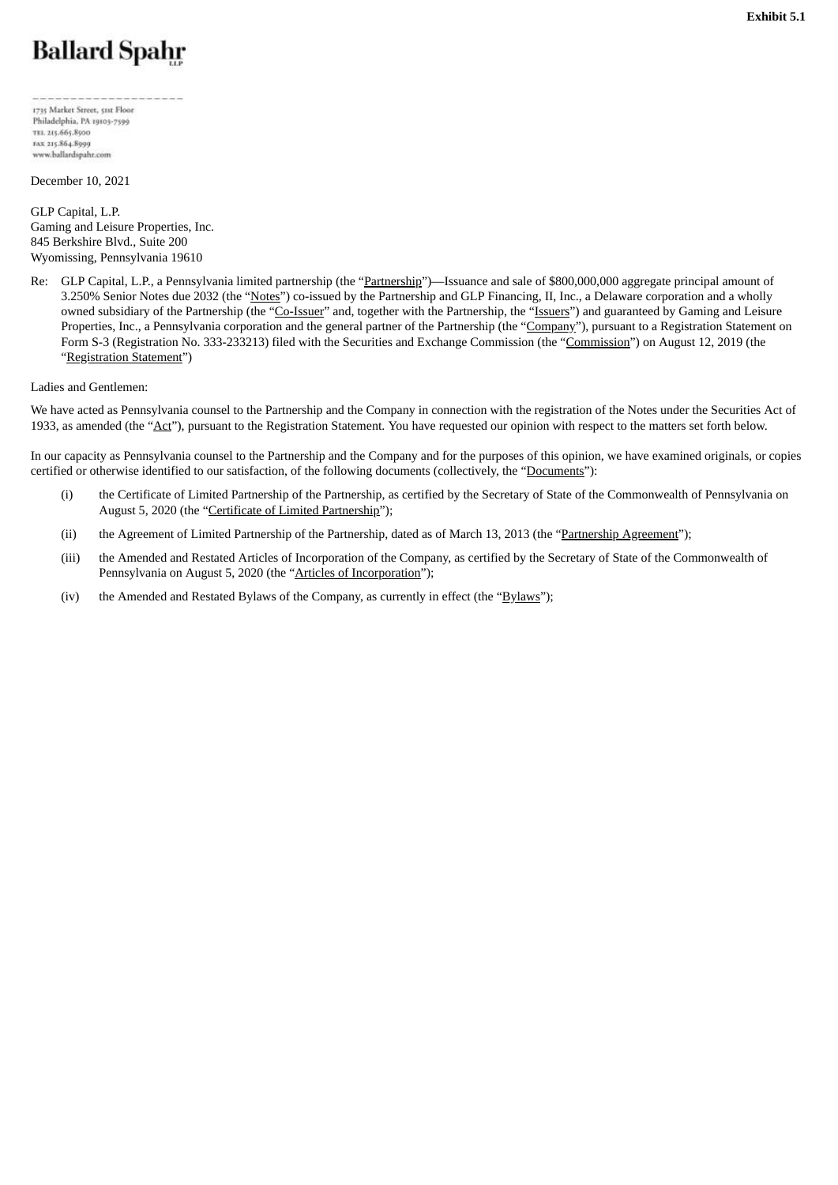# <span id="page-39-0"></span>**Ballard Spahr**

1735 Market Street, 51st Floor Philadelphia, PA 19103-7599 TEL 215.665.8500 FAX 215.864.8999 www.ballardspahr.com

December 10, 2021

GLP Capital, L.P. Gaming and Leisure Properties, Inc. 845 Berkshire Blvd., Suite 200 Wyomissing, Pennsylvania 19610

Re: GLP Capital, L.P., a Pennsylvania limited partnership (the "Partnership")—Issuance and sale of \$800,000,000 aggregate principal amount of 3.250% Senior Notes due 2032 (the "Notes") co-issued by the Partnership and GLP Financing, II, Inc., a Delaware corporation and a wholly owned subsidiary of the Partnership (the "Co-Issuer" and, together with the Partnership, the "Issuers") and guaranteed by Gaming and Leisure Properties, Inc., a Pennsylvania corporation and the general partner of the Partnership (the "Company"), pursuant to a Registration Statement on Form S-3 (Registration No. 333-233213) filed with the Securities and Exchange Commission (the "Commission") on August 12, 2019 (the "Registration Statement")

Ladies and Gentlemen:

We have acted as Pennsylvania counsel to the Partnership and the Company in connection with the registration of the Notes under the Securities Act of 1933, as amended (the "Act"), pursuant to the Registration Statement. You have requested our opinion with respect to the matters set forth below.

In our capacity as Pennsylvania counsel to the Partnership and the Company and for the purposes of this opinion, we have examined originals, or copies certified or otherwise identified to our satisfaction, of the following documents (collectively, the "Documents"):

- (i) the Certificate of Limited Partnership of the Partnership, as certified by the Secretary of State of the Commonwealth of Pennsylvania on August 5, 2020 (the "Certificate of Limited Partnership");
- (ii) the Agreement of Limited Partnership of the Partnership, dated as of March 13, 2013 (the "Partnership Agreement");
- (iii) the Amended and Restated Articles of Incorporation of the Company, as certified by the Secretary of State of the Commonwealth of Pennsylvania on August 5, 2020 (the "Articles of Incorporation");
- (iv) the Amended and Restated Bylaws of the Company, as currently in effect (the "Bylaws");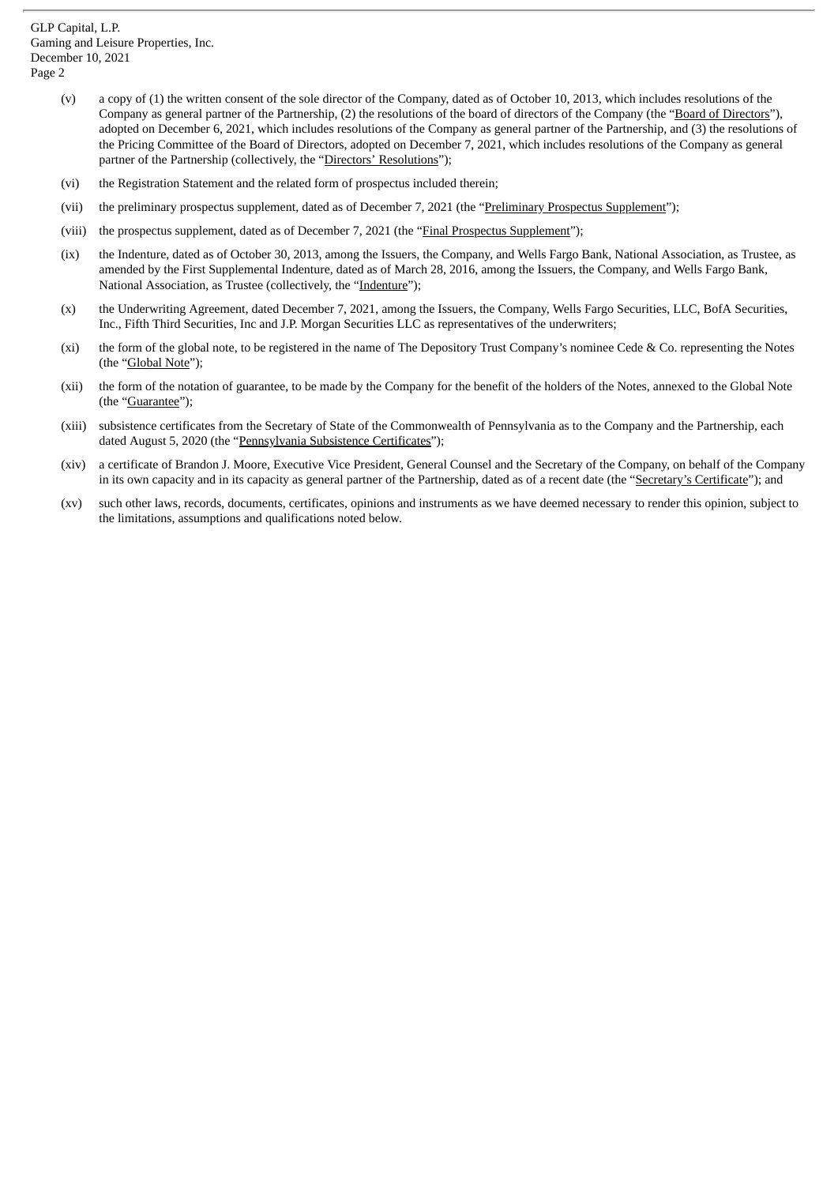- (v) a copy of (1) the written consent of the sole director of the Company, dated as of October 10, 2013, which includes resolutions of the Company as general partner of the Partnership, (2) the resolutions of the board of directors of the Company (the "Board of Directors"), adopted on December 6, 2021, which includes resolutions of the Company as general partner of the Partnership, and (3) the resolutions of the Pricing Committee of the Board of Directors, adopted on December 7, 2021, which includes resolutions of the Company as general partner of the Partnership (collectively, the "Directors' Resolutions");
- (vi) the Registration Statement and the related form of prospectus included therein;
- (vii) the preliminary prospectus supplement, dated as of December 7, 2021 (the "Preliminary Prospectus Supplement");
- (viii) the prospectus supplement, dated as of December 7, 2021 (the "Final Prospectus Supplement");
- (ix) the Indenture, dated as of October 30, 2013, among the Issuers, the Company, and Wells Fargo Bank, National Association, as Trustee, as amended by the First Supplemental Indenture, dated as of March 28, 2016, among the Issuers, the Company, and Wells Fargo Bank, National Association, as Trustee (collectively, the "Indenture");
- (x) the Underwriting Agreement, dated December 7, 2021, among the Issuers, the Company, Wells Fargo Securities, LLC, BofA Securities, Inc., Fifth Third Securities, Inc and J.P. Morgan Securities LLC as representatives of the underwriters;
- (xi) the form of the global note, to be registered in the name of The Depository Trust Company's nominee Cede & Co. representing the Notes (the "Global Note");
- (xii) the form of the notation of guarantee, to be made by the Company for the benefit of the holders of the Notes, annexed to the Global Note (the "Guarantee");
- (xiii) subsistence certificates from the Secretary of State of the Commonwealth of Pennsylvania as to the Company and the Partnership, each dated August 5, 2020 (the "Pennsylvania Subsistence Certificates");
- (xiv) a certificate of Brandon J. Moore, Executive Vice President, General Counsel and the Secretary of the Company, on behalf of the Company in its own capacity and in its capacity as general partner of the Partnership, dated as of a recent date (the "Secretary's Certificate"); and
- (xv) such other laws, records, documents, certificates, opinions and instruments as we have deemed necessary to render this opinion, subject to the limitations, assumptions and qualifications noted below.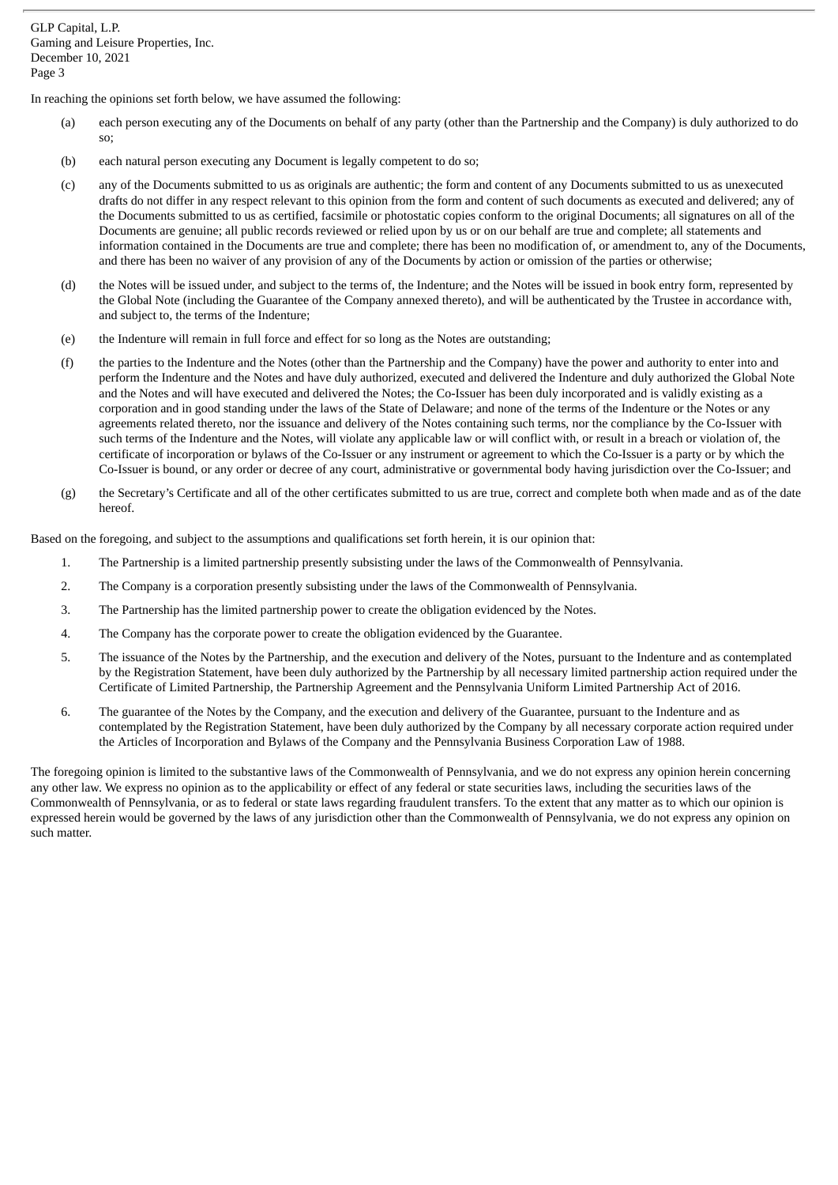In reaching the opinions set forth below, we have assumed the following:

- (a) each person executing any of the Documents on behalf of any party (other than the Partnership and the Company) is duly authorized to do so;
- (b) each natural person executing any Document is legally competent to do so;
- (c) any of the Documents submitted to us as originals are authentic; the form and content of any Documents submitted to us as unexecuted drafts do not differ in any respect relevant to this opinion from the form and content of such documents as executed and delivered; any of the Documents submitted to us as certified, facsimile or photostatic copies conform to the original Documents; all signatures on all of the Documents are genuine; all public records reviewed or relied upon by us or on our behalf are true and complete; all statements and information contained in the Documents are true and complete; there has been no modification of, or amendment to, any of the Documents, and there has been no waiver of any provision of any of the Documents by action or omission of the parties or otherwise;
- (d) the Notes will be issued under, and subject to the terms of, the Indenture; and the Notes will be issued in book entry form, represented by the Global Note (including the Guarantee of the Company annexed thereto), and will be authenticated by the Trustee in accordance with, and subject to, the terms of the Indenture;
- (e) the Indenture will remain in full force and effect for so long as the Notes are outstanding;
- (f) the parties to the Indenture and the Notes (other than the Partnership and the Company) have the power and authority to enter into and perform the Indenture and the Notes and have duly authorized, executed and delivered the Indenture and duly authorized the Global Note and the Notes and will have executed and delivered the Notes; the Co-Issuer has been duly incorporated and is validly existing as a corporation and in good standing under the laws of the State of Delaware; and none of the terms of the Indenture or the Notes or any agreements related thereto, nor the issuance and delivery of the Notes containing such terms, nor the compliance by the Co-Issuer with such terms of the Indenture and the Notes, will violate any applicable law or will conflict with, or result in a breach or violation of, the certificate of incorporation or bylaws of the Co-Issuer or any instrument or agreement to which the Co-Issuer is a party or by which the Co-Issuer is bound, or any order or decree of any court, administrative or governmental body having jurisdiction over the Co-Issuer; and
- (g) the Secretary's Certificate and all of the other certificates submitted to us are true, correct and complete both when made and as of the date hereof.

Based on the foregoing, and subject to the assumptions and qualifications set forth herein, it is our opinion that:

- 1. The Partnership is a limited partnership presently subsisting under the laws of the Commonwealth of Pennsylvania.
- 2. The Company is a corporation presently subsisting under the laws of the Commonwealth of Pennsylvania.
- 3. The Partnership has the limited partnership power to create the obligation evidenced by the Notes.
- 4. The Company has the corporate power to create the obligation evidenced by the Guarantee.
- 5. The issuance of the Notes by the Partnership, and the execution and delivery of the Notes, pursuant to the Indenture and as contemplated by the Registration Statement, have been duly authorized by the Partnership by all necessary limited partnership action required under the Certificate of Limited Partnership, the Partnership Agreement and the Pennsylvania Uniform Limited Partnership Act of 2016.
- 6. The guarantee of the Notes by the Company, and the execution and delivery of the Guarantee, pursuant to the Indenture and as contemplated by the Registration Statement, have been duly authorized by the Company by all necessary corporate action required under the Articles of Incorporation and Bylaws of the Company and the Pennsylvania Business Corporation Law of 1988.

The foregoing opinion is limited to the substantive laws of the Commonwealth of Pennsylvania, and we do not express any opinion herein concerning any other law. We express no opinion as to the applicability or effect of any federal or state securities laws, including the securities laws of the Commonwealth of Pennsylvania, or as to federal or state laws regarding fraudulent transfers. To the extent that any matter as to which our opinion is expressed herein would be governed by the laws of any jurisdiction other than the Commonwealth of Pennsylvania, we do not express any opinion on such matter.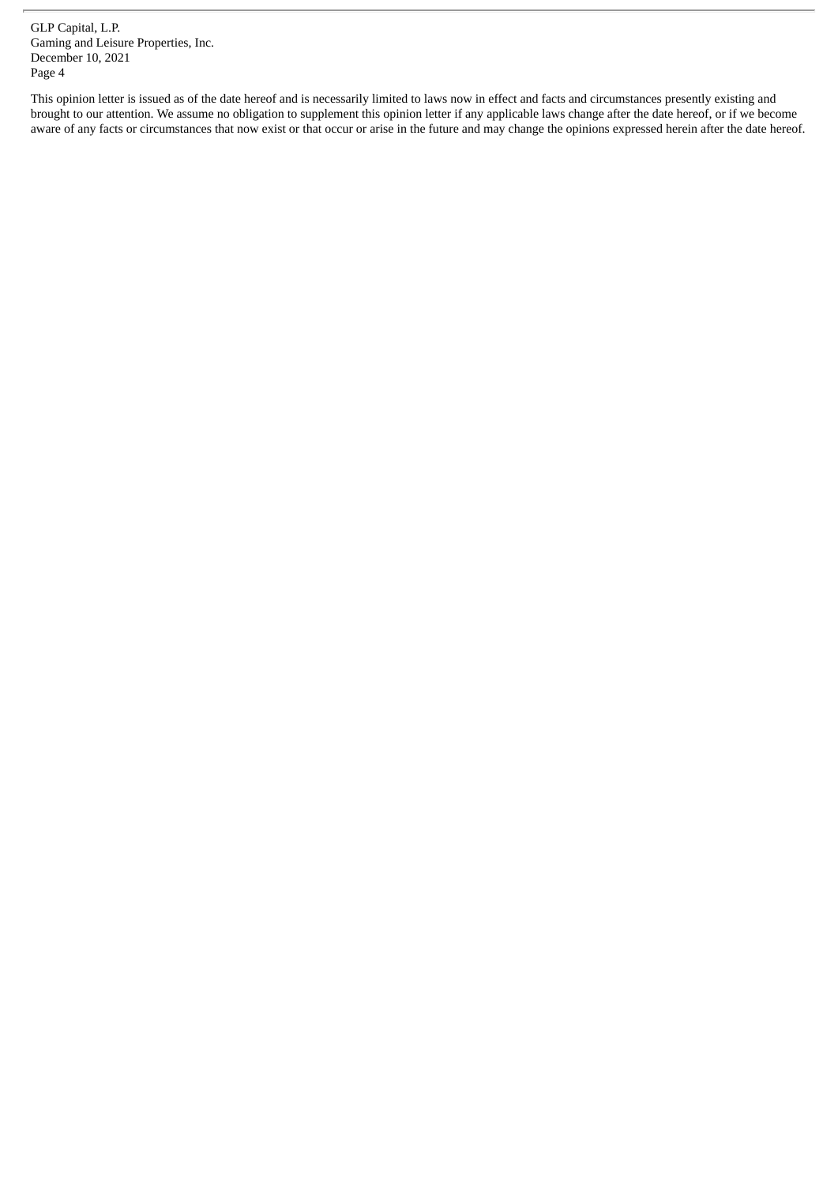This opinion letter is issued as of the date hereof and is necessarily limited to laws now in effect and facts and circumstances presently existing and brought to our attention. We assume no obligation to supplement this opinion letter if any applicable laws change after the date hereof, or if we become aware of any facts or circumstances that now exist or that occur or arise in the future and may change the opinions expressed herein after the date hereof.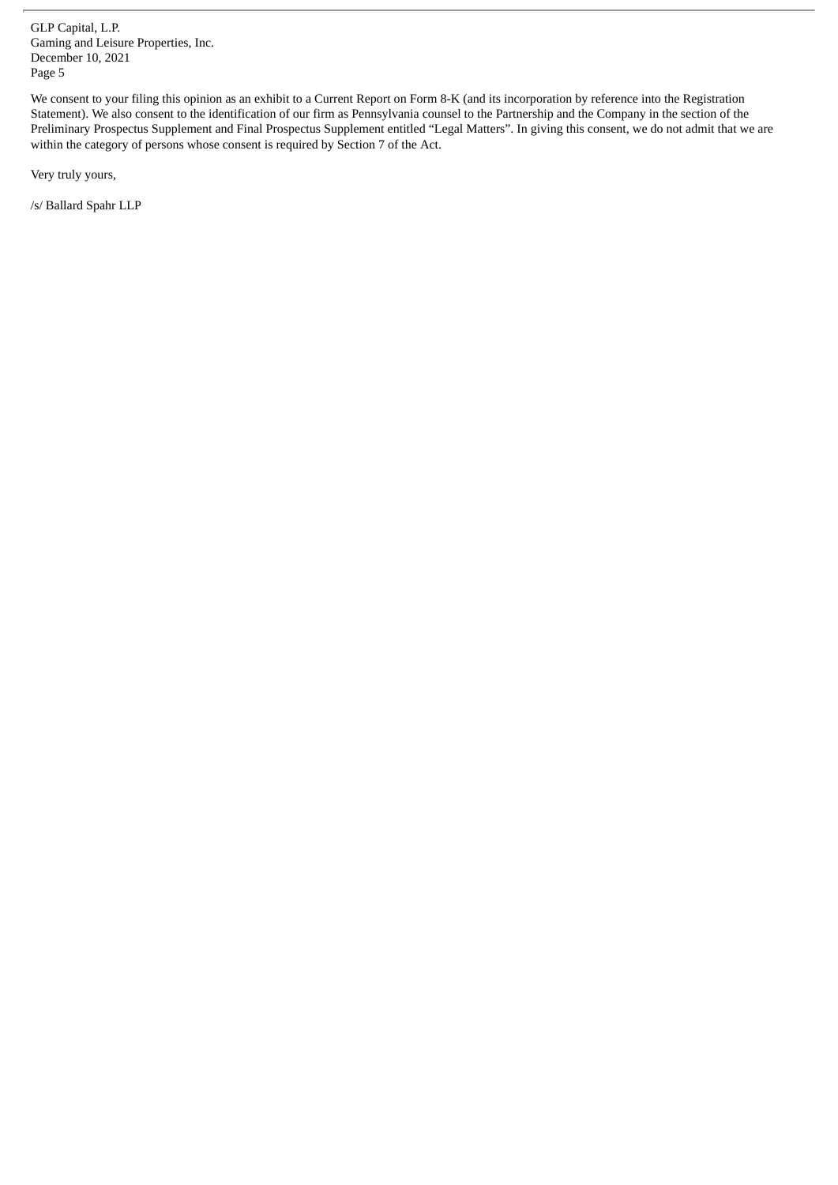We consent to your filing this opinion as an exhibit to a Current Report on Form 8-K (and its incorporation by reference into the Registration Statement). We also consent to the identification of our firm as Pennsylvania counsel to the Partnership and the Company in the section of the Preliminary Prospectus Supplement and Final Prospectus Supplement entitled "Legal Matters". In giving this consent, we do not admit that we are within the category of persons whose consent is required by Section 7 of the Act.

Very truly yours,

/s/ Ballard Spahr LLP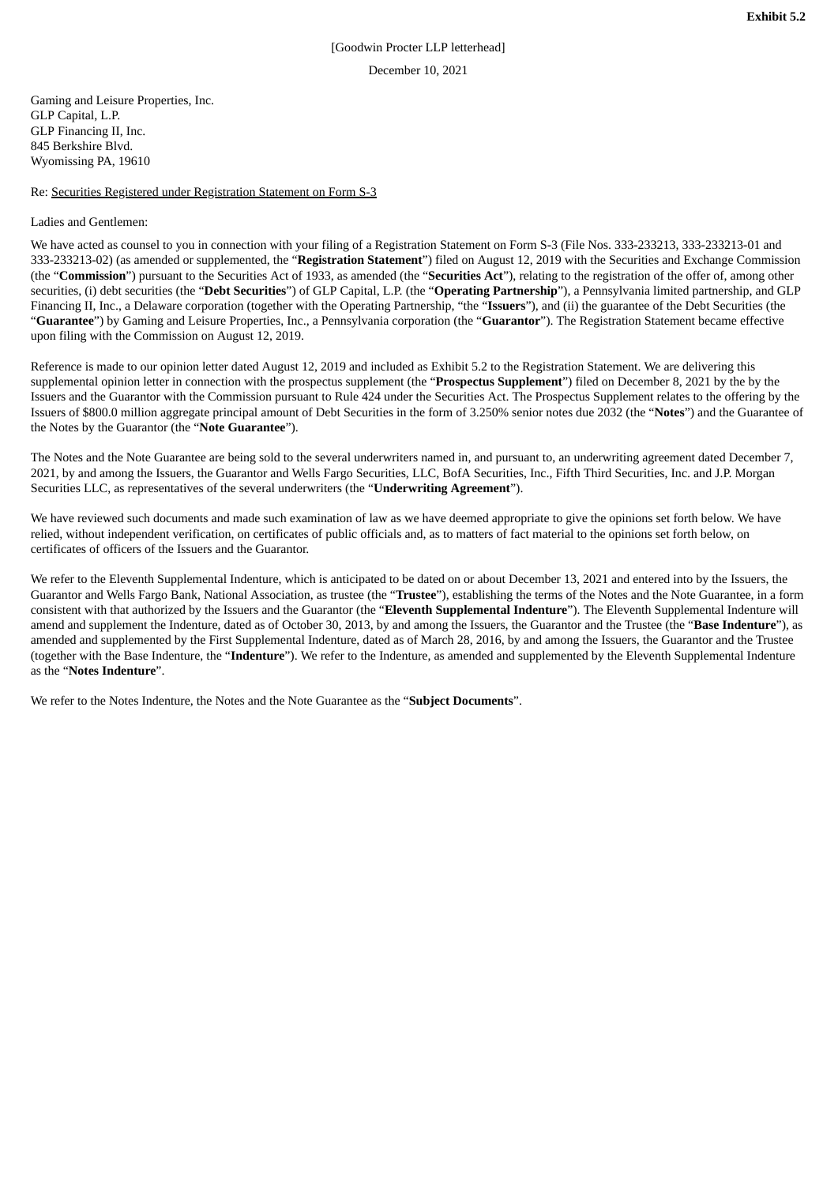# [Goodwin Procter LLP letterhead] December 10, 2021

<span id="page-44-0"></span>Gaming and Leisure Properties, Inc. GLP Capital, L.P. GLP Financing II, Inc. 845 Berkshire Blvd. Wyomissing PA, 19610

Re: Securities Registered under Registration Statement on Form S-3

# Ladies and Gentlemen:

We have acted as counsel to you in connection with your filing of a Registration Statement on Form S-3 (File Nos. 333-233213, 333-233213-01 and 333-233213-02) (as amended or supplemented, the "**Registration Statement**") filed on August 12, 2019 with the Securities and Exchange Commission (the "**Commission**") pursuant to the Securities Act of 1933, as amended (the "**Securities Act**"), relating to the registration of the offer of, among other securities, (i) debt securities (the "**Debt Securities**") of GLP Capital, L.P. (the "**Operating Partnership**"), a Pennsylvania limited partnership, and GLP Financing II, Inc., a Delaware corporation (together with the Operating Partnership, "the "**Issuers**"), and (ii) the guarantee of the Debt Securities (the "**Guarantee**") by Gaming and Leisure Properties, Inc., a Pennsylvania corporation (the "**Guarantor**"). The Registration Statement became effective upon filing with the Commission on August 12, 2019.

Reference is made to our opinion letter dated August 12, 2019 and included as Exhibit 5.2 to the Registration Statement. We are delivering this supplemental opinion letter in connection with the prospectus supplement (the "**Prospectus Supplement**") filed on December 8, 2021 by the by the Issuers and the Guarantor with the Commission pursuant to Rule 424 under the Securities Act. The Prospectus Supplement relates to the offering by the Issuers of \$800.0 million aggregate principal amount of Debt Securities in the form of 3.250% senior notes due 2032 (the "**Notes**") and the Guarantee of the Notes by the Guarantor (the "**Note Guarantee**").

The Notes and the Note Guarantee are being sold to the several underwriters named in, and pursuant to, an underwriting agreement dated December 7, 2021, by and among the Issuers, the Guarantor and Wells Fargo Securities, LLC, BofA Securities, Inc., Fifth Third Securities, Inc. and J.P. Morgan Securities LLC, as representatives of the several underwriters (the "**Underwriting Agreement**").

We have reviewed such documents and made such examination of law as we have deemed appropriate to give the opinions set forth below. We have relied, without independent verification, on certificates of public officials and, as to matters of fact material to the opinions set forth below, on certificates of officers of the Issuers and the Guarantor.

We refer to the Eleventh Supplemental Indenture, which is anticipated to be dated on or about December 13, 2021 and entered into by the Issuers, the Guarantor and Wells Fargo Bank, National Association, as trustee (the "**Trustee**"), establishing the terms of the Notes and the Note Guarantee, in a form consistent with that authorized by the Issuers and the Guarantor (the "**Eleventh Supplemental Indenture**"). The Eleventh Supplemental Indenture will amend and supplement the Indenture, dated as of October 30, 2013, by and among the Issuers, the Guarantor and the Trustee (the "**Base Indenture**"), as amended and supplemented by the First Supplemental Indenture, dated as of March 28, 2016, by and among the Issuers, the Guarantor and the Trustee (together with the Base Indenture, the "**Indenture**"). We refer to the Indenture, as amended and supplemented by the Eleventh Supplemental Indenture as the "**Notes Indenture**".

We refer to the Notes Indenture, the Notes and the Note Guarantee as the "**Subject Documents**".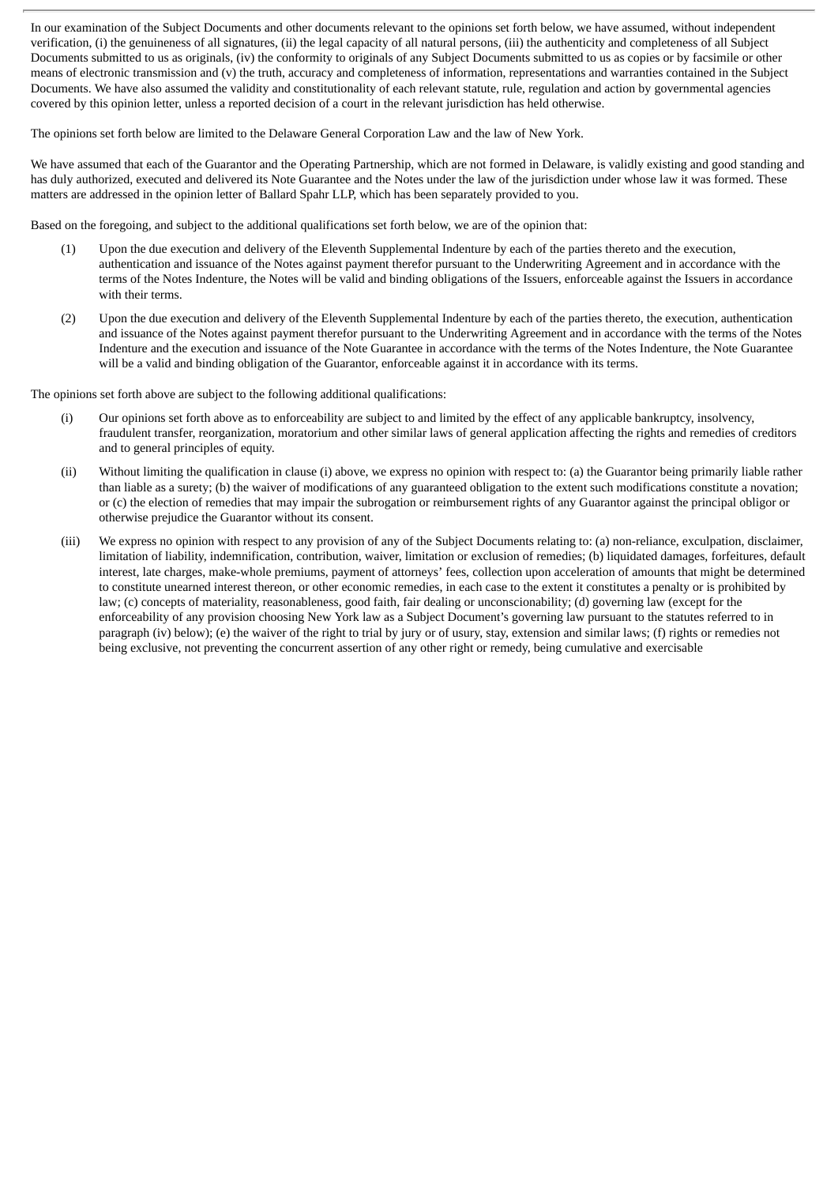In our examination of the Subject Documents and other documents relevant to the opinions set forth below, we have assumed, without independent verification, (i) the genuineness of all signatures, (ii) the legal capacity of all natural persons, (iii) the authenticity and completeness of all Subject Documents submitted to us as originals, (iv) the conformity to originals of any Subject Documents submitted to us as copies or by facsimile or other means of electronic transmission and (v) the truth, accuracy and completeness of information, representations and warranties contained in the Subject Documents. We have also assumed the validity and constitutionality of each relevant statute, rule, regulation and action by governmental agencies covered by this opinion letter, unless a reported decision of a court in the relevant jurisdiction has held otherwise.

The opinions set forth below are limited to the Delaware General Corporation Law and the law of New York.

We have assumed that each of the Guarantor and the Operating Partnership, which are not formed in Delaware, is validly existing and good standing and has duly authorized, executed and delivered its Note Guarantee and the Notes under the law of the jurisdiction under whose law it was formed. These matters are addressed in the opinion letter of Ballard Spahr LLP, which has been separately provided to you.

Based on the foregoing, and subject to the additional qualifications set forth below, we are of the opinion that:

- (1) Upon the due execution and delivery of the Eleventh Supplemental Indenture by each of the parties thereto and the execution, authentication and issuance of the Notes against payment therefor pursuant to the Underwriting Agreement and in accordance with the terms of the Notes Indenture, the Notes will be valid and binding obligations of the Issuers, enforceable against the Issuers in accordance with their terms.
- (2) Upon the due execution and delivery of the Eleventh Supplemental Indenture by each of the parties thereto, the execution, authentication and issuance of the Notes against payment therefor pursuant to the Underwriting Agreement and in accordance with the terms of the Notes Indenture and the execution and issuance of the Note Guarantee in accordance with the terms of the Notes Indenture, the Note Guarantee will be a valid and binding obligation of the Guarantor, enforceable against it in accordance with its terms.

The opinions set forth above are subject to the following additional qualifications:

- (i) Our opinions set forth above as to enforceability are subject to and limited by the effect of any applicable bankruptcy, insolvency, fraudulent transfer, reorganization, moratorium and other similar laws of general application affecting the rights and remedies of creditors and to general principles of equity.
- (ii) Without limiting the qualification in clause (i) above, we express no opinion with respect to: (a) the Guarantor being primarily liable rather than liable as a surety; (b) the waiver of modifications of any guaranteed obligation to the extent such modifications constitute a novation; or (c) the election of remedies that may impair the subrogation or reimbursement rights of any Guarantor against the principal obligor or otherwise prejudice the Guarantor without its consent.
- (iii) We express no opinion with respect to any provision of any of the Subject Documents relating to: (a) non-reliance, exculpation, disclaimer, limitation of liability, indemnification, contribution, waiver, limitation or exclusion of remedies; (b) liquidated damages, forfeitures, default interest, late charges, make-whole premiums, payment of attorneys' fees, collection upon acceleration of amounts that might be determined to constitute unearned interest thereon, or other economic remedies, in each case to the extent it constitutes a penalty or is prohibited by law; (c) concepts of materiality, reasonableness, good faith, fair dealing or unconscionability; (d) governing law (except for the enforceability of any provision choosing New York law as a Subject Document's governing law pursuant to the statutes referred to in paragraph (iv) below); (e) the waiver of the right to trial by jury or of usury, stay, extension and similar laws; (f) rights or remedies not being exclusive, not preventing the concurrent assertion of any other right or remedy, being cumulative and exercisable